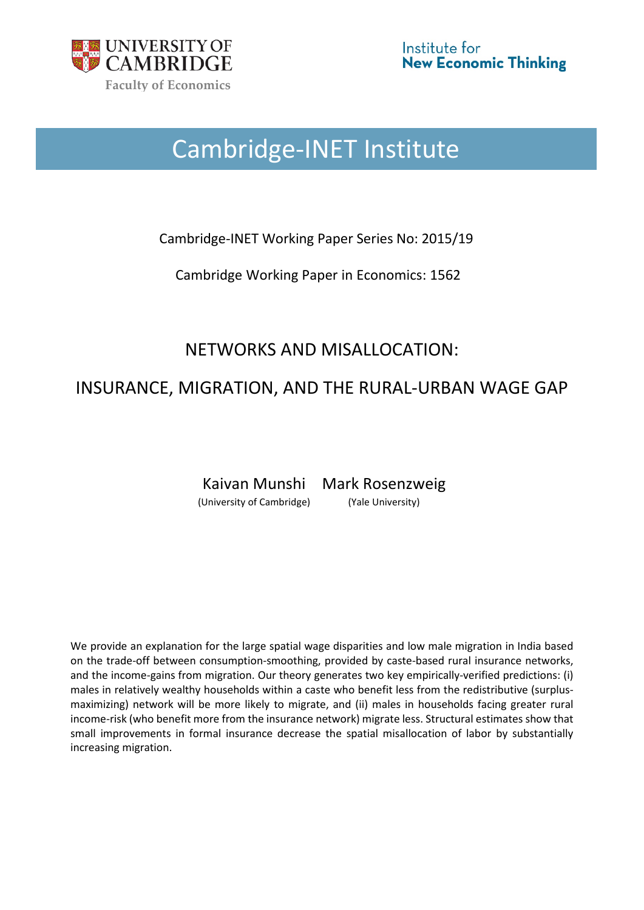

# Cambridge-INET Institute

Cambridge-INET Working Paper Series No: 2015/19

Cambridge Working Paper in Economics: 1562

# NETWORKS AND MISALLOCATION:

# INSURANCE, MIGRATION, AND THE RURAL-URBAN WAGE GAP

Kaivan Munshi Mark Rosenzweig (University of Cambridge) (Yale University)

We provide an explanation for the large spatial wage disparities and low male migration in India based on the trade-off between consumption-smoothing, provided by caste-based rural insurance networks, and the income-gains from migration. Our theory generates two key empirically-verified predictions: (i) males in relatively wealthy households within a caste who benefit less from the redistributive (surplusmaximizing) network will be more likely to migrate, and (ii) males in households facing greater rural income-risk (who benefit more from the insurance network) migrate less. Structural estimates show that small improvements in formal insurance decrease the spatial misallocation of labor by substantially increasing migration.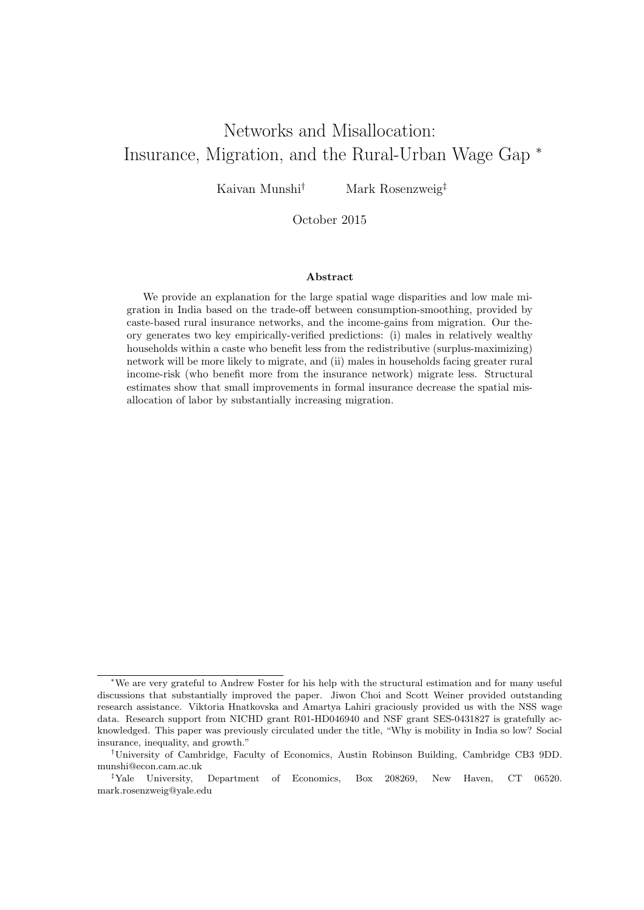# Networks and Misallocation: Insurance, Migration, and the Rural-Urban Wage Gap <sup>∗</sup>

Kaivan Munshi<sup>†</sup> Mark Rosenzweig<sup>‡</sup>

October 2015

#### Abstract

We provide an explanation for the large spatial wage disparities and low male migration in India based on the trade-off between consumption-smoothing, provided by caste-based rural insurance networks, and the income-gains from migration. Our theory generates two key empirically-verified predictions: (i) males in relatively wealthy households within a caste who benefit less from the redistributive (surplus-maximizing) network will be more likely to migrate, and (ii) males in households facing greater rural income-risk (who benefit more from the insurance network) migrate less. Structural estimates show that small improvements in formal insurance decrease the spatial misallocation of labor by substantially increasing migration.

<sup>∗</sup>We are very grateful to Andrew Foster for his help with the structural estimation and for many useful discussions that substantially improved the paper. Jiwon Choi and Scott Weiner provided outstanding research assistance. Viktoria Hnatkovska and Amartya Lahiri graciously provided us with the NSS wage data. Research support from NICHD grant R01-HD046940 and NSF grant SES-0431827 is gratefully acknowledged. This paper was previously circulated under the title, "Why is mobility in India so low? Social insurance, inequality, and growth."

<sup>†</sup>University of Cambridge, Faculty of Economics, Austin Robinson Building, Cambridge CB3 9DD. munshi@econ.cam.ac.uk

<sup>‡</sup>Yale University, Department of Economics, Box 208269, New Haven, CT 06520. mark.rosenzweig@yale.edu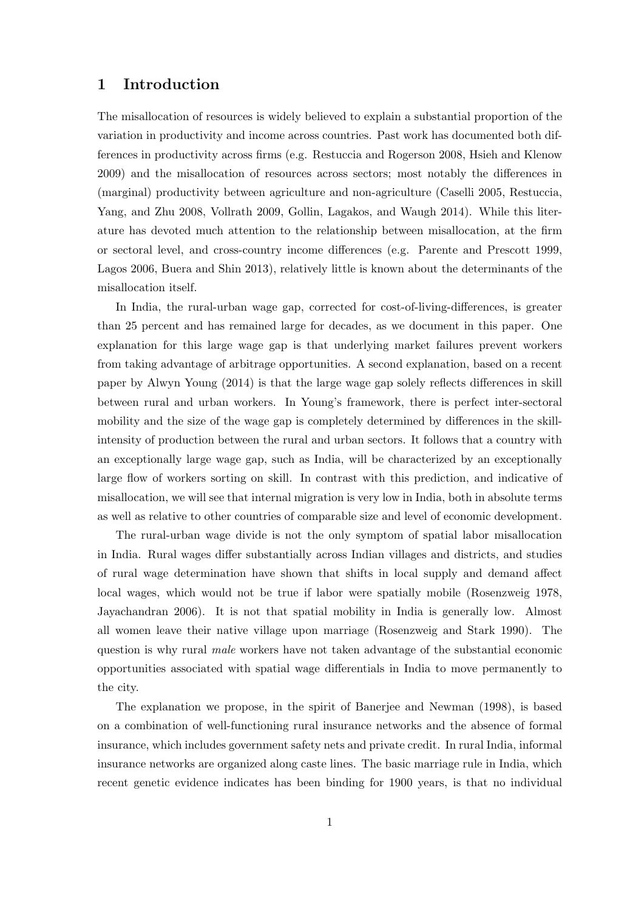## 1 Introduction

The misallocation of resources is widely believed to explain a substantial proportion of the variation in productivity and income across countries. Past work has documented both differences in productivity across firms (e.g. Restuccia and Rogerson 2008, Hsieh and Klenow 2009) and the misallocation of resources across sectors; most notably the differences in (marginal) productivity between agriculture and non-agriculture (Caselli 2005, Restuccia, Yang, and Zhu 2008, Vollrath 2009, Gollin, Lagakos, and Waugh 2014). While this literature has devoted much attention to the relationship between misallocation, at the firm or sectoral level, and cross-country income differences (e.g. Parente and Prescott 1999, Lagos 2006, Buera and Shin 2013), relatively little is known about the determinants of the misallocation itself.

In India, the rural-urban wage gap, corrected for cost-of-living-differences, is greater than 25 percent and has remained large for decades, as we document in this paper. One explanation for this large wage gap is that underlying market failures prevent workers from taking advantage of arbitrage opportunities. A second explanation, based on a recent paper by Alwyn Young (2014) is that the large wage gap solely reflects differences in skill between rural and urban workers. In Young's framework, there is perfect inter-sectoral mobility and the size of the wage gap is completely determined by differences in the skillintensity of production between the rural and urban sectors. It follows that a country with an exceptionally large wage gap, such as India, will be characterized by an exceptionally large flow of workers sorting on skill. In contrast with this prediction, and indicative of misallocation, we will see that internal migration is very low in India, both in absolute terms as well as relative to other countries of comparable size and level of economic development.

The rural-urban wage divide is not the only symptom of spatial labor misallocation in India. Rural wages differ substantially across Indian villages and districts, and studies of rural wage determination have shown that shifts in local supply and demand affect local wages, which would not be true if labor were spatially mobile (Rosenzweig 1978, Jayachandran 2006). It is not that spatial mobility in India is generally low. Almost all women leave their native village upon marriage (Rosenzweig and Stark 1990). The question is why rural male workers have not taken advantage of the substantial economic opportunities associated with spatial wage differentials in India to move permanently to the city.

The explanation we propose, in the spirit of Banerjee and Newman (1998), is based on a combination of well-functioning rural insurance networks and the absence of formal insurance, which includes government safety nets and private credit. In rural India, informal insurance networks are organized along caste lines. The basic marriage rule in India, which recent genetic evidence indicates has been binding for 1900 years, is that no individual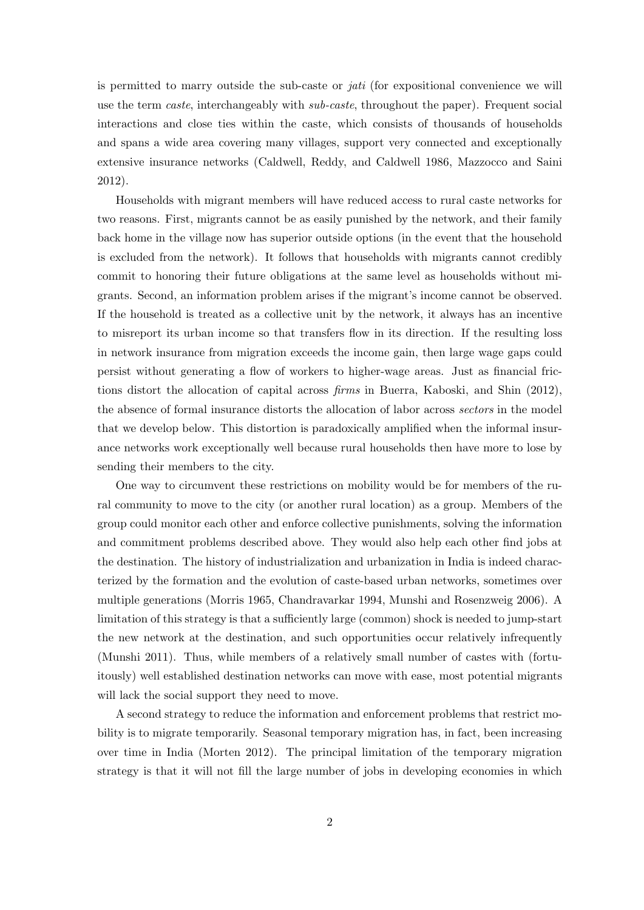is permitted to marry outside the sub-caste or jati (for expositional convenience we will use the term *caste*, interchangeably with *sub-caste*, throughout the paper). Frequent social interactions and close ties within the caste, which consists of thousands of households and spans a wide area covering many villages, support very connected and exceptionally extensive insurance networks (Caldwell, Reddy, and Caldwell 1986, Mazzocco and Saini 2012).

Households with migrant members will have reduced access to rural caste networks for two reasons. First, migrants cannot be as easily punished by the network, and their family back home in the village now has superior outside options (in the event that the household is excluded from the network). It follows that households with migrants cannot credibly commit to honoring their future obligations at the same level as households without migrants. Second, an information problem arises if the migrant's income cannot be observed. If the household is treated as a collective unit by the network, it always has an incentive to misreport its urban income so that transfers flow in its direction. If the resulting loss in network insurance from migration exceeds the income gain, then large wage gaps could persist without generating a flow of workers to higher-wage areas. Just as financial frictions distort the allocation of capital across firms in Buerra, Kaboski, and Shin (2012), the absence of formal insurance distorts the allocation of labor across sectors in the model that we develop below. This distortion is paradoxically amplified when the informal insurance networks work exceptionally well because rural households then have more to lose by sending their members to the city.

One way to circumvent these restrictions on mobility would be for members of the rural community to move to the city (or another rural location) as a group. Members of the group could monitor each other and enforce collective punishments, solving the information and commitment problems described above. They would also help each other find jobs at the destination. The history of industrialization and urbanization in India is indeed characterized by the formation and the evolution of caste-based urban networks, sometimes over multiple generations (Morris 1965, Chandravarkar 1994, Munshi and Rosenzweig 2006). A limitation of this strategy is that a sufficiently large (common) shock is needed to jump-start the new network at the destination, and such opportunities occur relatively infrequently (Munshi 2011). Thus, while members of a relatively small number of castes with (fortuitously) well established destination networks can move with ease, most potential migrants will lack the social support they need to move.

A second strategy to reduce the information and enforcement problems that restrict mobility is to migrate temporarily. Seasonal temporary migration has, in fact, been increasing over time in India (Morten 2012). The principal limitation of the temporary migration strategy is that it will not fill the large number of jobs in developing economies in which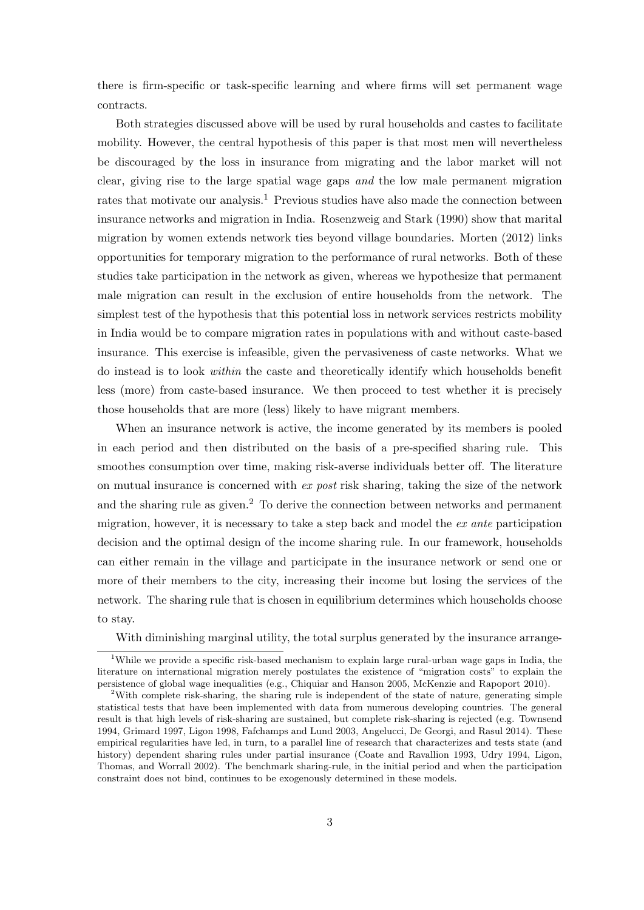there is firm-specific or task-specific learning and where firms will set permanent wage contracts.

Both strategies discussed above will be used by rural households and castes to facilitate mobility. However, the central hypothesis of this paper is that most men will nevertheless be discouraged by the loss in insurance from migrating and the labor market will not clear, giving rise to the large spatial wage gaps and the low male permanent migration rates that motivate our analysis.<sup>1</sup> Previous studies have also made the connection between insurance networks and migration in India. Rosenzweig and Stark (1990) show that marital migration by women extends network ties beyond village boundaries. Morten (2012) links opportunities for temporary migration to the performance of rural networks. Both of these studies take participation in the network as given, whereas we hypothesize that permanent male migration can result in the exclusion of entire households from the network. The simplest test of the hypothesis that this potential loss in network services restricts mobility in India would be to compare migration rates in populations with and without caste-based insurance. This exercise is infeasible, given the pervasiveness of caste networks. What we do instead is to look within the caste and theoretically identify which households benefit less (more) from caste-based insurance. We then proceed to test whether it is precisely those households that are more (less) likely to have migrant members.

When an insurance network is active, the income generated by its members is pooled in each period and then distributed on the basis of a pre-specified sharing rule. This smoothes consumption over time, making risk-averse individuals better off. The literature on mutual insurance is concerned with ex post risk sharing, taking the size of the network and the sharing rule as given.<sup>2</sup> To derive the connection between networks and permanent migration, however, it is necessary to take a step back and model the ex ante participation decision and the optimal design of the income sharing rule. In our framework, households can either remain in the village and participate in the insurance network or send one or more of their members to the city, increasing their income but losing the services of the network. The sharing rule that is chosen in equilibrium determines which households choose to stay.

With diminishing marginal utility, the total surplus generated by the insurance arrange-

<sup>&</sup>lt;sup>1</sup>While we provide a specific risk-based mechanism to explain large rural-urban wage gaps in India, the literature on international migration merely postulates the existence of "migration costs" to explain the persistence of global wage inequalities (e.g., Chiquiar and Hanson 2005, McKenzie and Rapoport 2010).

<sup>&</sup>lt;sup>2</sup>With complete risk-sharing, the sharing rule is independent of the state of nature, generating simple statistical tests that have been implemented with data from numerous developing countries. The general result is that high levels of risk-sharing are sustained, but complete risk-sharing is rejected (e.g. Townsend 1994, Grimard 1997, Ligon 1998, Fafchamps and Lund 2003, Angelucci, De Georgi, and Rasul 2014). These empirical regularities have led, in turn, to a parallel line of research that characterizes and tests state (and history) dependent sharing rules under partial insurance (Coate and Ravallion 1993, Udry 1994, Ligon, Thomas, and Worrall 2002). The benchmark sharing-rule, in the initial period and when the participation constraint does not bind, continues to be exogenously determined in these models.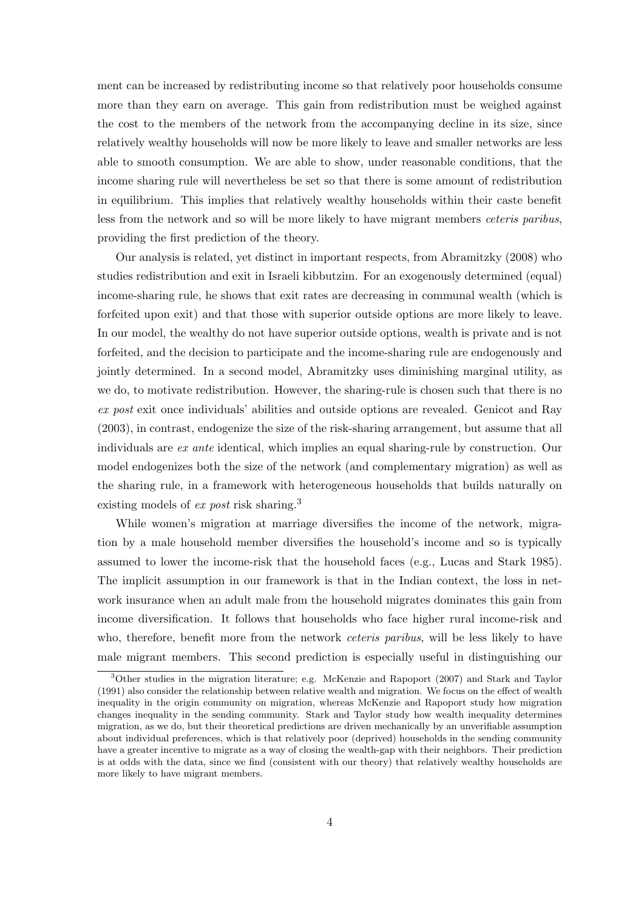ment can be increased by redistributing income so that relatively poor households consume more than they earn on average. This gain from redistribution must be weighed against the cost to the members of the network from the accompanying decline in its size, since relatively wealthy households will now be more likely to leave and smaller networks are less able to smooth consumption. We are able to show, under reasonable conditions, that the income sharing rule will nevertheless be set so that there is some amount of redistribution in equilibrium. This implies that relatively wealthy households within their caste benefit less from the network and so will be more likely to have migrant members ceteris paribus, providing the first prediction of the theory.

Our analysis is related, yet distinct in important respects, from Abramitzky (2008) who studies redistribution and exit in Israeli kibbutzim. For an exogenously determined (equal) income-sharing rule, he shows that exit rates are decreasing in communal wealth (which is forfeited upon exit) and that those with superior outside options are more likely to leave. In our model, the wealthy do not have superior outside options, wealth is private and is not forfeited, and the decision to participate and the income-sharing rule are endogenously and jointly determined. In a second model, Abramitzky uses diminishing marginal utility, as we do, to motivate redistribution. However, the sharing-rule is chosen such that there is no ex post exit once individuals' abilities and outside options are revealed. Genicot and Ray (2003), in contrast, endogenize the size of the risk-sharing arrangement, but assume that all individuals are ex ante identical, which implies an equal sharing-rule by construction. Our model endogenizes both the size of the network (and complementary migration) as well as the sharing rule, in a framework with heterogeneous households that builds naturally on existing models of *ex post* risk sharing.<sup>3</sup>

While women's migration at marriage diversifies the income of the network, migration by a male household member diversifies the household's income and so is typically assumed to lower the income-risk that the household faces (e.g., Lucas and Stark 1985). The implicit assumption in our framework is that in the Indian context, the loss in network insurance when an adult male from the household migrates dominates this gain from income diversification. It follows that households who face higher rural income-risk and who, therefore, benefit more from the network *ceteris paribus*, will be less likely to have male migrant members. This second prediction is especially useful in distinguishing our

<sup>3</sup>Other studies in the migration literature; e.g. McKenzie and Rapoport (2007) and Stark and Taylor (1991) also consider the relationship between relative wealth and migration. We focus on the effect of wealth inequality in the origin community on migration, whereas McKenzie and Rapoport study how migration changes inequality in the sending community. Stark and Taylor study how wealth inequality determines migration, as we do, but their theoretical predictions are driven mechanically by an unverifiable assumption about individual preferences, which is that relatively poor (deprived) households in the sending community have a greater incentive to migrate as a way of closing the wealth-gap with their neighbors. Their prediction is at odds with the data, since we find (consistent with our theory) that relatively wealthy households are more likely to have migrant members.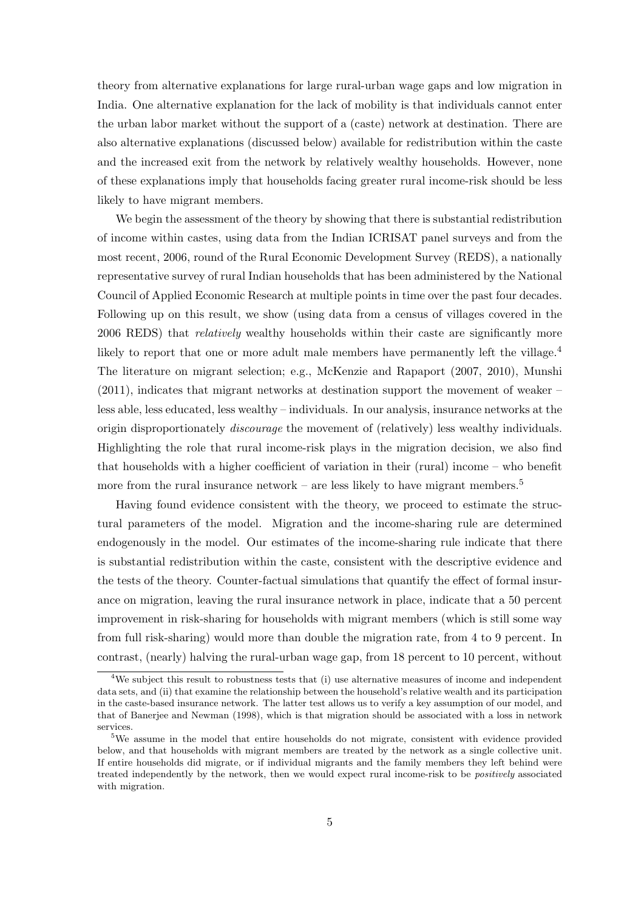theory from alternative explanations for large rural-urban wage gaps and low migration in India. One alternative explanation for the lack of mobility is that individuals cannot enter the urban labor market without the support of a (caste) network at destination. There are also alternative explanations (discussed below) available for redistribution within the caste and the increased exit from the network by relatively wealthy households. However, none of these explanations imply that households facing greater rural income-risk should be less likely to have migrant members.

We begin the assessment of the theory by showing that there is substantial redistribution of income within castes, using data from the Indian ICRISAT panel surveys and from the most recent, 2006, round of the Rural Economic Development Survey (REDS), a nationally representative survey of rural Indian households that has been administered by the National Council of Applied Economic Research at multiple points in time over the past four decades. Following up on this result, we show (using data from a census of villages covered in the 2006 REDS) that relatively wealthy households within their caste are significantly more likely to report that one or more adult male members have permanently left the village.<sup>4</sup> The literature on migrant selection; e.g., McKenzie and Rapaport (2007, 2010), Munshi (2011), indicates that migrant networks at destination support the movement of weaker – less able, less educated, less wealthy – individuals. In our analysis, insurance networks at the origin disproportionately *discourage* the movement of (relatively) less wealthy individuals. Highlighting the role that rural income-risk plays in the migration decision, we also find that households with a higher coefficient of variation in their (rural) income – who benefit more from the rural insurance network – are less likely to have migrant members. $5<sup>5</sup>$ 

Having found evidence consistent with the theory, we proceed to estimate the structural parameters of the model. Migration and the income-sharing rule are determined endogenously in the model. Our estimates of the income-sharing rule indicate that there is substantial redistribution within the caste, consistent with the descriptive evidence and the tests of the theory. Counter-factual simulations that quantify the effect of formal insurance on migration, leaving the rural insurance network in place, indicate that a 50 percent improvement in risk-sharing for households with migrant members (which is still some way from full risk-sharing) would more than double the migration rate, from 4 to 9 percent. In contrast, (nearly) halving the rural-urban wage gap, from 18 percent to 10 percent, without

<sup>&</sup>lt;sup>4</sup>We subject this result to robustness tests that (i) use alternative measures of income and independent data sets, and (ii) that examine the relationship between the household's relative wealth and its participation in the caste-based insurance network. The latter test allows us to verify a key assumption of our model, and that of Banerjee and Newman (1998), which is that migration should be associated with a loss in network services.

<sup>5</sup>We assume in the model that entire households do not migrate, consistent with evidence provided below, and that households with migrant members are treated by the network as a single collective unit. If entire households did migrate, or if individual migrants and the family members they left behind were treated independently by the network, then we would expect rural income-risk to be positively associated with migration.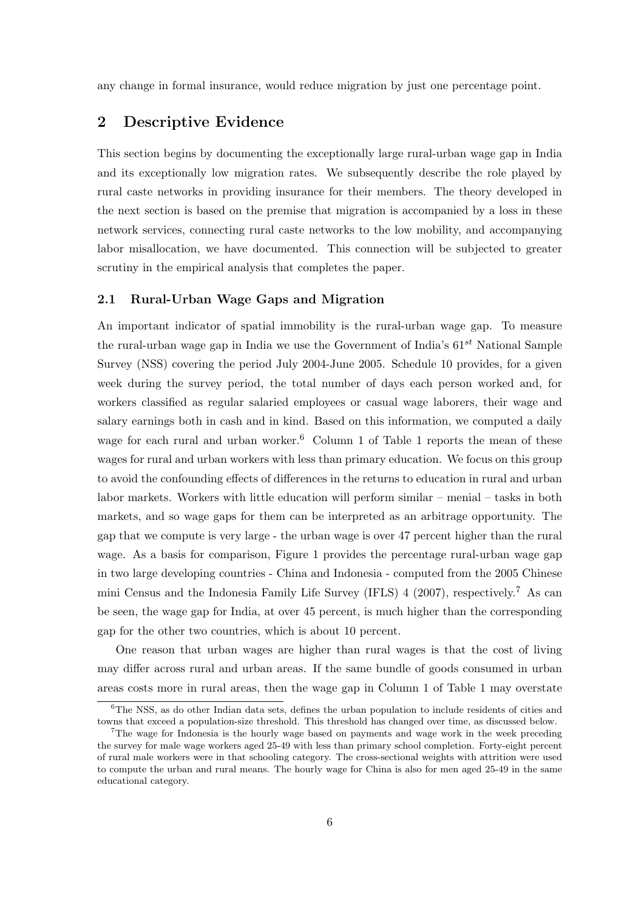any change in formal insurance, would reduce migration by just one percentage point.

# 2 Descriptive Evidence

This section begins by documenting the exceptionally large rural-urban wage gap in India and its exceptionally low migration rates. We subsequently describe the role played by rural caste networks in providing insurance for their members. The theory developed in the next section is based on the premise that migration is accompanied by a loss in these network services, connecting rural caste networks to the low mobility, and accompanying labor misallocation, we have documented. This connection will be subjected to greater scrutiny in the empirical analysis that completes the paper.

#### 2.1 Rural-Urban Wage Gaps and Migration

An important indicator of spatial immobility is the rural-urban wage gap. To measure the rural-urban wage gap in India we use the Government of India's  $61^{st}$  National Sample Survey (NSS) covering the period July 2004-June 2005. Schedule 10 provides, for a given week during the survey period, the total number of days each person worked and, for workers classified as regular salaried employees or casual wage laborers, their wage and salary earnings both in cash and in kind. Based on this information, we computed a daily wage for each rural and urban worker.<sup>6</sup> Column 1 of Table 1 reports the mean of these wages for rural and urban workers with less than primary education. We focus on this group to avoid the confounding effects of differences in the returns to education in rural and urban labor markets. Workers with little education will perform similar – menial – tasks in both markets, and so wage gaps for them can be interpreted as an arbitrage opportunity. The gap that we compute is very large - the urban wage is over 47 percent higher than the rural wage. As a basis for comparison, Figure 1 provides the percentage rural-urban wage gap in two large developing countries - China and Indonesia - computed from the 2005 Chinese mini Census and the Indonesia Family Life Survey (IFLS) 4 (2007), respectively.<sup>7</sup> As can be seen, the wage gap for India, at over 45 percent, is much higher than the corresponding gap for the other two countries, which is about 10 percent.

One reason that urban wages are higher than rural wages is that the cost of living may differ across rural and urban areas. If the same bundle of goods consumed in urban areas costs more in rural areas, then the wage gap in Column 1 of Table 1 may overstate

 $6$ The NSS, as do other Indian data sets, defines the urban population to include residents of cities and towns that exceed a population-size threshold. This threshold has changed over time, as discussed below.

<sup>&</sup>lt;sup>7</sup>The wage for Indonesia is the hourly wage based on payments and wage work in the week preceding the survey for male wage workers aged 25-49 with less than primary school completion. Forty-eight percent of rural male workers were in that schooling category. The cross-sectional weights with attrition were used to compute the urban and rural means. The hourly wage for China is also for men aged 25-49 in the same educational category.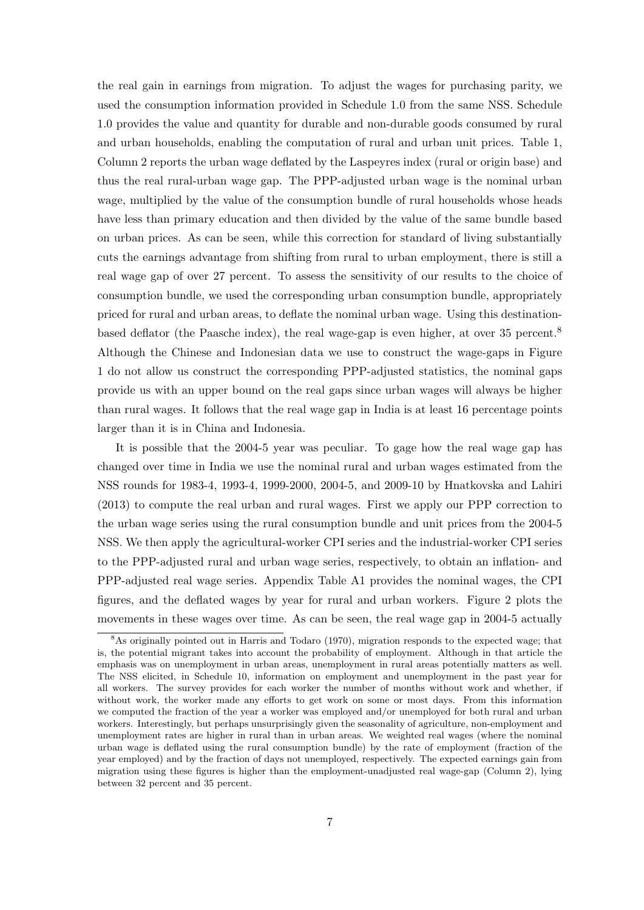the real gain in earnings from migration. To adjust the wages for purchasing parity, we used the consumption information provided in Schedule 1.0 from the same NSS. Schedule 1.0 provides the value and quantity for durable and non-durable goods consumed by rural and urban households, enabling the computation of rural and urban unit prices. Table 1, Column 2 reports the urban wage deflated by the Laspeyres index (rural or origin base) and thus the real rural-urban wage gap. The PPP-adjusted urban wage is the nominal urban wage, multiplied by the value of the consumption bundle of rural households whose heads have less than primary education and then divided by the value of the same bundle based on urban prices. As can be seen, while this correction for standard of living substantially cuts the earnings advantage from shifting from rural to urban employment, there is still a real wage gap of over 27 percent. To assess the sensitivity of our results to the choice of consumption bundle, we used the corresponding urban consumption bundle, appropriately priced for rural and urban areas, to deflate the nominal urban wage. Using this destinationbased deflator (the Paasche index), the real wage-gap is even higher, at over 35 percent.<sup>8</sup> Although the Chinese and Indonesian data we use to construct the wage-gaps in Figure 1 do not allow us construct the corresponding PPP-adjusted statistics, the nominal gaps provide us with an upper bound on the real gaps since urban wages will always be higher than rural wages. It follows that the real wage gap in India is at least 16 percentage points larger than it is in China and Indonesia.

It is possible that the 2004-5 year was peculiar. To gage how the real wage gap has changed over time in India we use the nominal rural and urban wages estimated from the NSS rounds for 1983-4, 1993-4, 1999-2000, 2004-5, and 2009-10 by Hnatkovska and Lahiri (2013) to compute the real urban and rural wages. First we apply our PPP correction to the urban wage series using the rural consumption bundle and unit prices from the 2004-5 NSS. We then apply the agricultural-worker CPI series and the industrial-worker CPI series to the PPP-adjusted rural and urban wage series, respectively, to obtain an inflation- and PPP-adjusted real wage series. Appendix Table A1 provides the nominal wages, the CPI figures, and the deflated wages by year for rural and urban workers. Figure 2 plots the movements in these wages over time. As can be seen, the real wage gap in 2004-5 actually

<sup>&</sup>lt;sup>8</sup>As originally pointed out in Harris and Todaro (1970), migration responds to the expected wage; that is, the potential migrant takes into account the probability of employment. Although in that article the emphasis was on unemployment in urban areas, unemployment in rural areas potentially matters as well. The NSS elicited, in Schedule 10, information on employment and unemployment in the past year for all workers. The survey provides for each worker the number of months without work and whether, if without work, the worker made any efforts to get work on some or most days. From this information we computed the fraction of the year a worker was employed and/or unemployed for both rural and urban workers. Interestingly, but perhaps unsurprisingly given the seasonality of agriculture, non-employment and unemployment rates are higher in rural than in urban areas. We weighted real wages (where the nominal urban wage is deflated using the rural consumption bundle) by the rate of employment (fraction of the year employed) and by the fraction of days not unemployed, respectively. The expected earnings gain from migration using these figures is higher than the employment-unadjusted real wage-gap (Column 2), lying between 32 percent and 35 percent.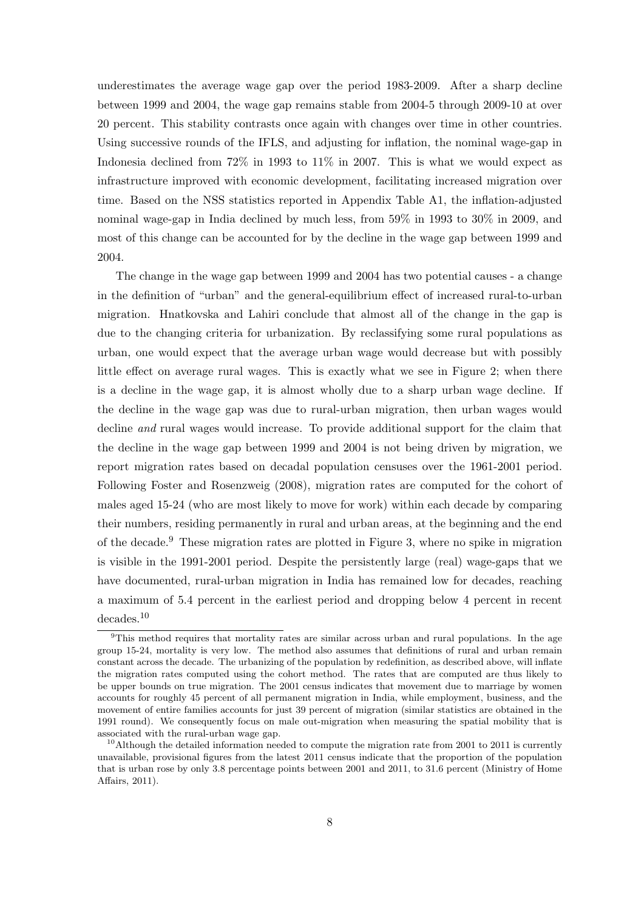underestimates the average wage gap over the period 1983-2009. After a sharp decline between 1999 and 2004, the wage gap remains stable from 2004-5 through 2009-10 at over 20 percent. This stability contrasts once again with changes over time in other countries. Using successive rounds of the IFLS, and adjusting for inflation, the nominal wage-gap in Indonesia declined from 72% in 1993 to 11% in 2007. This is what we would expect as infrastructure improved with economic development, facilitating increased migration over time. Based on the NSS statistics reported in Appendix Table A1, the inflation-adjusted nominal wage-gap in India declined by much less, from 59% in 1993 to 30% in 2009, and most of this change can be accounted for by the decline in the wage gap between 1999 and 2004.

The change in the wage gap between 1999 and 2004 has two potential causes - a change in the definition of "urban" and the general-equilibrium effect of increased rural-to-urban migration. Hnatkovska and Lahiri conclude that almost all of the change in the gap is due to the changing criteria for urbanization. By reclassifying some rural populations as urban, one would expect that the average urban wage would decrease but with possibly little effect on average rural wages. This is exactly what we see in Figure 2; when there is a decline in the wage gap, it is almost wholly due to a sharp urban wage decline. If the decline in the wage gap was due to rural-urban migration, then urban wages would decline and rural wages would increase. To provide additional support for the claim that the decline in the wage gap between 1999 and 2004 is not being driven by migration, we report migration rates based on decadal population censuses over the 1961-2001 period. Following Foster and Rosenzweig (2008), migration rates are computed for the cohort of males aged 15-24 (who are most likely to move for work) within each decade by comparing their numbers, residing permanently in rural and urban areas, at the beginning and the end of the decade.<sup>9</sup> These migration rates are plotted in Figure 3, where no spike in migration is visible in the 1991-2001 period. Despite the persistently large (real) wage-gaps that we have documented, rural-urban migration in India has remained low for decades, reaching a maximum of 5.4 percent in the earliest period and dropping below 4 percent in recent decades.<sup>10</sup>

<sup>&</sup>lt;sup>9</sup>This method requires that mortality rates are similar across urban and rural populations. In the age group 15-24, mortality is very low. The method also assumes that definitions of rural and urban remain constant across the decade. The urbanizing of the population by redefinition, as described above, will inflate the migration rates computed using the cohort method. The rates that are computed are thus likely to be upper bounds on true migration. The 2001 census indicates that movement due to marriage by women accounts for roughly 45 percent of all permanent migration in India, while employment, business, and the movement of entire families accounts for just 39 percent of migration (similar statistics are obtained in the 1991 round). We consequently focus on male out-migration when measuring the spatial mobility that is associated with the rural-urban wage gap.

 $10$ Although the detailed information needed to compute the migration rate from 2001 to 2011 is currently unavailable, provisional figures from the latest 2011 census indicate that the proportion of the population that is urban rose by only 3.8 percentage points between 2001 and 2011, to 31.6 percent (Ministry of Home Affairs, 2011).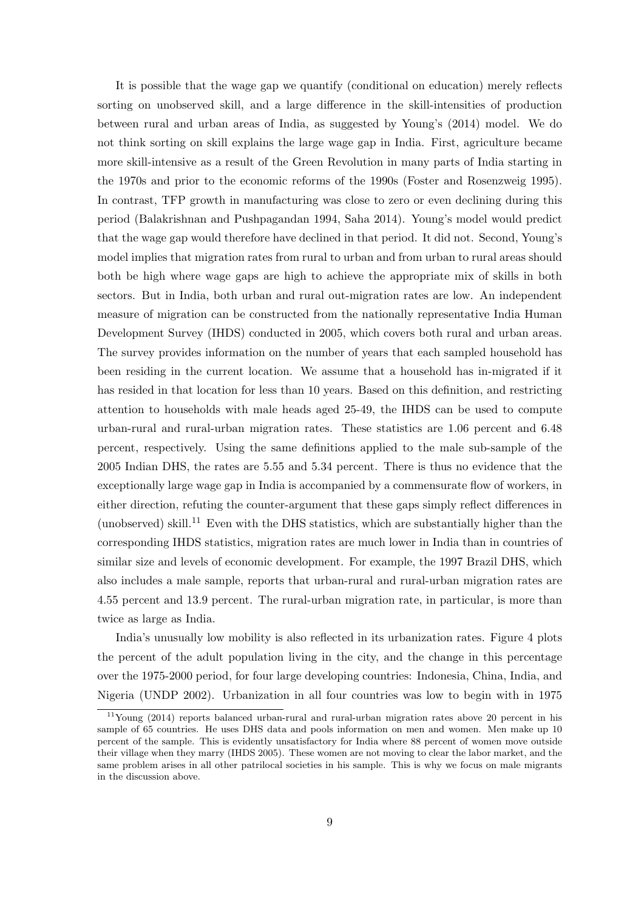It is possible that the wage gap we quantify (conditional on education) merely reflects sorting on unobserved skill, and a large difference in the skill-intensities of production between rural and urban areas of India, as suggested by Young's (2014) model. We do not think sorting on skill explains the large wage gap in India. First, agriculture became more skill-intensive as a result of the Green Revolution in many parts of India starting in the 1970s and prior to the economic reforms of the 1990s (Foster and Rosenzweig 1995). In contrast, TFP growth in manufacturing was close to zero or even declining during this period (Balakrishnan and Pushpagandan 1994, Saha 2014). Young's model would predict that the wage gap would therefore have declined in that period. It did not. Second, Young's model implies that migration rates from rural to urban and from urban to rural areas should both be high where wage gaps are high to achieve the appropriate mix of skills in both sectors. But in India, both urban and rural out-migration rates are low. An independent measure of migration can be constructed from the nationally representative India Human Development Survey (IHDS) conducted in 2005, which covers both rural and urban areas. The survey provides information on the number of years that each sampled household has been residing in the current location. We assume that a household has in-migrated if it has resided in that location for less than 10 years. Based on this definition, and restricting attention to households with male heads aged 25-49, the IHDS can be used to compute urban-rural and rural-urban migration rates. These statistics are 1.06 percent and 6.48 percent, respectively. Using the same definitions applied to the male sub-sample of the 2005 Indian DHS, the rates are 5.55 and 5.34 percent. There is thus no evidence that the exceptionally large wage gap in India is accompanied by a commensurate flow of workers, in either direction, refuting the counter-argument that these gaps simply reflect differences in (unobserved) skill.<sup>11</sup> Even with the DHS statistics, which are substantially higher than the corresponding IHDS statistics, migration rates are much lower in India than in countries of similar size and levels of economic development. For example, the 1997 Brazil DHS, which also includes a male sample, reports that urban-rural and rural-urban migration rates are 4.55 percent and 13.9 percent. The rural-urban migration rate, in particular, is more than twice as large as India.

India's unusually low mobility is also reflected in its urbanization rates. Figure 4 plots the percent of the adult population living in the city, and the change in this percentage over the 1975-2000 period, for four large developing countries: Indonesia, China, India, and Nigeria (UNDP 2002). Urbanization in all four countries was low to begin with in 1975

<sup>11</sup>Young (2014) reports balanced urban-rural and rural-urban migration rates above 20 percent in his sample of 65 countries. He uses DHS data and pools information on men and women. Men make up 10 percent of the sample. This is evidently unsatisfactory for India where 88 percent of women move outside their village when they marry (IHDS 2005). These women are not moving to clear the labor market, and the same problem arises in all other patrilocal societies in his sample. This is why we focus on male migrants in the discussion above.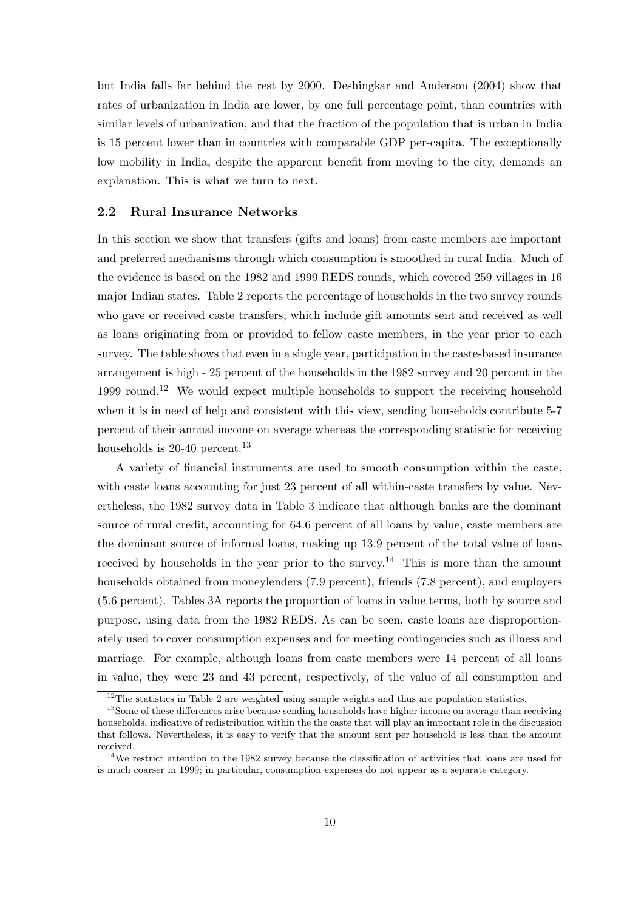but India falls far behind the rest by 2000. Deshingkar and Anderson (2004) show that rates of urbanization in India are lower, by one full percentage point, than countries with similar levels of urbanization, and that the fraction of the population that is urban in India is 15 percent lower than in countries with comparable GDP per-capita. The exceptionally low mobility in India, despite the apparent benefit from moving to the city, demands an explanation. This is what we turn to next.

#### 2.2 Rural Insurance Networks

In this section we show that transfers (gifts and loans) from caste members are important and preferred mechanisms through which consumption is smoothed in rural India. Much of the evidence is based on the 1982 and 1999 REDS rounds, which covered 259 villages in 16 major Indian states. Table 2 reports the percentage of households in the two survey rounds who gave or received caste transfers, which include gift amounts sent and received as well as loans originating from or provided to fellow caste members, in the year prior to each survey. The table shows that even in a single year, participation in the caste-based insurance arrangement is high - 25 percent of the households in the 1982 survey and 20 percent in the 1999 round.<sup>12</sup> We would expect multiple households to support the receiving household when it is in need of help and consistent with this view, sending households contribute 5-7 percent of their annual income on average whereas the corresponding statistic for receiving households is  $20-40$  percent.<sup>13</sup>

A variety of financial instruments are used to smooth consumption within the caste, with caste loans accounting for just 23 percent of all within-caste transfers by value. Nevertheless, the 1982 survey data in Table 3 indicate that although banks are the dominant source of rural credit, accounting for 64.6 percent of all loans by value, caste members are the dominant source of informal loans, making up 13.9 percent of the total value of loans received by households in the year prior to the survey.<sup>14</sup> This is more than the amount households obtained from moneylenders (7.9 percent), friends (7.8 percent), and employers (5.6 percent). Tables 3A reports the proportion of loans in value terms, both by source and purpose, using data from the 1982 REDS. As can be seen, caste loans are disproportionately used to cover consumption expenses and for meeting contingencies such as illness and marriage. For example, although loans from caste members were 14 percent of all loans in value, they were 23 and 43 percent, respectively, of the value of all consumption and

 $^{12}\mathrm{The}$  statistics in Table 2 are weighted using sample weights and thus are population statistics.

<sup>&</sup>lt;sup>13</sup>Some of these differences arise because sending households have higher income on average than receiving households, indicative of redistribution within the the caste that will play an important role in the discussion that follows. Nevertheless, it is easy to verify that the amount sent per household is less than the amount received.

<sup>14</sup>We restrict attention to the 1982 survey because the classification of activities that loans are used for is much coarser in 1999; in particular, consumption expenses do not appear as a separate category.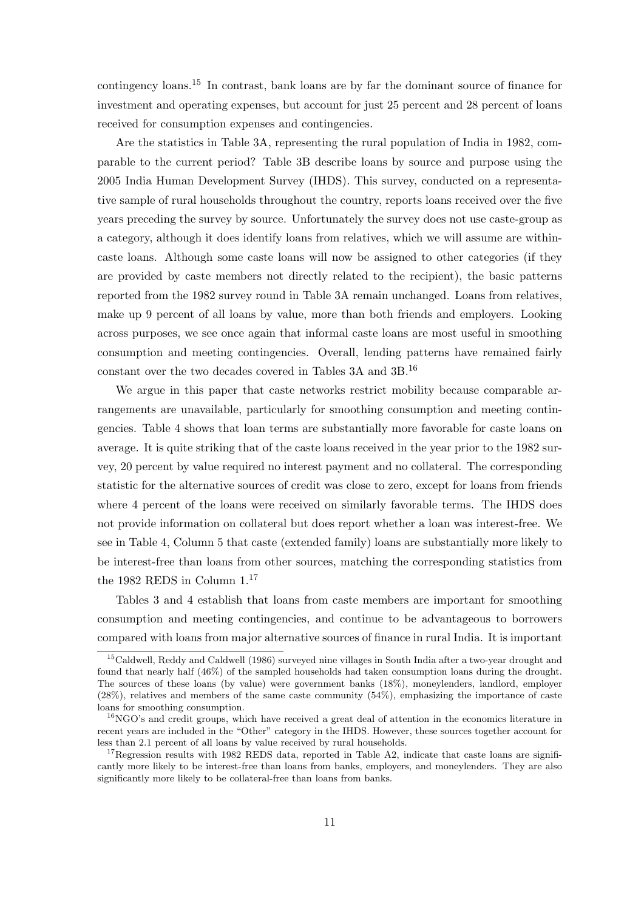contingency loans.<sup>15</sup> In contrast, bank loans are by far the dominant source of finance for investment and operating expenses, but account for just 25 percent and 28 percent of loans received for consumption expenses and contingencies.

Are the statistics in Table 3A, representing the rural population of India in 1982, comparable to the current period? Table 3B describe loans by source and purpose using the 2005 India Human Development Survey (IHDS). This survey, conducted on a representative sample of rural households throughout the country, reports loans received over the five years preceding the survey by source. Unfortunately the survey does not use caste-group as a category, although it does identify loans from relatives, which we will assume are withincaste loans. Although some caste loans will now be assigned to other categories (if they are provided by caste members not directly related to the recipient), the basic patterns reported from the 1982 survey round in Table 3A remain unchanged. Loans from relatives, make up 9 percent of all loans by value, more than both friends and employers. Looking across purposes, we see once again that informal caste loans are most useful in smoothing consumption and meeting contingencies. Overall, lending patterns have remained fairly constant over the two decades covered in Tables 3A and 3B.<sup>16</sup>

We argue in this paper that caste networks restrict mobility because comparable arrangements are unavailable, particularly for smoothing consumption and meeting contingencies. Table 4 shows that loan terms are substantially more favorable for caste loans on average. It is quite striking that of the caste loans received in the year prior to the 1982 survey, 20 percent by value required no interest payment and no collateral. The corresponding statistic for the alternative sources of credit was close to zero, except for loans from friends where 4 percent of the loans were received on similarly favorable terms. The IHDS does not provide information on collateral but does report whether a loan was interest-free. We see in Table 4, Column 5 that caste (extended family) loans are substantially more likely to be interest-free than loans from other sources, matching the corresponding statistics from the 1982 REDS in Column  $1.^{17}\,$ 

Tables 3 and 4 establish that loans from caste members are important for smoothing consumption and meeting contingencies, and continue to be advantageous to borrowers compared with loans from major alternative sources of finance in rural India. It is important

<sup>15</sup>Caldwell, Reddy and Caldwell (1986) surveyed nine villages in South India after a two-year drought and found that nearly half (46%) of the sampled households had taken consumption loans during the drought. The sources of these loans (by value) were government banks (18%), moneylenders, landlord, employer (28%), relatives and members of the same caste community (54%), emphasizing the importance of caste loans for smoothing consumption.

 $^{16}$ NGO's and credit groups, which have received a great deal of attention in the economics literature in recent years are included in the "Other" category in the IHDS. However, these sources together account for less than 2.1 percent of all loans by value received by rural households.

<sup>&</sup>lt;sup>17</sup>Regression results with 1982 REDS data, reported in Table A2, indicate that caste loans are significantly more likely to be interest-free than loans from banks, employers, and moneylenders. They are also significantly more likely to be collateral-free than loans from banks.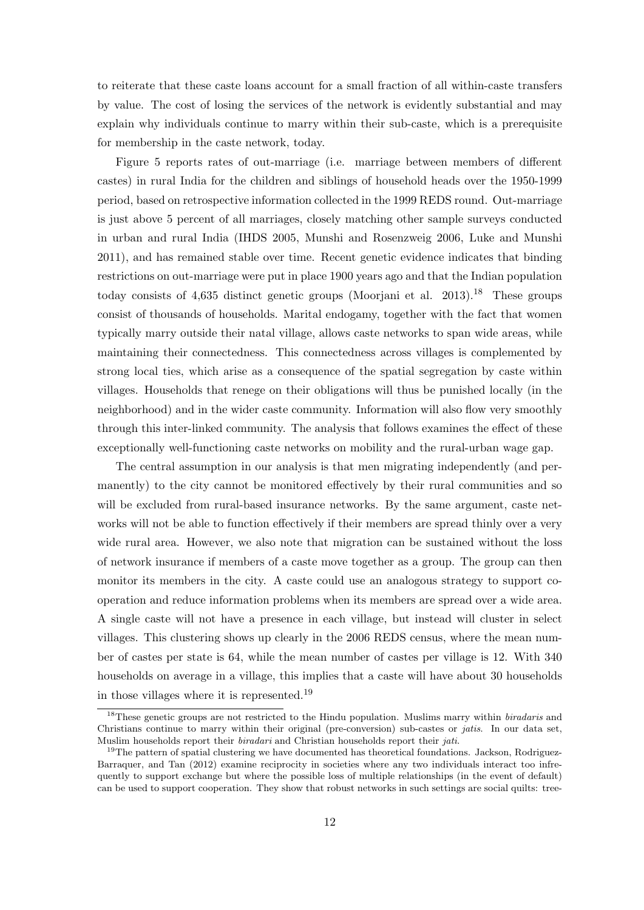to reiterate that these caste loans account for a small fraction of all within-caste transfers by value. The cost of losing the services of the network is evidently substantial and may explain why individuals continue to marry within their sub-caste, which is a prerequisite for membership in the caste network, today.

Figure 5 reports rates of out-marriage (i.e. marriage between members of different castes) in rural India for the children and siblings of household heads over the 1950-1999 period, based on retrospective information collected in the 1999 REDS round. Out-marriage is just above 5 percent of all marriages, closely matching other sample surveys conducted in urban and rural India (IHDS 2005, Munshi and Rosenzweig 2006, Luke and Munshi 2011), and has remained stable over time. Recent genetic evidence indicates that binding restrictions on out-marriage were put in place 1900 years ago and that the Indian population today consists of  $4,635$  distinct genetic groups (Moorjani et al. 2013).<sup>18</sup> These groups consist of thousands of households. Marital endogamy, together with the fact that women typically marry outside their natal village, allows caste networks to span wide areas, while maintaining their connectedness. This connectedness across villages is complemented by strong local ties, which arise as a consequence of the spatial segregation by caste within villages. Households that renege on their obligations will thus be punished locally (in the neighborhood) and in the wider caste community. Information will also flow very smoothly through this inter-linked community. The analysis that follows examines the effect of these exceptionally well-functioning caste networks on mobility and the rural-urban wage gap.

The central assumption in our analysis is that men migrating independently (and permanently) to the city cannot be monitored effectively by their rural communities and so will be excluded from rural-based insurance networks. By the same argument, caste networks will not be able to function effectively if their members are spread thinly over a very wide rural area. However, we also note that migration can be sustained without the loss of network insurance if members of a caste move together as a group. The group can then monitor its members in the city. A caste could use an analogous strategy to support cooperation and reduce information problems when its members are spread over a wide area. A single caste will not have a presence in each village, but instead will cluster in select villages. This clustering shows up clearly in the 2006 REDS census, where the mean number of castes per state is 64, while the mean number of castes per village is 12. With 340 households on average in a village, this implies that a caste will have about 30 households in those villages where it is represented.<sup>19</sup>

<sup>&</sup>lt;sup>18</sup>These genetic groups are not restricted to the Hindu population. Muslims marry within *biradaris* and Christians continue to marry within their original (pre-conversion) sub-castes or jatis. In our data set, Muslim households report their *biradari* and Christian households report their *jati.* 

 $19$ The pattern of spatial clustering we have documented has theoretical foundations. Jackson, Rodriguez-Barraquer, and Tan (2012) examine reciprocity in societies where any two individuals interact too infrequently to support exchange but where the possible loss of multiple relationships (in the event of default) can be used to support cooperation. They show that robust networks in such settings are social quilts: tree-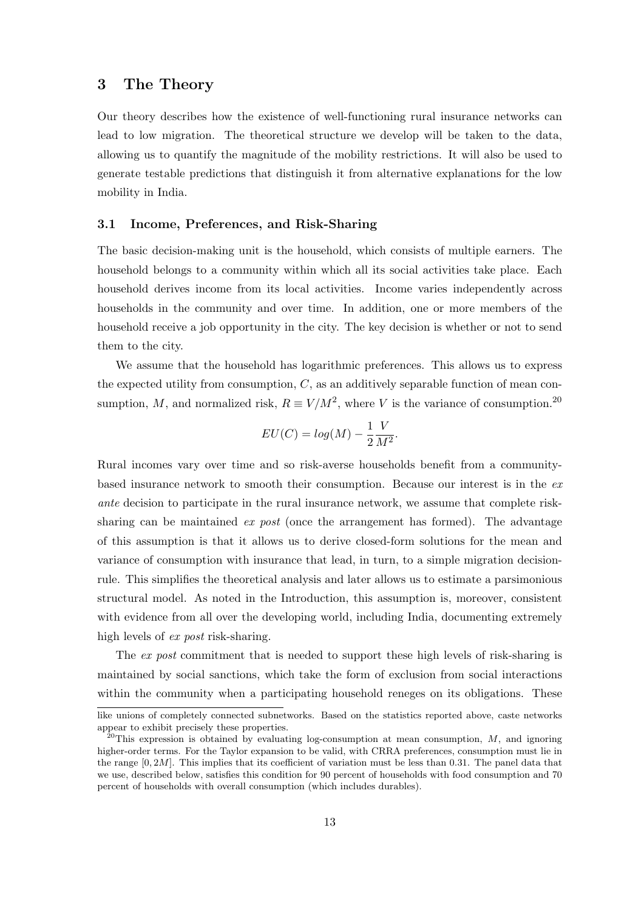## 3 The Theory

Our theory describes how the existence of well-functioning rural insurance networks can lead to low migration. The theoretical structure we develop will be taken to the data, allowing us to quantify the magnitude of the mobility restrictions. It will also be used to generate testable predictions that distinguish it from alternative explanations for the low mobility in India.

#### 3.1 Income, Preferences, and Risk-Sharing

The basic decision-making unit is the household, which consists of multiple earners. The household belongs to a community within which all its social activities take place. Each household derives income from its local activities. Income varies independently across households in the community and over time. In addition, one or more members of the household receive a job opportunity in the city. The key decision is whether or not to send them to the city.

We assume that the household has logarithmic preferences. This allows us to express the expected utility from consumption,  $C$ , as an additively separable function of mean consumption, M, and normalized risk,  $R \equiv V/M^2$ , where V is the variance of consumption.<sup>20</sup>

$$
EU(C) = log(M) - \frac{1}{2} \frac{V}{M^2}.
$$

Rural incomes vary over time and so risk-averse households benefit from a communitybased insurance network to smooth their consumption. Because our interest is in the ex ante decision to participate in the rural insurance network, we assume that complete risksharing can be maintained  $ex$  post (once the arrangement has formed). The advantage of this assumption is that it allows us to derive closed-form solutions for the mean and variance of consumption with insurance that lead, in turn, to a simple migration decisionrule. This simplifies the theoretical analysis and later allows us to estimate a parsimonious structural model. As noted in the Introduction, this assumption is, moreover, consistent with evidence from all over the developing world, including India, documenting extremely high levels of *ex post* risk-sharing.

The ex post commitment that is needed to support these high levels of risk-sharing is maintained by social sanctions, which take the form of exclusion from social interactions within the community when a participating household reneges on its obligations. These

like unions of completely connected subnetworks. Based on the statistics reported above, caste networks appear to exhibit precisely these properties.

 $^{20}$ This expression is obtained by evaluating log-consumption at mean consumption, M, and ignoring higher-order terms. For the Taylor expansion to be valid, with CRRA preferences, consumption must lie in the range  $[0, 2M]$ . This implies that its coefficient of variation must be less than 0.31. The panel data that we use, described below, satisfies this condition for 90 percent of households with food consumption and 70 percent of households with overall consumption (which includes durables).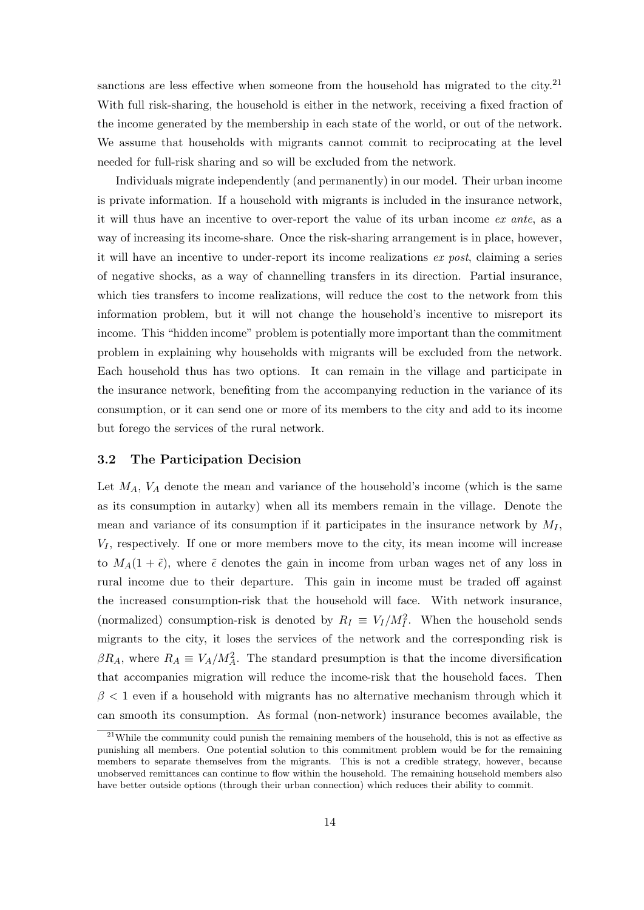sanctions are less effective when someone from the household has migrated to the city. $2<sup>1</sup>$ With full risk-sharing, the household is either in the network, receiving a fixed fraction of the income generated by the membership in each state of the world, or out of the network. We assume that households with migrants cannot commit to reciprocating at the level needed for full-risk sharing and so will be excluded from the network.

Individuals migrate independently (and permanently) in our model. Their urban income is private information. If a household with migrants is included in the insurance network, it will thus have an incentive to over-report the value of its urban income ex ante, as a way of increasing its income-share. Once the risk-sharing arrangement is in place, however, it will have an incentive to under-report its income realizations ex post, claiming a series of negative shocks, as a way of channelling transfers in its direction. Partial insurance, which ties transfers to income realizations, will reduce the cost to the network from this information problem, but it will not change the household's incentive to misreport its income. This "hidden income" problem is potentially more important than the commitment problem in explaining why households with migrants will be excluded from the network. Each household thus has two options. It can remain in the village and participate in the insurance network, benefiting from the accompanying reduction in the variance of its consumption, or it can send one or more of its members to the city and add to its income but forego the services of the rural network.

#### 3.2 The Participation Decision

Let  $M_A$ ,  $V_A$  denote the mean and variance of the household's income (which is the same as its consumption in autarky) when all its members remain in the village. Denote the mean and variance of its consumption if it participates in the insurance network by  $M_I$ ,  $V_I$ , respectively. If one or more members move to the city, its mean income will increase to  $M_A(1 + \tilde{\epsilon})$ , where  $\tilde{\epsilon}$  denotes the gain in income from urban wages net of any loss in rural income due to their departure. This gain in income must be traded off against the increased consumption-risk that the household will face. With network insurance, (normalized) consumption-risk is denoted by  $R_I \equiv V_I/M_I^2$ . When the household sends migrants to the city, it loses the services of the network and the corresponding risk is  $\beta R_A$ , where  $R_A \equiv V_A/M_A^2$ . The standard presumption is that the income diversification that accompanies migration will reduce the income-risk that the household faces. Then  $\beta$  < 1 even if a household with migrants has no alternative mechanism through which it can smooth its consumption. As formal (non-network) insurance becomes available, the

 $21$ While the community could punish the remaining members of the household, this is not as effective as punishing all members. One potential solution to this commitment problem would be for the remaining members to separate themselves from the migrants. This is not a credible strategy, however, because unobserved remittances can continue to flow within the household. The remaining household members also have better outside options (through their urban connection) which reduces their ability to commit.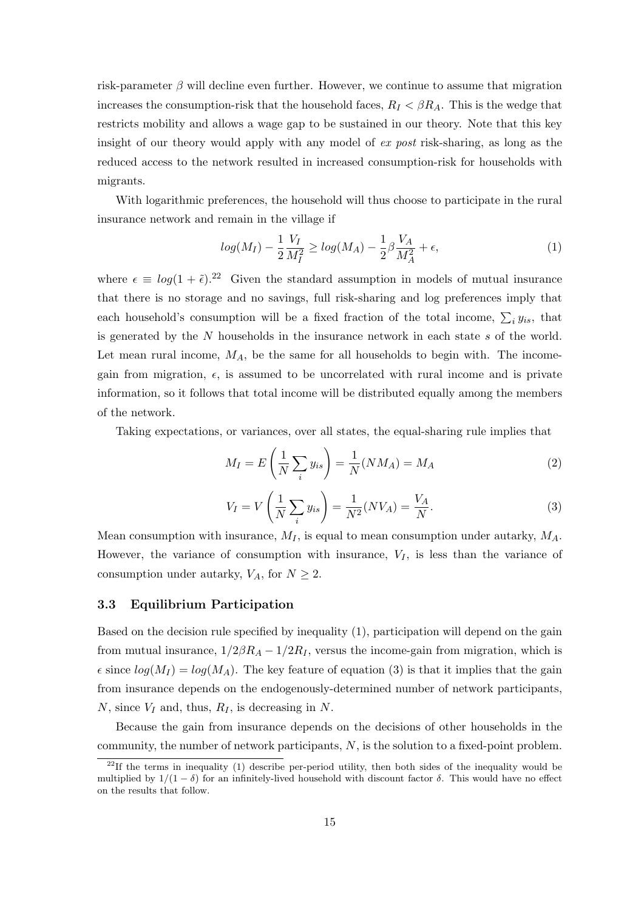risk-parameter  $\beta$  will decline even further. However, we continue to assume that migration increases the consumption-risk that the household faces,  $R_I < \beta R_A$ . This is the wedge that restricts mobility and allows a wage gap to be sustained in our theory. Note that this key insight of our theory would apply with any model of ex post risk-sharing, as long as the reduced access to the network resulted in increased consumption-risk for households with migrants.

With logarithmic preferences, the household will thus choose to participate in the rural insurance network and remain in the village if

$$
log(M_I) - \frac{1}{2} \frac{V_I}{M_I^2} \ge log(M_A) - \frac{1}{2} \beta \frac{V_A}{M_A^2} + \epsilon,
$$
\n(1)

where  $\epsilon \equiv log(1 + \tilde{\epsilon})^{22}$  Given the standard assumption in models of mutual insurance that there is no storage and no savings, full risk-sharing and log preferences imply that each household's consumption will be a fixed fraction of the total income,  $\sum_i y_{is}$ , that is generated by the  $N$  households in the insurance network in each state  $s$  of the world. Let mean rural income,  $M_A$ , be the same for all households to begin with. The incomegain from migration,  $\epsilon$ , is assumed to be uncorrelated with rural income and is private information, so it follows that total income will be distributed equally among the members of the network.

Taking expectations, or variances, over all states, the equal-sharing rule implies that

$$
M_I = E\left(\frac{1}{N}\sum_i y_{is}\right) = \frac{1}{N}(NM_A) = M_A\tag{2}
$$

$$
V_I = V\left(\frac{1}{N}\sum_i y_{is}\right) = \frac{1}{N^2}(NV_A) = \frac{V_A}{N}.
$$
\n(3)

Mean consumption with insurance,  $M_I$ , is equal to mean consumption under autarky,  $M_A$ . However, the variance of consumption with insurance,  $V_I$ , is less than the variance of consumption under autarky,  $V_A$ , for  $N \geq 2$ .

#### 3.3 Equilibrium Participation

Based on the decision rule specified by inequality (1), participation will depend on the gain from mutual insurance,  $1/2\beta R_A - 1/2R_I$ , versus the income-gain from migration, which is  $\epsilon$  since  $log(M_I) = log(M_A)$ . The key feature of equation (3) is that it implies that the gain from insurance depends on the endogenously-determined number of network participants, N, since  $V_I$  and, thus,  $R_I$ , is decreasing in N.

Because the gain from insurance depends on the decisions of other households in the community, the number of network participants, N, is the solution to a fixed-point problem.

<sup>&</sup>lt;sup>22</sup>If the terms in inequality (1) describe per-period utility, then both sides of the inequality would be multiplied by  $1/(1 - \delta)$  for an infinitely-lived household with discount factor  $\delta$ . This would have no effect on the results that follow.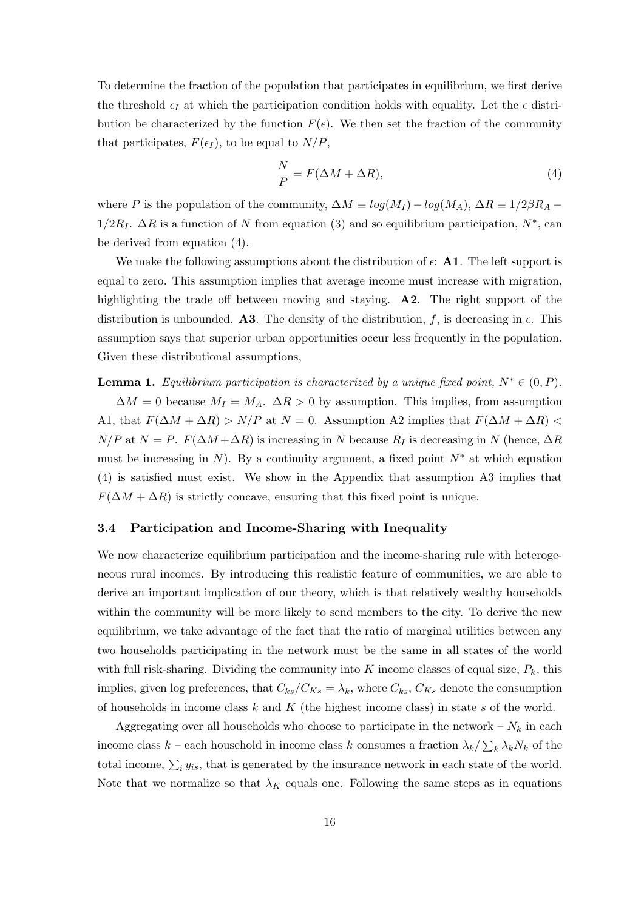To determine the fraction of the population that participates in equilibrium, we first derive the threshold  $\epsilon_I$  at which the participation condition holds with equality. Let the  $\epsilon$  distribution be characterized by the function  $F(\epsilon)$ . We then set the fraction of the community that participates,  $F(\epsilon_I)$ , to be equal to  $N/P$ ,

$$
\frac{N}{P} = F(\Delta M + \Delta R),\tag{4}
$$

where P is the population of the community,  $\Delta M \equiv log(M_I) - log(M_A)$ ,  $\Delta R \equiv 1/2\beta R_A 1/2R_I$ .  $\Delta R$  is a function of N from equation (3) and so equilibrium participation,  $N^*$ , can be derived from equation (4).

We make the following assumptions about the distribution of  $\epsilon$ : A1. The left support is equal to zero. This assumption implies that average income must increase with migration, highlighting the trade off between moving and staying. **A2**. The right support of the distribution is unbounded. A3. The density of the distribution, f, is decreasing in  $\epsilon$ . This assumption says that superior urban opportunities occur less frequently in the population. Given these distributional assumptions,

**Lemma 1.** Equilibrium participation is characterized by a unique fixed point,  $N^* \in (0, P)$ .

 $\Delta M = 0$  because  $M_I = M_A$ .  $\Delta R > 0$  by assumption. This implies, from assumption A1, that  $F(\Delta M + \Delta R) > N/P$  at  $N = 0$ . Assumption A2 implies that  $F(\Delta M + \Delta R)$  $N/P$  at  $N = P$ .  $F(\Delta M + \Delta R)$  is increasing in N because  $R_I$  is decreasing in N (hence,  $\Delta R$ must be increasing in N). By a continuity argument, a fixed point  $N^*$  at which equation (4) is satisfied must exist. We show in the Appendix that assumption A3 implies that  $F(\Delta M + \Delta R)$  is strictly concave, ensuring that this fixed point is unique.

#### 3.4 Participation and Income-Sharing with Inequality

We now characterize equilibrium participation and the income-sharing rule with heterogeneous rural incomes. By introducing this realistic feature of communities, we are able to derive an important implication of our theory, which is that relatively wealthy households within the community will be more likely to send members to the city. To derive the new equilibrium, we take advantage of the fact that the ratio of marginal utilities between any two households participating in the network must be the same in all states of the world with full risk-sharing. Dividing the community into K income classes of equal size,  $P_k$ , this implies, given log preferences, that  $C_{ks}/C_{Ks} = \lambda_k$ , where  $C_{ks}$ ,  $C_{Ks}$  denote the consumption of households in income class  $k$  and  $K$  (the highest income class) in state  $s$  of the world.

Aggregating over all households who choose to participate in the network –  $N_k$  in each income class  $k$  – each household in income class k consumes a fraction  $\lambda_k / \sum_k \lambda_k N_k$  of the total income,  $\sum_i y_{is}$ , that is generated by the insurance network in each state of the world. Note that we normalize so that  $\lambda_K$  equals one. Following the same steps as in equations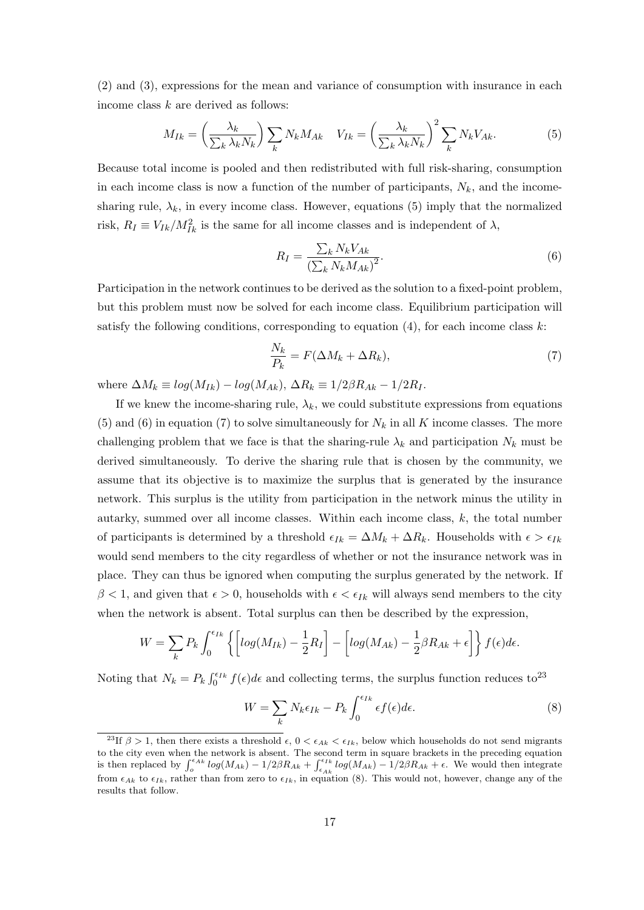(2) and (3), expressions for the mean and variance of consumption with insurance in each income class k are derived as follows:

$$
M_{Ik} = \left(\frac{\lambda_k}{\sum_k \lambda_k N_k}\right) \sum_k N_k M_{Ak} \quad V_{Ik} = \left(\frac{\lambda_k}{\sum_k \lambda_k N_k}\right)^2 \sum_k N_k V_{Ak}.
$$
 (5)

Because total income is pooled and then redistributed with full risk-sharing, consumption in each income class is now a function of the number of participants,  $N_k$ , and the incomesharing rule,  $\lambda_k$ , in every income class. However, equations (5) imply that the normalized risk,  $R_I \equiv V_{Ik}/M_{Ik}^2$  is the same for all income classes and is independent of  $\lambda$ ,

$$
R_I = \frac{\sum_k N_k V_{Ak}}{\left(\sum_k N_k M_{Ak}\right)^2}.
$$
\n<sup>(6)</sup>

Participation in the network continues to be derived as the solution to a fixed-point problem, but this problem must now be solved for each income class. Equilibrium participation will satisfy the following conditions, corresponding to equation  $(4)$ , for each income class k:

$$
\frac{N_k}{P_k} = F(\Delta M_k + \Delta R_k),\tag{7}
$$

where  $\Delta M_k \equiv log(M_{Ik}) - log(M_{Ak}), \Delta R_k \equiv 1/2\beta R_{Ak} - 1/2R_I.$ 

If we knew the income-sharing rule,  $\lambda_k$ , we could substitute expressions from equations (5) and (6) in equation (7) to solve simultaneously for  $N_k$  in all K income classes. The more challenging problem that we face is that the sharing-rule  $\lambda_k$  and participation  $N_k$  must be derived simultaneously. To derive the sharing rule that is chosen by the community, we assume that its objective is to maximize the surplus that is generated by the insurance network. This surplus is the utility from participation in the network minus the utility in autarky, summed over all income classes. Within each income class, k, the total number of participants is determined by a threshold  $\epsilon_{Ik} = \Delta M_k + \Delta R_k$ . Households with  $\epsilon > \epsilon_{Ik}$ would send members to the city regardless of whether or not the insurance network was in place. They can thus be ignored when computing the surplus generated by the network. If  $\beta$  < 1, and given that  $\epsilon > 0$ , households with  $\epsilon < \epsilon_{Ik}$  will always send members to the city when the network is absent. Total surplus can then be described by the expression,

$$
W = \sum_{k} P_k \int_0^{\epsilon_{Ik}} \left\{ \left[ \log(M_{Ik}) - \frac{1}{2} R_I \right] - \left[ \log(M_{Ak}) - \frac{1}{2} \beta R_{Ak} + \epsilon \right] \right\} f(\epsilon) d\epsilon.
$$

Noting that  $N_k = P_k \int_0^{\epsilon_{Ik}} f(\epsilon) d\epsilon$  and collecting terms, the surplus function reduces to<sup>23</sup>

$$
W = \sum_{k} N_k \epsilon_{Ik} - P_k \int_0^{\epsilon_{Ik}} \epsilon f(\epsilon) d\epsilon.
$$
 (8)

<sup>&</sup>lt;sup>23</sup>If  $\beta > 1$ , then there exists a threshold  $\epsilon$ ,  $0 < \epsilon_{Ak} < \epsilon_{Ik}$ , below which households do not send migrants to the city even when the network is absent. The second term in square brackets in the preceding equation<br>is then replaced by  $\int_{\epsilon}^{\epsilon_{Ak}} log(M_{Ak}) - 1/2\beta R_{Ak} + \int_{\epsilon_{Ak}}^{\epsilon_{Ik}} log(M_{Ak}) - 1/2\beta R_{Ak} + \epsilon$ . We would then integrate from  $\epsilon_{Ak}$  to  $\epsilon_{Ik}$ , rather than from zero to  $\epsilon_{Ik}$ , in equation (8). This would not, however, change any of the results that follow.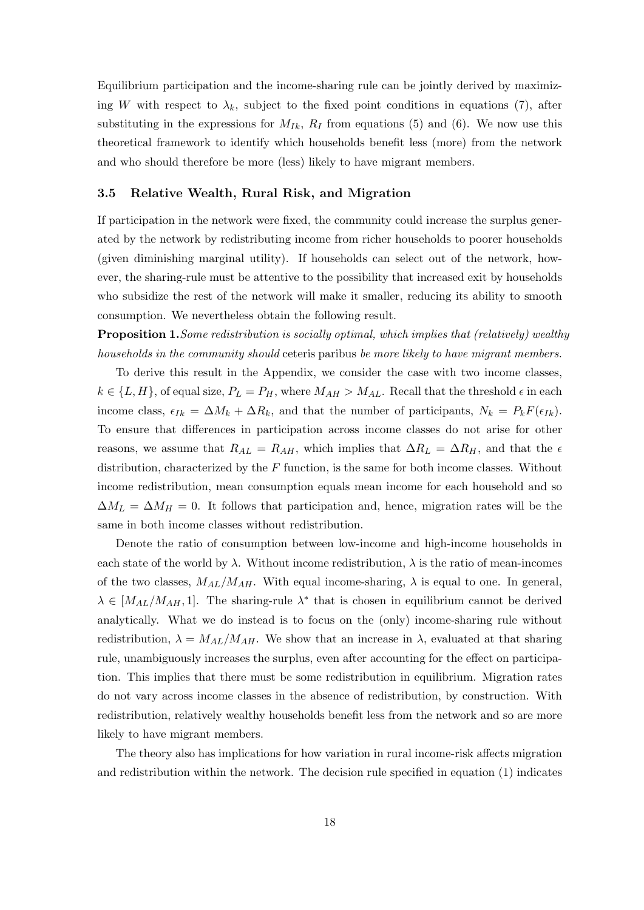Equilibrium participation and the income-sharing rule can be jointly derived by maximizing W with respect to  $\lambda_k$ , subject to the fixed point conditions in equations (7), after substituting in the expressions for  $M_{Ik}$ ,  $R_I$  from equations (5) and (6). We now use this theoretical framework to identify which households benefit less (more) from the network and who should therefore be more (less) likely to have migrant members.

#### 3.5 Relative Wealth, Rural Risk, and Migration

If participation in the network were fixed, the community could increase the surplus generated by the network by redistributing income from richer households to poorer households (given diminishing marginal utility). If households can select out of the network, however, the sharing-rule must be attentive to the possibility that increased exit by households who subsidize the rest of the network will make it smaller, reducing its ability to smooth consumption. We nevertheless obtain the following result.

Proposition 1.Some redistribution is socially optimal, which implies that (relatively) wealthy households in the community should ceteris paribus be more likely to have migrant members.

To derive this result in the Appendix, we consider the case with two income classes,  $k \in \{L, H\}$ , of equal size,  $P_L = P_H$ , where  $M_{AH} > M_{AL}$ . Recall that the threshold  $\epsilon$  in each income class,  $\epsilon_{Ik} = \Delta M_k + \Delta R_k$ , and that the number of participants,  $N_k = P_k F(\epsilon_{Ik}).$ To ensure that differences in participation across income classes do not arise for other reasons, we assume that  $R_{AL} = R_{AH}$ , which implies that  $\Delta R_L = \Delta R_H$ , and that the  $\epsilon$ distribution, characterized by the  $F$  function, is the same for both income classes. Without income redistribution, mean consumption equals mean income for each household and so  $\Delta M_L = \Delta M_H = 0$ . It follows that participation and, hence, migration rates will be the same in both income classes without redistribution.

Denote the ratio of consumption between low-income and high-income households in each state of the world by  $\lambda$ . Without income redistribution,  $\lambda$  is the ratio of mean-incomes of the two classes,  $M_{AL}/M_{AH}$ . With equal income-sharing,  $\lambda$  is equal to one. In general,  $\lambda \in [M_{AL}/M_{AH}, 1]$ . The sharing-rule  $\lambda^*$  that is chosen in equilibrium cannot be derived analytically. What we do instead is to focus on the (only) income-sharing rule without redistribution,  $\lambda = M_{AL}/M_{AH}$ . We show that an increase in  $\lambda$ , evaluated at that sharing rule, unambiguously increases the surplus, even after accounting for the effect on participation. This implies that there must be some redistribution in equilibrium. Migration rates do not vary across income classes in the absence of redistribution, by construction. With redistribution, relatively wealthy households benefit less from the network and so are more likely to have migrant members.

The theory also has implications for how variation in rural income-risk affects migration and redistribution within the network. The decision rule specified in equation (1) indicates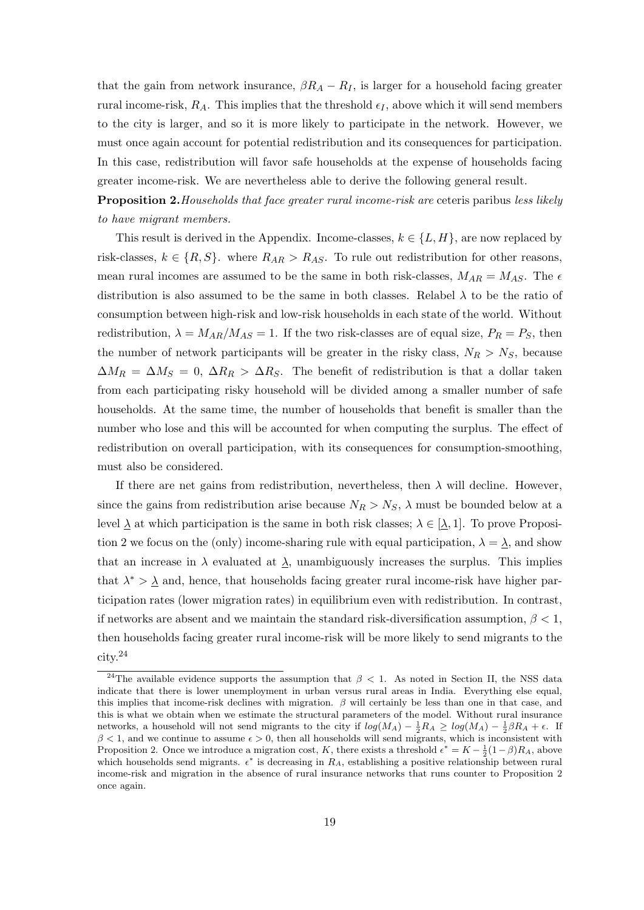that the gain from network insurance,  $\beta R_A - R_I$ , is larger for a household facing greater rural income-risk,  $R_A$ . This implies that the threshold  $\epsilon_I$ , above which it will send members to the city is larger, and so it is more likely to participate in the network. However, we must once again account for potential redistribution and its consequences for participation. In this case, redistribution will favor safe households at the expense of households facing greater income-risk. We are nevertheless able to derive the following general result.

**Proposition 2.** Households that face greater rural income-risk are ceteris paribus less likely to have migrant members.

This result is derived in the Appendix. Income-classes,  $k \in \{L, H\}$ , are now replaced by risk-classes,  $k \in \{R, S\}$ . where  $R_{AR} > R_{AS}$ . To rule out redistribution for other reasons, mean rural incomes are assumed to be the same in both risk-classes,  $M_{AR} = M_{AS}$ . The  $\epsilon$ distribution is also assumed to be the same in both classes. Relabel  $\lambda$  to be the ratio of consumption between high-risk and low-risk households in each state of the world. Without redistribution,  $\lambda = M_{AR}/M_{AS} = 1$ . If the two risk-classes are of equal size,  $P_R = P_S$ , then the number of network participants will be greater in the risky class,  $N_R > N_S$ , because  $\Delta M_R = \Delta M_S = 0$ ,  $\Delta R_R > \Delta R_S$ . The benefit of redistribution is that a dollar taken from each participating risky household will be divided among a smaller number of safe households. At the same time, the number of households that benefit is smaller than the number who lose and this will be accounted for when computing the surplus. The effect of redistribution on overall participation, with its consequences for consumption-smoothing, must also be considered.

If there are net gains from redistribution, nevertheless, then  $\lambda$  will decline. However, since the gains from redistribution arise because  $N_R > N_S$ ,  $\lambda$  must be bounded below at a level  $\underline{\lambda}$  at which participation is the same in both risk classes;  $\lambda \in [\underline{\lambda}, 1]$ . To prove Proposition 2 we focus on the (only) income-sharing rule with equal participation,  $\lambda = \lambda$ , and show that an increase in  $\lambda$  evaluated at  $\lambda$ , unambiguously increases the surplus. This implies that  $\lambda^* > \underline{\lambda}$  and, hence, that households facing greater rural income-risk have higher participation rates (lower migration rates) in equilibrium even with redistribution. In contrast, if networks are absent and we maintain the standard risk-diversification assumption,  $\beta < 1$ , then households facing greater rural income-risk will be more likely to send migrants to the city.<sup>24</sup>

<sup>&</sup>lt;sup>24</sup>The available evidence supports the assumption that  $\beta$  < 1. As noted in Section II, the NSS data indicate that there is lower unemployment in urban versus rural areas in India. Everything else equal, this implies that income-risk declines with migration.  $\beta$  will certainly be less than one in that case, and this is what we obtain when we estimate the structural parameters of the model. Without rural insurance networks, a household will not send migrants to the city if  $log(M_A) - \frac{1}{2}R_A \ge log(M_A) - \frac{1}{2}\beta R_A + \epsilon$ . If  $\beta$  < 1, and we continue to assume  $\epsilon > 0$ , then all households will send migrants, which is inconsistent with Proposition 2. Once we introduce a migration cost, K, there exists a threshold  $\epsilon^* = K - \frac{1}{2}(1-\beta)R_A$ , above which households send migrants.  $\epsilon^*$  is decreasing in  $R_A$ , establishing a positive relationship between rural income-risk and migration in the absence of rural insurance networks that runs counter to Proposition 2 once again.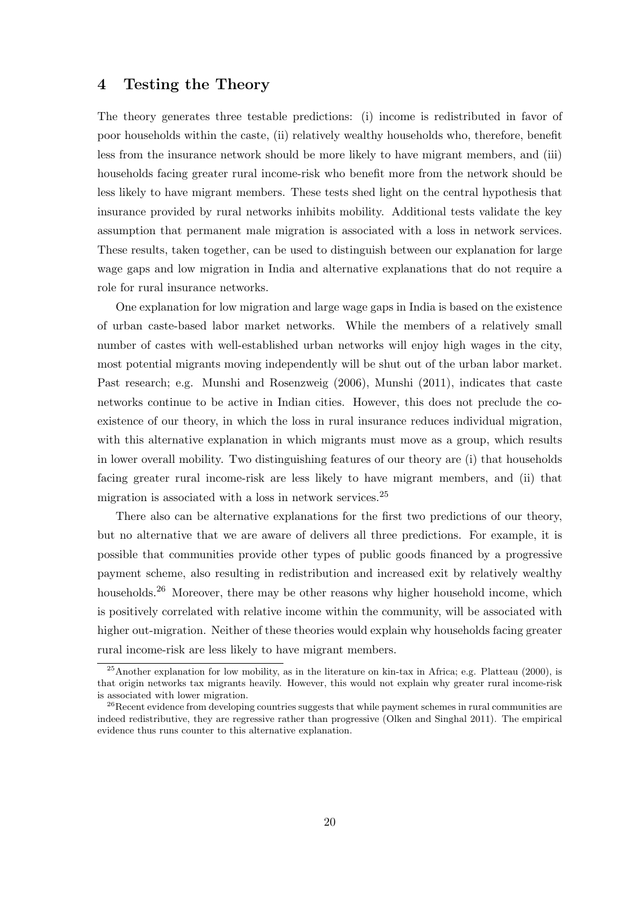### 4 Testing the Theory

The theory generates three testable predictions: (i) income is redistributed in favor of poor households within the caste, (ii) relatively wealthy households who, therefore, benefit less from the insurance network should be more likely to have migrant members, and (iii) households facing greater rural income-risk who benefit more from the network should be less likely to have migrant members. These tests shed light on the central hypothesis that insurance provided by rural networks inhibits mobility. Additional tests validate the key assumption that permanent male migration is associated with a loss in network services. These results, taken together, can be used to distinguish between our explanation for large wage gaps and low migration in India and alternative explanations that do not require a role for rural insurance networks.

One explanation for low migration and large wage gaps in India is based on the existence of urban caste-based labor market networks. While the members of a relatively small number of castes with well-established urban networks will enjoy high wages in the city, most potential migrants moving independently will be shut out of the urban labor market. Past research; e.g. Munshi and Rosenzweig (2006), Munshi (2011), indicates that caste networks continue to be active in Indian cities. However, this does not preclude the coexistence of our theory, in which the loss in rural insurance reduces individual migration, with this alternative explanation in which migrants must move as a group, which results in lower overall mobility. Two distinguishing features of our theory are (i) that households facing greater rural income-risk are less likely to have migrant members, and (ii) that migration is associated with a loss in network services.<sup>25</sup>

There also can be alternative explanations for the first two predictions of our theory, but no alternative that we are aware of delivers all three predictions. For example, it is possible that communities provide other types of public goods financed by a progressive payment scheme, also resulting in redistribution and increased exit by relatively wealthy households.<sup>26</sup> Moreover, there may be other reasons why higher household income, which is positively correlated with relative income within the community, will be associated with higher out-migration. Neither of these theories would explain why households facing greater rural income-risk are less likely to have migrant members.

<sup>&</sup>lt;sup>25</sup> Another explanation for low mobility, as in the literature on kin-tax in Africa; e.g. Platteau (2000), is that origin networks tax migrants heavily. However, this would not explain why greater rural income-risk is associated with lower migration.

 $26$ Recent evidence from developing countries suggests that while payment schemes in rural communities are indeed redistributive, they are regressive rather than progressive (Olken and Singhal 2011). The empirical evidence thus runs counter to this alternative explanation.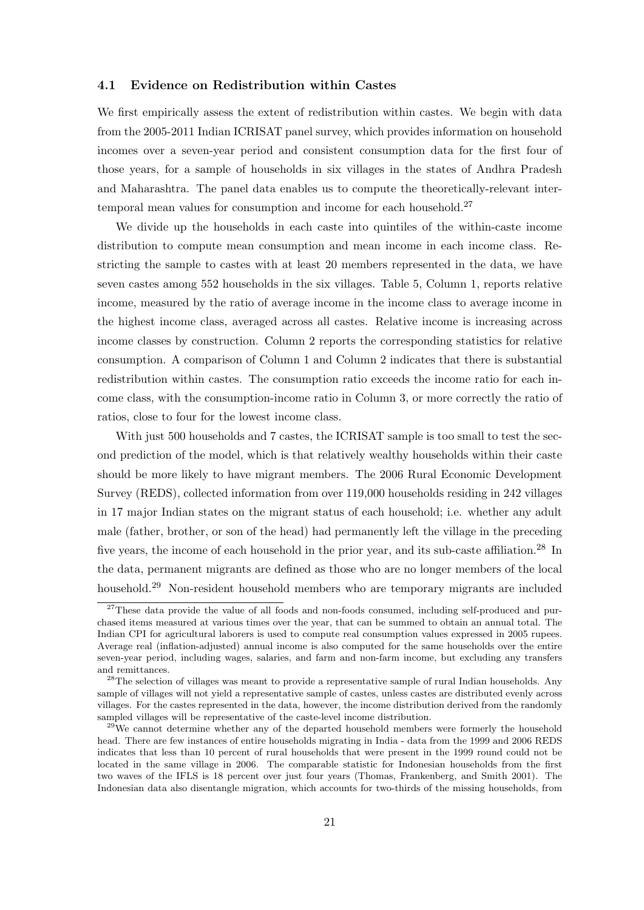#### 4.1 Evidence on Redistribution within Castes

We first empirically assess the extent of redistribution within castes. We begin with data from the 2005-2011 Indian ICRISAT panel survey, which provides information on household incomes over a seven-year period and consistent consumption data for the first four of those years, for a sample of households in six villages in the states of Andhra Pradesh and Maharashtra. The panel data enables us to compute the theoretically-relevant intertemporal mean values for consumption and income for each household.<sup>27</sup>

We divide up the households in each caste into quintiles of the within-caste income distribution to compute mean consumption and mean income in each income class. Restricting the sample to castes with at least 20 members represented in the data, we have seven castes among 552 households in the six villages. Table 5, Column 1, reports relative income, measured by the ratio of average income in the income class to average income in the highest income class, averaged across all castes. Relative income is increasing across income classes by construction. Column 2 reports the corresponding statistics for relative consumption. A comparison of Column 1 and Column 2 indicates that there is substantial redistribution within castes. The consumption ratio exceeds the income ratio for each income class, with the consumption-income ratio in Column 3, or more correctly the ratio of ratios, close to four for the lowest income class.

With just 500 households and 7 castes, the ICRISAT sample is too small to test the second prediction of the model, which is that relatively wealthy households within their caste should be more likely to have migrant members. The 2006 Rural Economic Development Survey (REDS), collected information from over 119,000 households residing in 242 villages in 17 major Indian states on the migrant status of each household; i.e. whether any adult male (father, brother, or son of the head) had permanently left the village in the preceding five years, the income of each household in the prior year, and its sub-caste affiliation.<sup>28</sup> In the data, permanent migrants are defined as those who are no longer members of the local household.<sup>29</sup> Non-resident household members who are temporary migrants are included

 $27$ These data provide the value of all foods and non-foods consumed, including self-produced and purchased items measured at various times over the year, that can be summed to obtain an annual total. The Indian CPI for agricultural laborers is used to compute real consumption values expressed in 2005 rupees. Average real (inflation-adjusted) annual income is also computed for the same households over the entire seven-year period, including wages, salaries, and farm and non-farm income, but excluding any transfers and remittances.

<sup>&</sup>lt;sup>28</sup>The selection of villages was meant to provide a representative sample of rural Indian households. Any sample of villages will not yield a representative sample of castes, unless castes are distributed evenly across villages. For the castes represented in the data, however, the income distribution derived from the randomly sampled villages will be representative of the caste-level income distribution.

 $29$ We cannot determine whether any of the departed household members were formerly the household head. There are few instances of entire households migrating in India - data from the 1999 and 2006 REDS indicates that less than 10 percent of rural households that were present in the 1999 round could not be located in the same village in 2006. The comparable statistic for Indonesian households from the first two waves of the IFLS is 18 percent over just four years (Thomas, Frankenberg, and Smith 2001). The Indonesian data also disentangle migration, which accounts for two-thirds of the missing households, from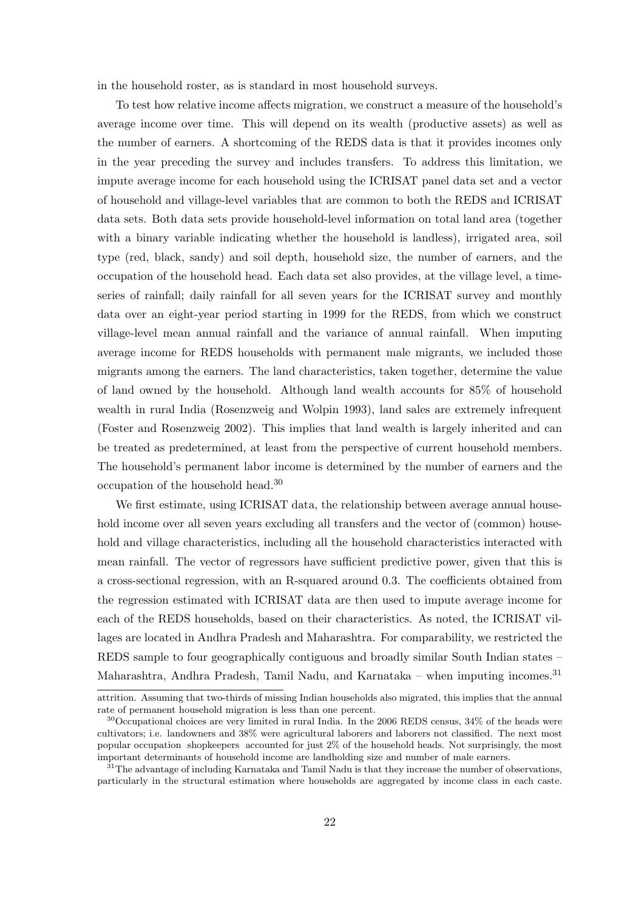in the household roster, as is standard in most household surveys.

To test how relative income affects migration, we construct a measure of the household's average income over time. This will depend on its wealth (productive assets) as well as the number of earners. A shortcoming of the REDS data is that it provides incomes only in the year preceding the survey and includes transfers. To address this limitation, we impute average income for each household using the ICRISAT panel data set and a vector of household and village-level variables that are common to both the REDS and ICRISAT data sets. Both data sets provide household-level information on total land area (together with a binary variable indicating whether the household is landless), irrigated area, soil type (red, black, sandy) and soil depth, household size, the number of earners, and the occupation of the household head. Each data set also provides, at the village level, a timeseries of rainfall; daily rainfall for all seven years for the ICRISAT survey and monthly data over an eight-year period starting in 1999 for the REDS, from which we construct village-level mean annual rainfall and the variance of annual rainfall. When imputing average income for REDS households with permanent male migrants, we included those migrants among the earners. The land characteristics, taken together, determine the value of land owned by the household. Although land wealth accounts for 85% of household wealth in rural India (Rosenzweig and Wolpin 1993), land sales are extremely infrequent (Foster and Rosenzweig 2002). This implies that land wealth is largely inherited and can be treated as predetermined, at least from the perspective of current household members. The household's permanent labor income is determined by the number of earners and the occupation of the household head.<sup>30</sup>

We first estimate, using ICRISAT data, the relationship between average annual household income over all seven years excluding all transfers and the vector of (common) household and village characteristics, including all the household characteristics interacted with mean rainfall. The vector of regressors have sufficient predictive power, given that this is a cross-sectional regression, with an R-squared around 0.3. The coefficients obtained from the regression estimated with ICRISAT data are then used to impute average income for each of the REDS households, based on their characteristics. As noted, the ICRISAT villages are located in Andhra Pradesh and Maharashtra. For comparability, we restricted the REDS sample to four geographically contiguous and broadly similar South Indian states – Maharashtra, Andhra Pradesh, Tamil Nadu, and Karnataka – when imputing incomes.<sup>31</sup>

attrition. Assuming that two-thirds of missing Indian households also migrated, this implies that the annual rate of permanent household migration is less than one percent.

 $30^3$ Occupational choices are very limited in rural India. In the 2006 REDS census,  $34\%$  of the heads were cultivators; i.e. landowners and 38% were agricultural laborers and laborers not classified. The next most popular occupation shopkeepers accounted for just 2% of the household heads. Not surprisingly, the most important determinants of household income are landholding size and number of male earners.

<sup>&</sup>lt;sup>31</sup>The advantage of including Karnataka and Tamil Nadu is that they increase the number of observations, particularly in the structural estimation where households are aggregated by income class in each caste.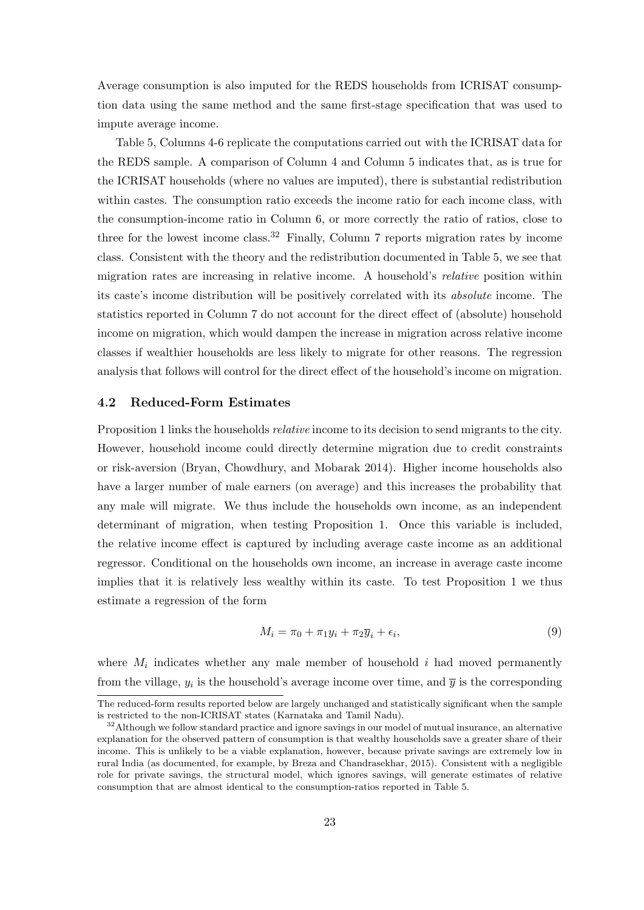Average consumption is also imputed for the REDS households from ICRISAT consumption data using the same method and the same first-stage specification that was used to impute average income.

Table 5, Columns 4-6 replicate the computations carried out with the ICRISAT data for the REDS sample. A comparison of Column 4 and Column 5 indicates that, as is true for the ICRISAT households (where no values are imputed), there is substantial redistribution within castes. The consumption ratio exceeds the income ratio for each income class, with the consumption-income ratio in Column 6, or more correctly the ratio of ratios, close to three for the lowest income class.<sup>32</sup> Finally, Column 7 reports migration rates by income class. Consistent with the theory and the redistribution documented in Table 5, we see that migration rates are increasing in relative income. A household's relative position within its caste's income distribution will be positively correlated with its absolute income. The statistics reported in Column 7 do not account for the direct effect of (absolute) household income on migration, which would dampen the increase in migration across relative income classes if wealthier households are less likely to migrate for other reasons. The regression analysis that follows will control for the direct effect of the household's income on migration.

#### 4.2 Reduced-Form Estimates

Proposition 1 links the households relative income to its decision to send migrants to the city. However, household income could directly determine migration due to credit constraints or risk-aversion (Bryan, Chowdhury, and Mobarak 2014). Higher income households also have a larger number of male earners (on average) and this increases the probability that any male will migrate. We thus include the households own income, as an independent determinant of migration, when testing Proposition 1. Once this variable is included, the relative income effect is captured by including average caste income as an additional regressor. Conditional on the households own income, an increase in average caste income implies that it is relatively less wealthy within its caste. To test Proposition 1 we thus estimate a regression of the form

$$
M_i = \pi_0 + \pi_1 y_i + \pi_2 \overline{y}_i + \epsilon_i,\tag{9}
$$

where  $M_i$  indicates whether any male member of household i had moved permanently from the village,  $y_i$  is the household's average income over time, and  $\bar{y}$  is the corresponding

The reduced-form results reported below are largely unchanged and statistically significant when the sample is restricted to the non-ICRISAT states (Karnataka and Tamil Nadu).

<sup>&</sup>lt;sup>32</sup>Although we follow standard practice and ignore savings in our model of mutual insurance, an alternative explanation for the observed pattern of consumption is that wealthy households save a greater share of their income. This is unlikely to be a viable explanation, however, because private savings are extremely low in rural India (as documented, for example, by Breza and Chandrasekhar, 2015). Consistent with a negligible role for private savings, the structural model, which ignores savings, will generate estimates of relative consumption that are almost identical to the consumption-ratios reported in Table 5.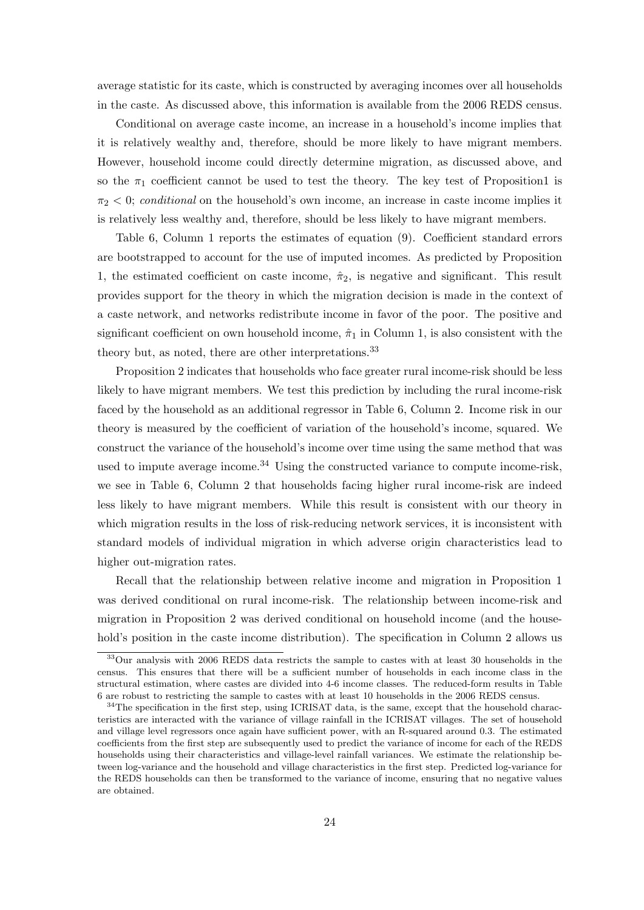average statistic for its caste, which is constructed by averaging incomes over all households in the caste. As discussed above, this information is available from the 2006 REDS census.

Conditional on average caste income, an increase in a household's income implies that it is relatively wealthy and, therefore, should be more likely to have migrant members. However, household income could directly determine migration, as discussed above, and so the  $\pi_1$  coefficient cannot be used to test the theory. The key test of Proposition1 is  $\pi_2$  < 0; conditional on the household's own income, an increase in caste income implies it is relatively less wealthy and, therefore, should be less likely to have migrant members.

Table 6, Column 1 reports the estimates of equation (9). Coefficient standard errors are bootstrapped to account for the use of imputed incomes. As predicted by Proposition 1, the estimated coefficient on caste income,  $\hat{\pi}_2$ , is negative and significant. This result provides support for the theory in which the migration decision is made in the context of a caste network, and networks redistribute income in favor of the poor. The positive and significant coefficient on own household income,  $\hat{\pi}_1$  in Column 1, is also consistent with the theory but, as noted, there are other interpretations.<sup>33</sup>

Proposition 2 indicates that households who face greater rural income-risk should be less likely to have migrant members. We test this prediction by including the rural income-risk faced by the household as an additional regressor in Table 6, Column 2. Income risk in our theory is measured by the coefficient of variation of the household's income, squared. We construct the variance of the household's income over time using the same method that was used to impute average income.<sup>34</sup> Using the constructed variance to compute income-risk, we see in Table 6, Column 2 that households facing higher rural income-risk are indeed less likely to have migrant members. While this result is consistent with our theory in which migration results in the loss of risk-reducing network services, it is inconsistent with standard models of individual migration in which adverse origin characteristics lead to higher out-migration rates.

Recall that the relationship between relative income and migration in Proposition 1 was derived conditional on rural income-risk. The relationship between income-risk and migration in Proposition 2 was derived conditional on household income (and the household's position in the caste income distribution). The specification in Column 2 allows us

<sup>33</sup>Our analysis with 2006 REDS data restricts the sample to castes with at least 30 households in the census. This ensures that there will be a sufficient number of households in each income class in the structural estimation, where castes are divided into 4-6 income classes. The reduced-form results in Table 6 are robust to restricting the sample to castes with at least 10 households in the 2006 REDS census.

 $34$ The specification in the first step, using ICRISAT data, is the same, except that the household characteristics are interacted with the variance of village rainfall in the ICRISAT villages. The set of household and village level regressors once again have sufficient power, with an R-squared around 0.3. The estimated coefficients from the first step are subsequently used to predict the variance of income for each of the REDS households using their characteristics and village-level rainfall variances. We estimate the relationship between log-variance and the household and village characteristics in the first step. Predicted log-variance for the REDS households can then be transformed to the variance of income, ensuring that no negative values are obtained.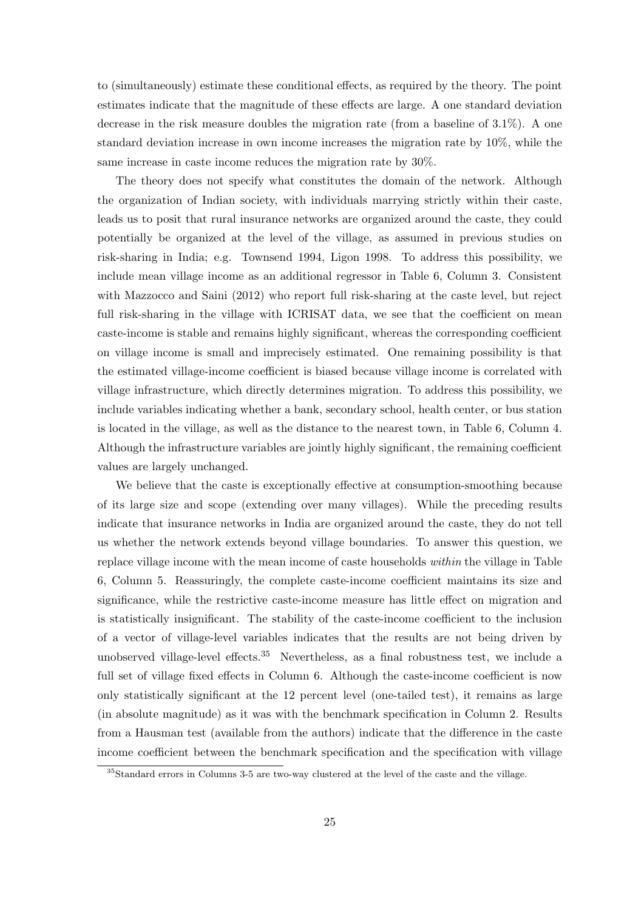to (simultaneously) estimate these conditional effects, as required by the theory. The point estimates indicate that the magnitude of these effects are large. A one standard deviation decrease in the risk measure doubles the migration rate (from a baseline of 3.1%). A one standard deviation increase in own income increases the migration rate by 10%, while the same increase in caste income reduces the migration rate by 30%.

The theory does not specify what constitutes the domain of the network. Although the organization of Indian society, with individuals marrying strictly within their caste, leads us to posit that rural insurance networks are organized around the caste, they could potentially be organized at the level of the village, as assumed in previous studies on risk-sharing in India; e.g. Townsend 1994, Ligon 1998. To address this possibility, we include mean village income as an additional regressor in Table 6, Column 3. Consistent with Mazzocco and Saini (2012) who report full risk-sharing at the caste level, but reject full risk-sharing in the village with ICRISAT data, we see that the coefficient on mean caste-income is stable and remains highly significant, whereas the corresponding coefficient on village income is small and imprecisely estimated. One remaining possibility is that the estimated village-income coefficient is biased because village income is correlated with village infrastructure, which directly determines migration. To address this possibility, we include variables indicating whether a bank, secondary school, health center, or bus station is located in the village, as well as the distance to the nearest town, in Table 6, Column 4. Although the infrastructure variables are jointly highly significant, the remaining coefficient values are largely unchanged.

We believe that the caste is exceptionally effective at consumption-smoothing because of its large size and scope (extending over many villages). While the preceding results indicate that insurance networks in India are organized around the caste, they do not tell us whether the network extends beyond village boundaries. To answer this question, we replace village income with the mean income of caste households within the village in Table 6, Column 5. Reassuringly, the complete caste-income coefficient maintains its size and significance, while the restrictive caste-income measure has little effect on migration and is statistically insignificant. The stability of the caste-income coefficient to the inclusion of a vector of village-level variables indicates that the results are not being driven by unobserved village-level effects.<sup>35</sup> Nevertheless, as a final robustness test, we include a full set of village fixed effects in Column 6. Although the caste-income coefficient is now only statistically significant at the 12 percent level (one-tailed test), it remains as large (in absolute magnitude) as it was with the benchmark specification in Column 2. Results from a Hausman test (available from the authors) indicate that the difference in the caste income coefficient between the benchmark specification and the specification with village

<sup>35</sup>Standard errors in Columns 3-5 are two-way clustered at the level of the caste and the village.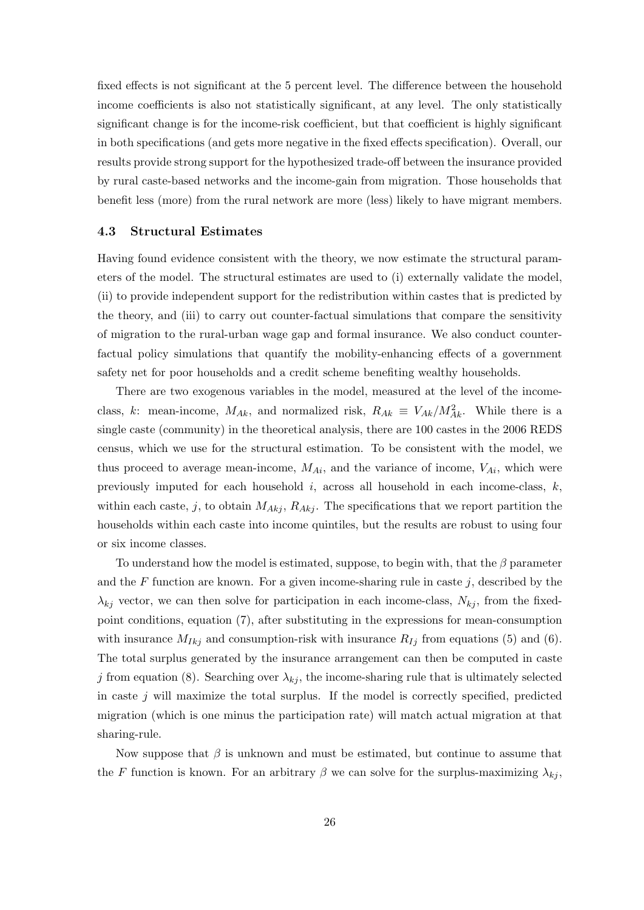fixed effects is not significant at the 5 percent level. The difference between the household income coefficients is also not statistically significant, at any level. The only statistically significant change is for the income-risk coefficient, but that coefficient is highly significant in both specifications (and gets more negative in the fixed effects specification). Overall, our results provide strong support for the hypothesized trade-off between the insurance provided by rural caste-based networks and the income-gain from migration. Those households that benefit less (more) from the rural network are more (less) likely to have migrant members.

#### 4.3 Structural Estimates

Having found evidence consistent with the theory, we now estimate the structural parameters of the model. The structural estimates are used to (i) externally validate the model, (ii) to provide independent support for the redistribution within castes that is predicted by the theory, and (iii) to carry out counter-factual simulations that compare the sensitivity of migration to the rural-urban wage gap and formal insurance. We also conduct counterfactual policy simulations that quantify the mobility-enhancing effects of a government safety net for poor households and a credit scheme benefiting wealthy households.

There are two exogenous variables in the model, measured at the level of the incomeclass, k: mean-income,  $M_{Ak}$ , and normalized risk,  $R_{Ak} \equiv V_{Ak}/M_{Ak}^2$ . While there is a single caste (community) in the theoretical analysis, there are 100 castes in the 2006 REDS census, which we use for the structural estimation. To be consistent with the model, we thus proceed to average mean-income,  $M_{Ai}$ , and the variance of income,  $V_{Ai}$ , which were previously imputed for each household i, across all household in each income-class,  $k$ , within each caste, j, to obtain  $M_{Akj}$ ,  $R_{Akj}$ . The specifications that we report partition the households within each caste into income quintiles, but the results are robust to using four or six income classes.

To understand how the model is estimated, suppose, to begin with, that the  $\beta$  parameter and the  $F$  function are known. For a given income-sharing rule in caste  $j$ , described by the  $\lambda_{kj}$  vector, we can then solve for participation in each income-class,  $N_{kj}$ , from the fixedpoint conditions, equation (7), after substituting in the expressions for mean-consumption with insurance  $M_{Ikj}$  and consumption-risk with insurance  $R_{Ij}$  from equations (5) and (6). The total surplus generated by the insurance arrangement can then be computed in caste j from equation (8). Searching over  $\lambda_{ki}$ , the income-sharing rule that is ultimately selected in caste  $j$  will maximize the total surplus. If the model is correctly specified, predicted migration (which is one minus the participation rate) will match actual migration at that sharing-rule.

Now suppose that  $\beta$  is unknown and must be estimated, but continue to assume that the F function is known. For an arbitrary  $\beta$  we can solve for the surplus-maximizing  $\lambda_{kj}$ ,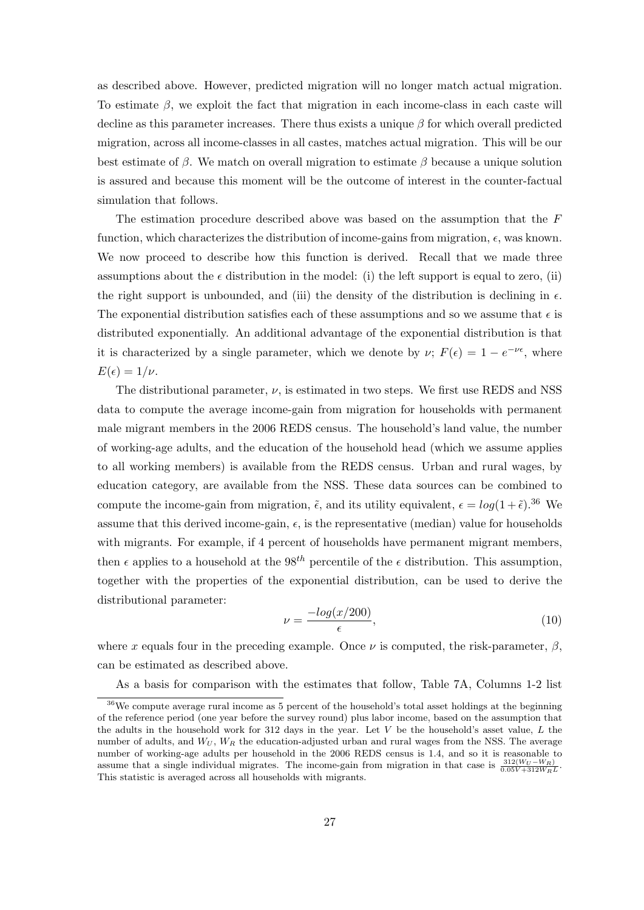as described above. However, predicted migration will no longer match actual migration. To estimate  $\beta$ , we exploit the fact that migration in each income-class in each caste will decline as this parameter increases. There thus exists a unique  $\beta$  for which overall predicted migration, across all income-classes in all castes, matches actual migration. This will be our best estimate of β. We match on overall migration to estimate β because a unique solution is assured and because this moment will be the outcome of interest in the counter-factual simulation that follows.

The estimation procedure described above was based on the assumption that the F function, which characterizes the distribution of income-gains from migration,  $\epsilon$ , was known. We now proceed to describe how this function is derived. Recall that we made three assumptions about the  $\epsilon$  distribution in the model: (i) the left support is equal to zero, (ii) the right support is unbounded, and (iii) the density of the distribution is declining in  $\epsilon$ . The exponential distribution satisfies each of these assumptions and so we assume that  $\epsilon$  is distributed exponentially. An additional advantage of the exponential distribution is that it is characterized by a single parameter, which we denote by  $\nu$ ;  $F(\epsilon) = 1 - e^{-\nu \epsilon}$ , where  $E(\epsilon) = 1/\nu.$ 

The distributional parameter,  $\nu$ , is estimated in two steps. We first use REDS and NSS data to compute the average income-gain from migration for households with permanent male migrant members in the 2006 REDS census. The household's land value, the number of working-age adults, and the education of the household head (which we assume applies to all working members) is available from the REDS census. Urban and rural wages, by education category, are available from the NSS. These data sources can be combined to compute the income-gain from migration,  $\tilde{\epsilon}$ , and its utility equivalent,  $\epsilon = log(1 + \tilde{\epsilon})$ .<sup>36</sup> We assume that this derived income-gain,  $\epsilon$ , is the representative (median) value for households with migrants. For example, if 4 percent of households have permanent migrant members, then  $\epsilon$  applies to a household at the 98<sup>th</sup> percentile of the  $\epsilon$  distribution. This assumption, together with the properties of the exponential distribution, can be used to derive the distributional parameter:

$$
\nu = \frac{-\log(x/200)}{\epsilon},\tag{10}
$$

where x equals four in the preceding example. Once  $\nu$  is computed, the risk-parameter,  $\beta$ , can be estimated as described above.

As a basis for comparison with the estimates that follow, Table 7A, Columns 1-2 list

<sup>36</sup>We compute average rural income as 5 percent of the household's total asset holdings at the beginning of the reference period (one year before the survey round) plus labor income, based on the assumption that the adults in the household work for  $312$  days in the year. Let V be the household's asset value, L the number of adults, and  $W_U$ ,  $W_R$  the education-adjusted urban and rural wages from the NSS. The average number of working-age adults per household in the 2006 REDS census is 1.4, and so it is reasonable to assume that a single individual migrates. The income-gain from migration in that case is  $\frac{312(W_U - W_R)}{0.05V + 312W_RL}$ . This statistic is averaged across all households with migrants.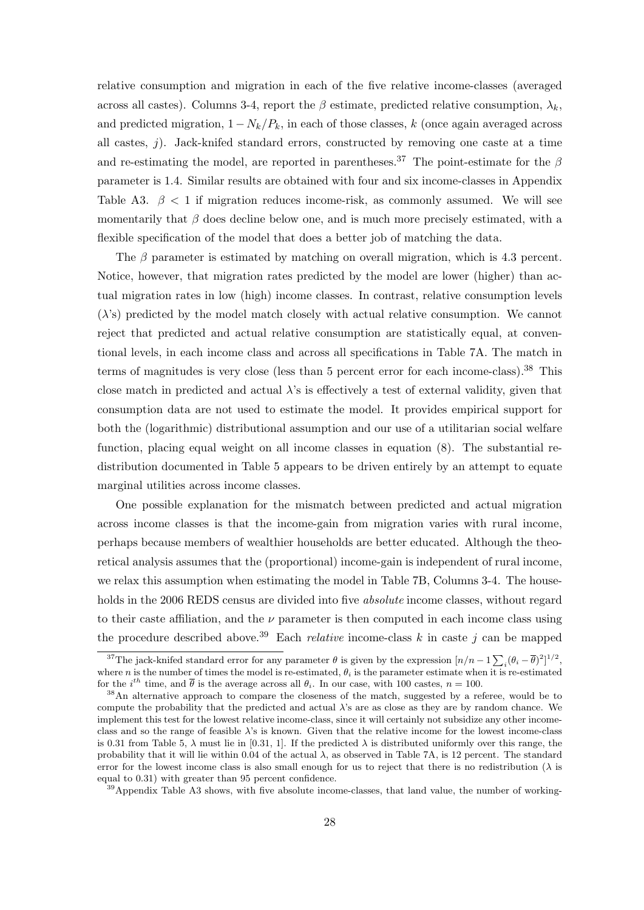relative consumption and migration in each of the five relative income-classes (averaged across all castes). Columns 3-4, report the  $\beta$  estimate, predicted relative consumption,  $\lambda_k$ , and predicted migration,  $1 - N_k/P_k$ , in each of those classes, k (once again averaged across all castes,  $j$ ). Jack-knifed standard errors, constructed by removing one caste at a time and re-estimating the model, are reported in parentheses.<sup>37</sup> The point-estimate for the  $\beta$ parameter is 1.4. Similar results are obtained with four and six income-classes in Appendix Table A3.  $\beta$  < 1 if migration reduces income-risk, as commonly assumed. We will see momentarily that  $\beta$  does decline below one, and is much more precisely estimated, with a flexible specification of the model that does a better job of matching the data.

The  $\beta$  parameter is estimated by matching on overall migration, which is 4.3 percent. Notice, however, that migration rates predicted by the model are lower (higher) than actual migration rates in low (high) income classes. In contrast, relative consumption levels  $(\lambda)$ 's) predicted by the model match closely with actual relative consumption. We cannot reject that predicted and actual relative consumption are statistically equal, at conventional levels, in each income class and across all specifications in Table 7A. The match in terms of magnitudes is very close (less than 5 percent error for each income-class).<sup>38</sup> This close match in predicted and actual  $\lambda$ 's is effectively a test of external validity, given that consumption data are not used to estimate the model. It provides empirical support for both the (logarithmic) distributional assumption and our use of a utilitarian social welfare function, placing equal weight on all income classes in equation (8). The substantial redistribution documented in Table 5 appears to be driven entirely by an attempt to equate marginal utilities across income classes.

One possible explanation for the mismatch between predicted and actual migration across income classes is that the income-gain from migration varies with rural income, perhaps because members of wealthier households are better educated. Although the theoretical analysis assumes that the (proportional) income-gain is independent of rural income, we relax this assumption when estimating the model in Table 7B, Columns 3-4. The households in the 2006 REDS census are divided into five *absolute* income classes, without regard to their caste affiliation, and the  $\nu$  parameter is then computed in each income class using the procedure described above.<sup>39</sup> Each *relative* income-class k in caste j can be mapped

<sup>39</sup>Appendix Table A3 shows, with five absolute income-classes, that land value, the number of working-

<sup>&</sup>lt;sup>37</sup>The jack-knifed standard error for any parameter  $\theta$  is given by the expression  $[n/n-1\sum_i(\theta_i-\overline{\theta})^2]^{1/2}$ , where n is the number of times the model is re-estimated,  $\theta_i$  is the parameter estimate when it is re-estimated for the  $i^{th}$  time, and  $\bar{\theta}$  is the average across all  $\theta_i$ . In our case, with 100 castes,  $n = 100$ .

<sup>&</sup>lt;sup>38</sup>An alternative approach to compare the closeness of the match, suggested by a referee, would be to compute the probability that the predicted and actual  $\lambda$ 's are as close as they are by random chance. We implement this test for the lowest relative income-class, since it will certainly not subsidize any other incomeclass and so the range of feasible  $\lambda$ 's is known. Given that the relative income for the lowest income-class is 0.31 from Table 5,  $\lambda$  must lie in [0.31, 1]. If the predicted  $\lambda$  is distributed uniformly over this range, the probability that it will lie within 0.04 of the actual λ, as observed in Table 7A, is 12 percent. The standard error for the lowest income class is also small enough for us to reject that there is no redistribution  $(\lambda)$  is equal to 0.31) with greater than 95 percent confidence.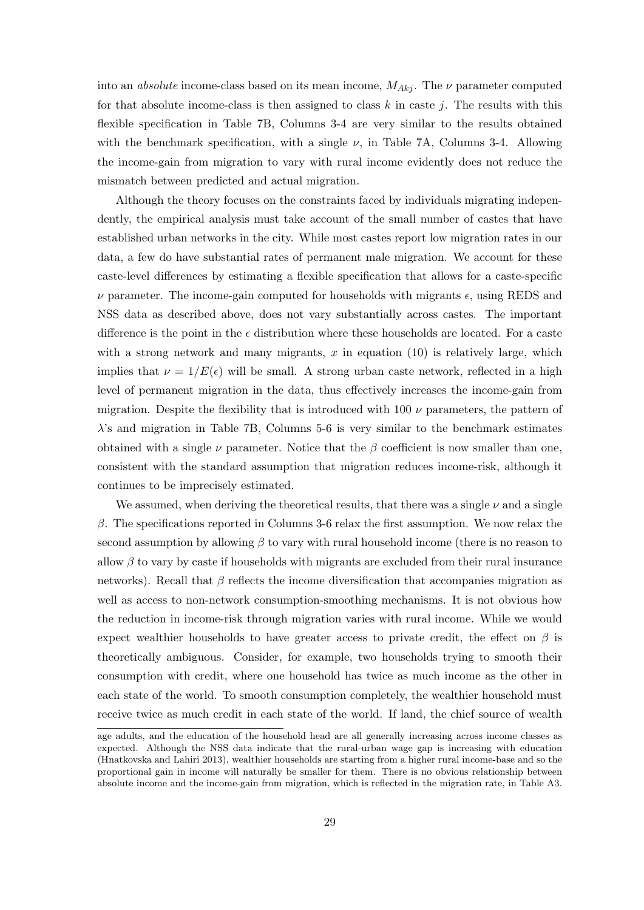into an *absolute* income-class based on its mean income,  $M_{Akj}$ . The  $\nu$  parameter computed for that absolute income-class is then assigned to class  $k$  in caste j. The results with this flexible specification in Table 7B, Columns 3-4 are very similar to the results obtained with the benchmark specification, with a single  $\nu$ , in Table 7A, Columns 3-4. Allowing the income-gain from migration to vary with rural income evidently does not reduce the mismatch between predicted and actual migration.

Although the theory focuses on the constraints faced by individuals migrating independently, the empirical analysis must take account of the small number of castes that have established urban networks in the city. While most castes report low migration rates in our data, a few do have substantial rates of permanent male migration. We account for these caste-level differences by estimating a flexible specification that allows for a caste-specific  $\nu$  parameter. The income-gain computed for households with migrants  $\epsilon$ , using REDS and NSS data as described above, does not vary substantially across castes. The important difference is the point in the  $\epsilon$  distribution where these households are located. For a caste with a strong network and many migrants,  $x$  in equation (10) is relatively large, which implies that  $\nu = 1/E(\epsilon)$  will be small. A strong urban caste network, reflected in a high level of permanent migration in the data, thus effectively increases the income-gain from migration. Despite the flexibility that is introduced with 100  $\nu$  parameters, the pattern of  $\lambda$ 's and migration in Table 7B, Columns 5-6 is very similar to the benchmark estimates obtained with a single  $\nu$  parameter. Notice that the  $\beta$  coefficient is now smaller than one, consistent with the standard assumption that migration reduces income-risk, although it continues to be imprecisely estimated.

We assumed, when deriving the theoretical results, that there was a single  $\nu$  and a single  $β$ . The specifications reported in Columns 3-6 relax the first assumption. We now relax the second assumption by allowing  $\beta$  to vary with rural household income (there is no reason to allow  $\beta$  to vary by caste if households with migrants are excluded from their rural insurance networks). Recall that  $\beta$  reflects the income diversification that accompanies migration as well as access to non-network consumption-smoothing mechanisms. It is not obvious how the reduction in income-risk through migration varies with rural income. While we would expect wealthier households to have greater access to private credit, the effect on  $\beta$  is theoretically ambiguous. Consider, for example, two households trying to smooth their consumption with credit, where one household has twice as much income as the other in each state of the world. To smooth consumption completely, the wealthier household must receive twice as much credit in each state of the world. If land, the chief source of wealth

age adults, and the education of the household head are all generally increasing across income classes as expected. Although the NSS data indicate that the rural-urban wage gap is increasing with education (Hnatkovska and Lahiri 2013), wealthier households are starting from a higher rural income-base and so the proportional gain in income will naturally be smaller for them. There is no obvious relationship between absolute income and the income-gain from migration, which is reflected in the migration rate, in Table A3.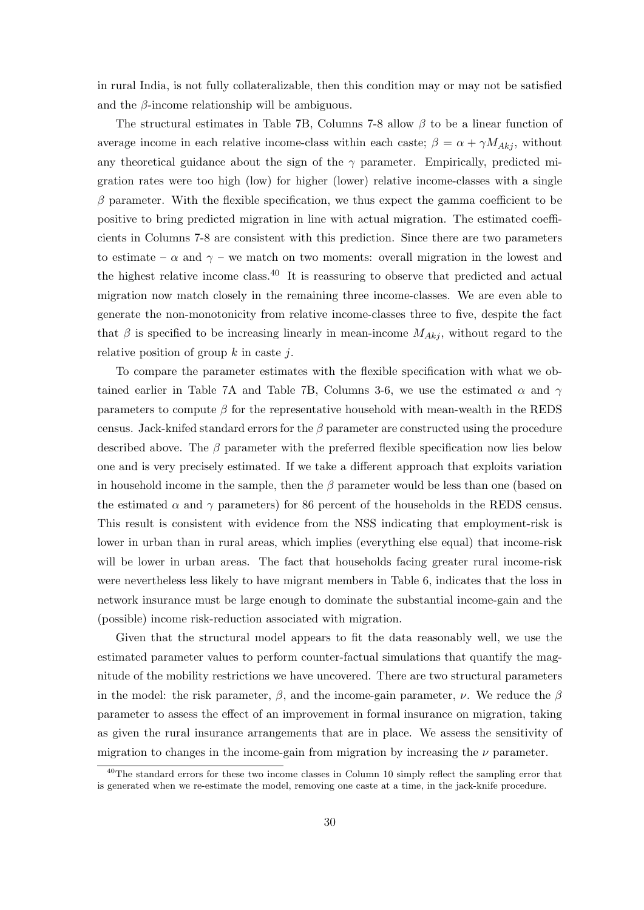in rural India, is not fully collateralizable, then this condition may or may not be satisfied and the  $\beta$ -income relationship will be ambiguous.

The structural estimates in Table 7B, Columns 7-8 allow  $\beta$  to be a linear function of average income in each relative income-class within each caste;  $\beta = \alpha + \gamma M_{Akj}$ , without any theoretical guidance about the sign of the  $\gamma$  parameter. Empirically, predicted migration rates were too high (low) for higher (lower) relative income-classes with a single  $\beta$  parameter. With the flexible specification, we thus expect the gamma coefficient to be positive to bring predicted migration in line with actual migration. The estimated coefficients in Columns 7-8 are consistent with this prediction. Since there are two parameters to estimate –  $\alpha$  and  $\gamma$  – we match on two moments: overall migration in the lowest and the highest relative income class.<sup>40</sup> It is reassuring to observe that predicted and actual migration now match closely in the remaining three income-classes. We are even able to generate the non-monotonicity from relative income-classes three to five, despite the fact that  $\beta$  is specified to be increasing linearly in mean-income  $M_{Akj}$ , without regard to the relative position of group  $k$  in caste  $j$ .

To compare the parameter estimates with the flexible specification with what we obtained earlier in Table 7A and Table 7B, Columns 3-6, we use the estimated  $\alpha$  and  $\gamma$ parameters to compute  $\beta$  for the representative household with mean-wealth in the REDS census. Jack-knifed standard errors for the  $\beta$  parameter are constructed using the procedure described above. The  $\beta$  parameter with the preferred flexible specification now lies below one and is very precisely estimated. If we take a different approach that exploits variation in household income in the sample, then the  $\beta$  parameter would be less than one (based on the estimated  $\alpha$  and  $\gamma$  parameters) for 86 percent of the households in the REDS census. This result is consistent with evidence from the NSS indicating that employment-risk is lower in urban than in rural areas, which implies (everything else equal) that income-risk will be lower in urban areas. The fact that households facing greater rural income-risk were nevertheless less likely to have migrant members in Table 6, indicates that the loss in network insurance must be large enough to dominate the substantial income-gain and the (possible) income risk-reduction associated with migration.

Given that the structural model appears to fit the data reasonably well, we use the estimated parameter values to perform counter-factual simulations that quantify the magnitude of the mobility restrictions we have uncovered. There are two structural parameters in the model: the risk parameter,  $\beta$ , and the income-gain parameter,  $\nu$ . We reduce the  $\beta$ parameter to assess the effect of an improvement in formal insurance on migration, taking as given the rural insurance arrangements that are in place. We assess the sensitivity of migration to changes in the income-gain from migration by increasing the  $\nu$  parameter.

 $40$ The standard errors for these two income classes in Column 10 simply reflect the sampling error that is generated when we re-estimate the model, removing one caste at a time, in the jack-knife procedure.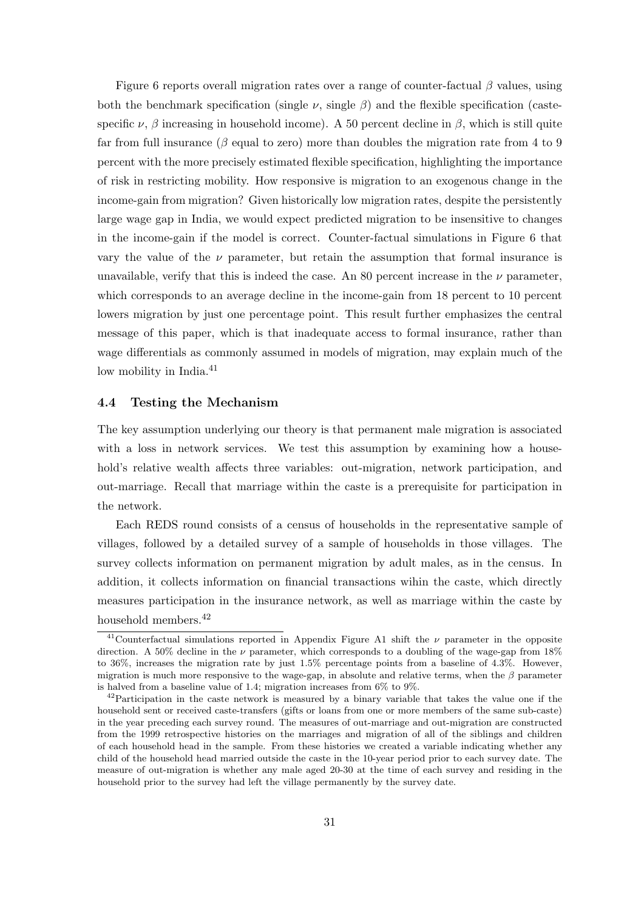Figure 6 reports overall migration rates over a range of counter-factual  $\beta$  values, using both the benchmark specification (single  $\nu$ , single  $\beta$ ) and the flexible specification (castespecific  $\nu$ ,  $\beta$  increasing in household income). A 50 percent decline in  $\beta$ , which is still quite far from full insurance ( $\beta$  equal to zero) more than doubles the migration rate from 4 to 9 percent with the more precisely estimated flexible specification, highlighting the importance of risk in restricting mobility. How responsive is migration to an exogenous change in the income-gain from migration? Given historically low migration rates, despite the persistently large wage gap in India, we would expect predicted migration to be insensitive to changes in the income-gain if the model is correct. Counter-factual simulations in Figure 6 that vary the value of the  $\nu$  parameter, but retain the assumption that formal insurance is unavailable, verify that this is indeed the case. An 80 percent increase in the  $\nu$  parameter, which corresponds to an average decline in the income-gain from 18 percent to 10 percent lowers migration by just one percentage point. This result further emphasizes the central message of this paper, which is that inadequate access to formal insurance, rather than wage differentials as commonly assumed in models of migration, may explain much of the low mobility in India.<sup>41</sup>

#### 4.4 Testing the Mechanism

The key assumption underlying our theory is that permanent male migration is associated with a loss in network services. We test this assumption by examining how a household's relative wealth affects three variables: out-migration, network participation, and out-marriage. Recall that marriage within the caste is a prerequisite for participation in the network.

Each REDS round consists of a census of households in the representative sample of villages, followed by a detailed survey of a sample of households in those villages. The survey collects information on permanent migration by adult males, as in the census. In addition, it collects information on financial transactions wihin the caste, which directly measures participation in the insurance network, as well as marriage within the caste by household members.<sup>42</sup>

<sup>&</sup>lt;sup>41</sup>Counterfactual simulations reported in Appendix Figure A1 shift the  $\nu$  parameter in the opposite direction. A 50% decline in the  $\nu$  parameter, which corresponds to a doubling of the wage-gap from 18% to 36%, increases the migration rate by just 1.5% percentage points from a baseline of 4.3%. However, migration is much more responsive to the wage-gap, in absolute and relative terms, when the  $\beta$  parameter is halved from a baseline value of 1.4; migration increases from 6% to 9%.

 $^{42}$ Participation in the caste network is measured by a binary variable that takes the value one if the household sent or received caste-transfers (gifts or loans from one or more members of the same sub-caste) in the year preceding each survey round. The measures of out-marriage and out-migration are constructed from the 1999 retrospective histories on the marriages and migration of all of the siblings and children of each household head in the sample. From these histories we created a variable indicating whether any child of the household head married outside the caste in the 10-year period prior to each survey date. The measure of out-migration is whether any male aged 20-30 at the time of each survey and residing in the household prior to the survey had left the village permanently by the survey date.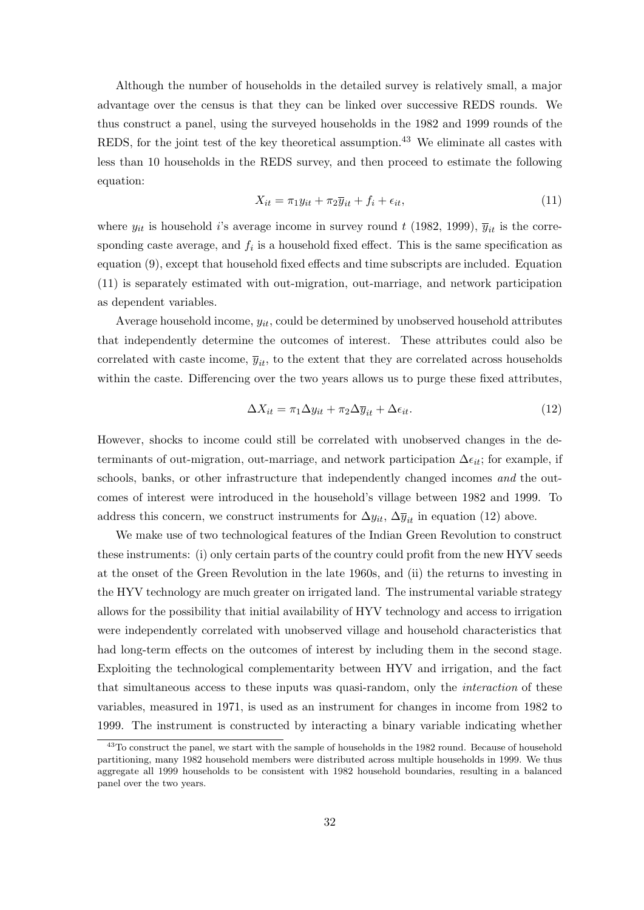Although the number of households in the detailed survey is relatively small, a major advantage over the census is that they can be linked over successive REDS rounds. We thus construct a panel, using the surveyed households in the 1982 and 1999 rounds of the REDS, for the joint test of the key theoretical assumption.<sup>43</sup> We eliminate all castes with less than 10 households in the REDS survey, and then proceed to estimate the following equation:

$$
X_{it} = \pi_1 y_{it} + \pi_2 \overline{y}_{it} + f_i + \epsilon_{it},\tag{11}
$$

where  $y_{it}$  is household i's average income in survey round t (1982, 1999),  $\overline{y}_{it}$  is the corresponding caste average, and  $f_i$  is a household fixed effect. This is the same specification as equation (9), except that household fixed effects and time subscripts are included. Equation (11) is separately estimated with out-migration, out-marriage, and network participation as dependent variables.

Average household income,  $y_{it}$ , could be determined by unobserved household attributes that independently determine the outcomes of interest. These attributes could also be correlated with caste income,  $\overline{y}_{it}$ , to the extent that they are correlated across households within the caste. Differencing over the two years allows us to purge these fixed attributes,

$$
\Delta X_{it} = \pi_1 \Delta y_{it} + \pi_2 \Delta \overline{y}_{it} + \Delta \epsilon_{it}.
$$
\n(12)

However, shocks to income could still be correlated with unobserved changes in the determinants of out-migration, out-marriage, and network participation  $\Delta \epsilon_{it}$ ; for example, if schools, banks, or other infrastructure that independently changed incomes and the outcomes of interest were introduced in the household's village between 1982 and 1999. To address this concern, we construct instruments for  $\Delta y_{it}$ ,  $\Delta \overline{y}_{it}$  in equation (12) above.

We make use of two technological features of the Indian Green Revolution to construct these instruments: (i) only certain parts of the country could profit from the new HYV seeds at the onset of the Green Revolution in the late 1960s, and (ii) the returns to investing in the HYV technology are much greater on irrigated land. The instrumental variable strategy allows for the possibility that initial availability of HYV technology and access to irrigation were independently correlated with unobserved village and household characteristics that had long-term effects on the outcomes of interest by including them in the second stage. Exploiting the technological complementarity between HYV and irrigation, and the fact that simultaneous access to these inputs was quasi-random, only the *interaction* of these variables, measured in 1971, is used as an instrument for changes in income from 1982 to 1999. The instrument is constructed by interacting a binary variable indicating whether

<sup>&</sup>lt;sup>43</sup>To construct the panel, we start with the sample of households in the 1982 round. Because of household partitioning, many 1982 household members were distributed across multiple households in 1999. We thus aggregate all 1999 households to be consistent with 1982 household boundaries, resulting in a balanced panel over the two years.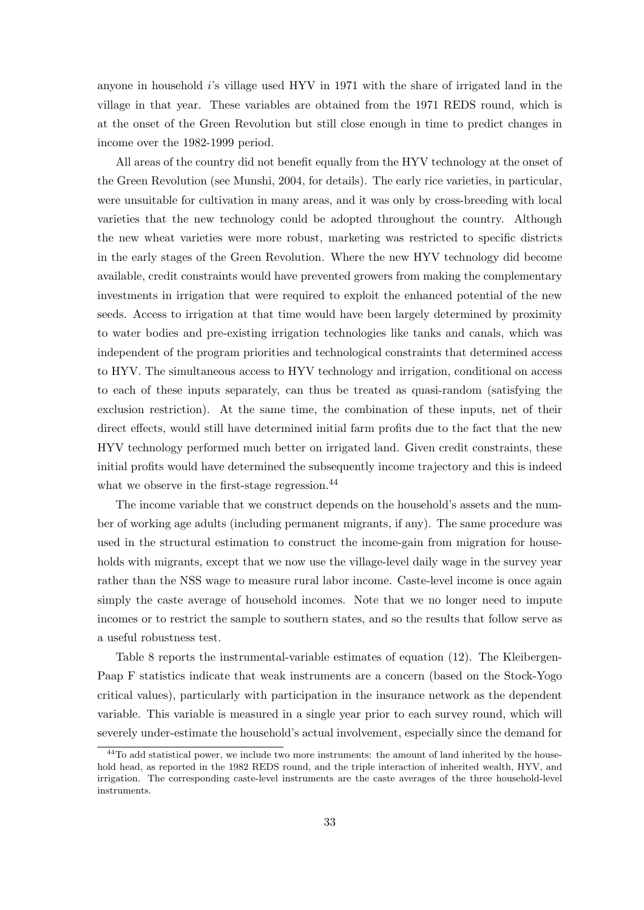anyone in household i's village used HYV in 1971 with the share of irrigated land in the village in that year. These variables are obtained from the 1971 REDS round, which is at the onset of the Green Revolution but still close enough in time to predict changes in income over the 1982-1999 period.

All areas of the country did not benefit equally from the HYV technology at the onset of the Green Revolution (see Munshi, 2004, for details). The early rice varieties, in particular, were unsuitable for cultivation in many areas, and it was only by cross-breeding with local varieties that the new technology could be adopted throughout the country. Although the new wheat varieties were more robust, marketing was restricted to specific districts in the early stages of the Green Revolution. Where the new HYV technology did become available, credit constraints would have prevented growers from making the complementary investments in irrigation that were required to exploit the enhanced potential of the new seeds. Access to irrigation at that time would have been largely determined by proximity to water bodies and pre-existing irrigation technologies like tanks and canals, which was independent of the program priorities and technological constraints that determined access to HYV. The simultaneous access to HYV technology and irrigation, conditional on access to each of these inputs separately, can thus be treated as quasi-random (satisfying the exclusion restriction). At the same time, the combination of these inputs, net of their direct effects, would still have determined initial farm profits due to the fact that the new HYV technology performed much better on irrigated land. Given credit constraints, these initial profits would have determined the subsequently income trajectory and this is indeed what we observe in the first-stage regression.<sup>44</sup>

The income variable that we construct depends on the household's assets and the number of working age adults (including permanent migrants, if any). The same procedure was used in the structural estimation to construct the income-gain from migration for households with migrants, except that we now use the village-level daily wage in the survey year rather than the NSS wage to measure rural labor income. Caste-level income is once again simply the caste average of household incomes. Note that we no longer need to impute incomes or to restrict the sample to southern states, and so the results that follow serve as a useful robustness test.

Table 8 reports the instrumental-variable estimates of equation (12). The Kleibergen-Paap F statistics indicate that weak instruments are a concern (based on the Stock-Yogo critical values), particularly with participation in the insurance network as the dependent variable. This variable is measured in a single year prior to each survey round, which will severely under-estimate the household's actual involvement, especially since the demand for

<sup>&</sup>lt;sup>44</sup>To add statistical power, we include two more instruments: the amount of land inherited by the household head, as reported in the 1982 REDS round, and the triple interaction of inherited wealth, HYV, and irrigation. The corresponding caste-level instruments are the caste averages of the three household-level instruments.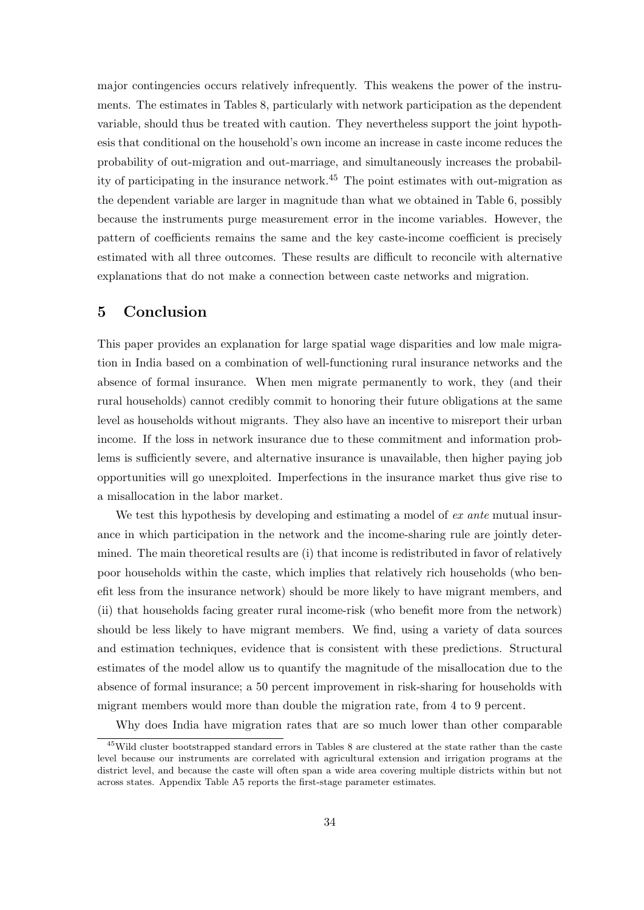major contingencies occurs relatively infrequently. This weakens the power of the instruments. The estimates in Tables 8, particularly with network participation as the dependent variable, should thus be treated with caution. They nevertheless support the joint hypothesis that conditional on the household's own income an increase in caste income reduces the probability of out-migration and out-marriage, and simultaneously increases the probability of participating in the insurance network.<sup>45</sup> The point estimates with out-migration as the dependent variable are larger in magnitude than what we obtained in Table 6, possibly because the instruments purge measurement error in the income variables. However, the pattern of coefficients remains the same and the key caste-income coefficient is precisely estimated with all three outcomes. These results are difficult to reconcile with alternative explanations that do not make a connection between caste networks and migration.

## 5 Conclusion

This paper provides an explanation for large spatial wage disparities and low male migration in India based on a combination of well-functioning rural insurance networks and the absence of formal insurance. When men migrate permanently to work, they (and their rural households) cannot credibly commit to honoring their future obligations at the same level as households without migrants. They also have an incentive to misreport their urban income. If the loss in network insurance due to these commitment and information problems is sufficiently severe, and alternative insurance is unavailable, then higher paying job opportunities will go unexploited. Imperfections in the insurance market thus give rise to a misallocation in the labor market.

We test this hypothesis by developing and estimating a model of ex ante mutual insurance in which participation in the network and the income-sharing rule are jointly determined. The main theoretical results are (i) that income is redistributed in favor of relatively poor households within the caste, which implies that relatively rich households (who benefit less from the insurance network) should be more likely to have migrant members, and (ii) that households facing greater rural income-risk (who benefit more from the network) should be less likely to have migrant members. We find, using a variety of data sources and estimation techniques, evidence that is consistent with these predictions. Structural estimates of the model allow us to quantify the magnitude of the misallocation due to the absence of formal insurance; a 50 percent improvement in risk-sharing for households with migrant members would more than double the migration rate, from 4 to 9 percent.

Why does India have migration rates that are so much lower than other comparable

<sup>45</sup>Wild cluster bootstrapped standard errors in Tables 8 are clustered at the state rather than the caste level because our instruments are correlated with agricultural extension and irrigation programs at the district level, and because the caste will often span a wide area covering multiple districts within but not across states. Appendix Table A5 reports the first-stage parameter estimates.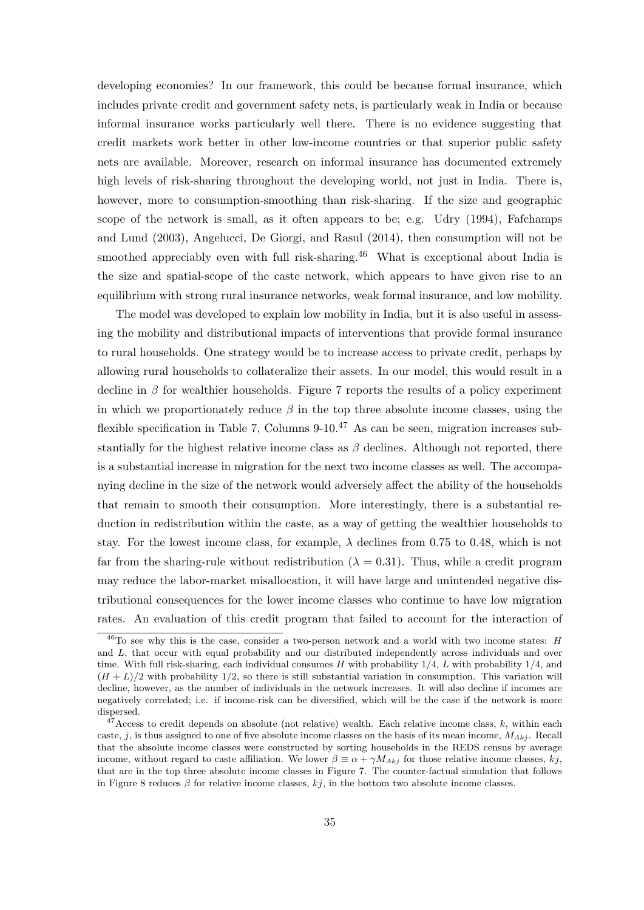developing economies? In our framework, this could be because formal insurance, which includes private credit and government safety nets, is particularly weak in India or because informal insurance works particularly well there. There is no evidence suggesting that credit markets work better in other low-income countries or that superior public safety nets are available. Moreover, research on informal insurance has documented extremely high levels of risk-sharing throughout the developing world, not just in India. There is, however, more to consumption-smoothing than risk-sharing. If the size and geographic scope of the network is small, as it often appears to be; e.g. Udry (1994), Fafchamps and Lund (2003), Angelucci, De Giorgi, and Rasul (2014), then consumption will not be smoothed appreciably even with full risk-sharing.<sup>46</sup> What is exceptional about India is the size and spatial-scope of the caste network, which appears to have given rise to an equilibrium with strong rural insurance networks, weak formal insurance, and low mobility.

The model was developed to explain low mobility in India, but it is also useful in assessing the mobility and distributional impacts of interventions that provide formal insurance to rural households. One strategy would be to increase access to private credit, perhaps by allowing rural households to collateralize their assets. In our model, this would result in a decline in  $\beta$  for wealthier households. Figure 7 reports the results of a policy experiment in which we proportionately reduce  $\beta$  in the top three absolute income classes, using the flexible specification in Table 7, Columns  $9-10<sup>.47</sup>$  As can be seen, migration increases substantially for the highest relative income class as  $\beta$  declines. Although not reported, there is a substantial increase in migration for the next two income classes as well. The accompanying decline in the size of the network would adversely affect the ability of the households that remain to smooth their consumption. More interestingly, there is a substantial reduction in redistribution within the caste, as a way of getting the wealthier households to stay. For the lowest income class, for example,  $\lambda$  declines from 0.75 to 0.48, which is not far from the sharing-rule without redistribution ( $\lambda = 0.31$ ). Thus, while a credit program may reduce the labor-market misallocation, it will have large and unintended negative distributional consequences for the lower income classes who continue to have low migration rates. An evaluation of this credit program that failed to account for the interaction of

 $^{46}$ To see why this is the case, consider a two-person network and a world with two income states: H and L, that occur with equal probability and our distributed independently across individuals and over time. With full risk-sharing, each individual consumes H with probability  $1/4$ , L with probability  $1/4$ , and  $(H + L)/2$  with probability 1/2, so there is still substantial variation in consumption. This variation will decline, however, as the number of individuals in the network increases. It will also decline if incomes are negatively correlated; i.e. if income-risk can be diversified, which will be the case if the network is more dispersed.

 $47$  Access to credit depends on absolute (not relative) wealth. Each relative income class, k, within each caste, j, is thus assigned to one of five absolute income classes on the basis of its mean income,  $M_{Akj}$ . Recall that the absolute income classes were constructed by sorting households in the REDS census by average income, without regard to caste affiliation. We lower  $\beta \equiv \alpha + \gamma M_{Akj}$  for those relative income classes, kj, that are in the top three absolute income classes in Figure 7. The counter-factual simulation that follows in Figure 8 reduces  $\beta$  for relative income classes, kj, in the bottom two absolute income classes.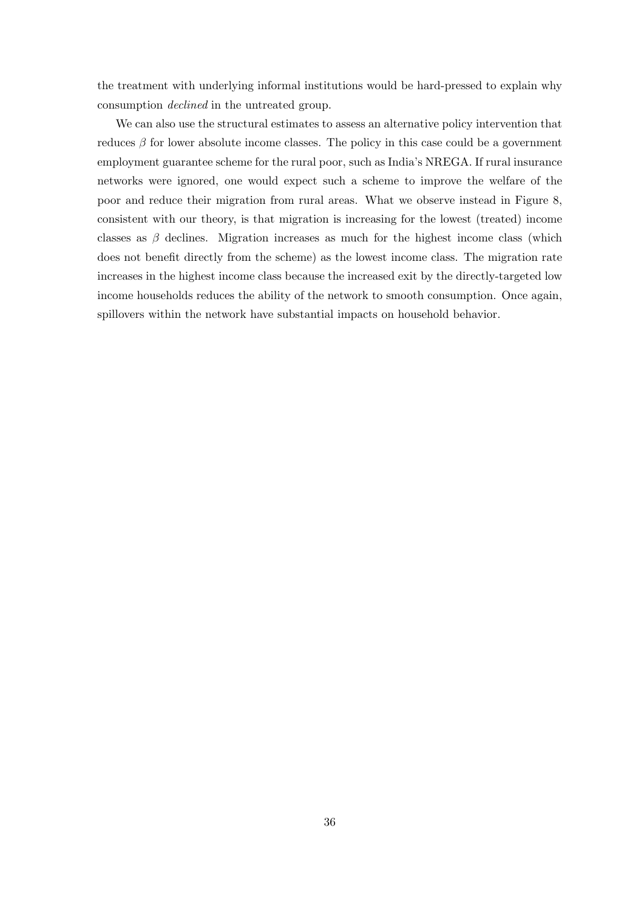the treatment with underlying informal institutions would be hard-pressed to explain why consumption declined in the untreated group.

We can also use the structural estimates to assess an alternative policy intervention that reduces  $\beta$  for lower absolute income classes. The policy in this case could be a government employment guarantee scheme for the rural poor, such as India's NREGA. If rural insurance networks were ignored, one would expect such a scheme to improve the welfare of the poor and reduce their migration from rural areas. What we observe instead in Figure 8, consistent with our theory, is that migration is increasing for the lowest (treated) income classes as  $\beta$  declines. Migration increases as much for the highest income class (which does not benefit directly from the scheme) as the lowest income class. The migration rate increases in the highest income class because the increased exit by the directly-targeted low income households reduces the ability of the network to smooth consumption. Once again, spillovers within the network have substantial impacts on household behavior.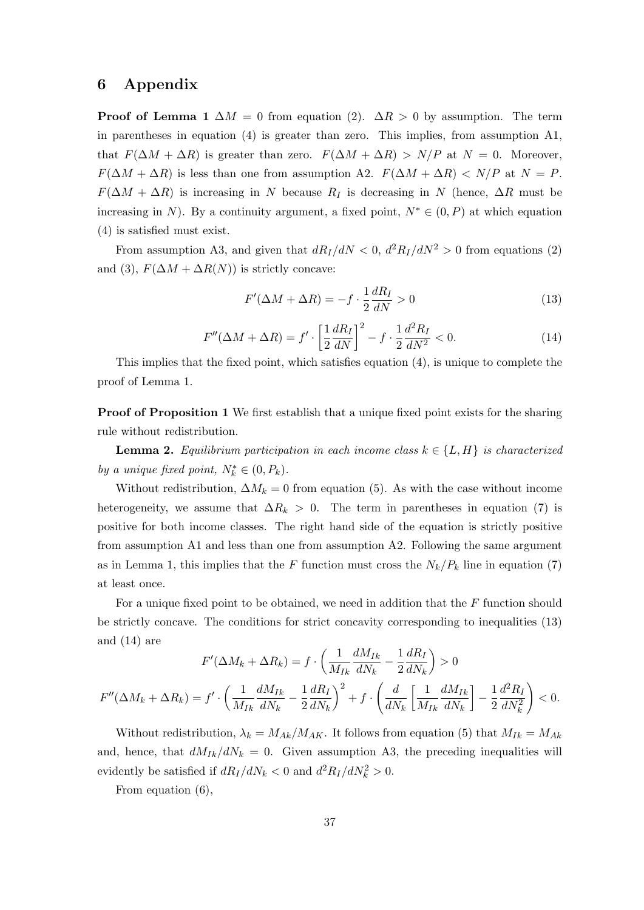### 6 Appendix

**Proof of Lemma 1**  $\Delta M = 0$  from equation (2).  $\Delta R > 0$  by assumption. The term in parentheses in equation (4) is greater than zero. This implies, from assumption A1, that  $F(\Delta M + \Delta R)$  is greater than zero.  $F(\Delta M + \Delta R) > N/P$  at  $N = 0$ . Moreover,  $F(\Delta M + \Delta R)$  is less than one from assumption A2.  $F(\Delta M + \Delta R) < N/P$  at  $N = P$ .  $F(\Delta M + \Delta R)$  is increasing in N because  $R_I$  is decreasing in N (hence,  $\Delta R$  must be increasing in N). By a continuity argument, a fixed point,  $N^* \in (0, P)$  at which equation (4) is satisfied must exist.

From assumption A3, and given that  $dR_I/dN < 0$ ,  $d^2R_I/dN^2 > 0$  from equations (2) and (3),  $F(\Delta M + \Delta R(N))$  is strictly concave:

$$
F'(\Delta M + \Delta R) = -f \cdot \frac{1}{2} \frac{dR_I}{dN} > 0
$$
\n(13)

$$
F''(\Delta M + \Delta R) = f' \cdot \left[\frac{1}{2}\frac{dR_I}{dN}\right]^2 - f \cdot \frac{1}{2}\frac{d^2R_I}{dN^2} < 0. \tag{14}
$$

This implies that the fixed point, which satisfies equation (4), is unique to complete the proof of Lemma 1.

Proof of Proposition 1 We first establish that a unique fixed point exists for the sharing rule without redistribution.

**Lemma 2.** Equilibrium participation in each income class  $k \in \{L, H\}$  is characterized by a unique fixed point,  $N_k^* \in (0, P_k)$ .

Without redistribution,  $\Delta M_k = 0$  from equation (5). As with the case without income heterogeneity, we assume that  $\Delta R_k > 0$ . The term in parentheses in equation (7) is positive for both income classes. The right hand side of the equation is strictly positive from assumption A1 and less than one from assumption A2. Following the same argument as in Lemma 1, this implies that the F function must cross the  $N_k/P_k$  line in equation (7) at least once.

For a unique fixed point to be obtained, we need in addition that the F function should be strictly concave. The conditions for strict concavity corresponding to inequalities (13) and (14) are

$$
F'(\Delta M_k + \Delta R_k) = f \cdot \left(\frac{1}{M_{Ik}} \frac{dM_{Ik}}{dN_k} - \frac{1}{2} \frac{dR_I}{dN_k}\right) > 0
$$
  

$$
F''(\Delta M_k + \Delta R_k) = f' \cdot \left(\frac{1}{M_{Ik}} \frac{dM_{Ik}}{dN_k} - \frac{1}{2} \frac{dR_I}{dN_k}\right)^2 + f \cdot \left(\frac{d}{dN_k} \left[\frac{1}{M_{Ik}} \frac{dM_{Ik}}{dN_k}\right] - \frac{1}{2} \frac{d^2R_I}{dN_k^2}\right) < 0.
$$

Without redistribution,  $\lambda_k = M_{Ak}/M_{AK}$ . It follows from equation (5) that  $M_{Ik} = M_{Ak}$ and, hence, that  $dM_{Ik}/dN_k = 0$ . Given assumption A3, the preceding inequalities will evidently be satisfied if  $dR_I/dN_k < 0$  and  $d^2R_I/dN_k^2 > 0$ .

From equation (6),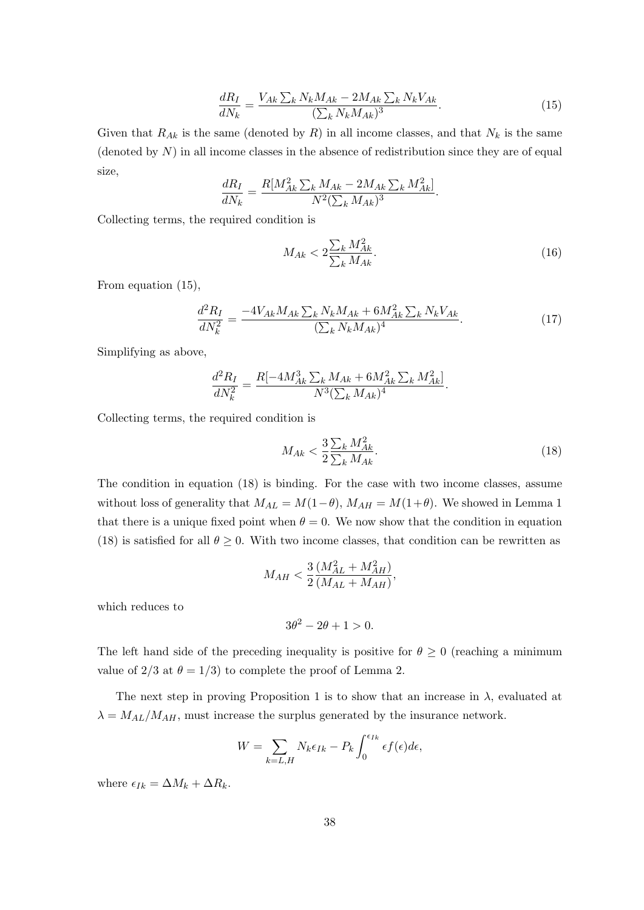$$
\frac{dR_I}{dN_k} = \frac{V_{Ak} \sum_k N_k M_{Ak} - 2M_{Ak} \sum_k N_k V_{Ak}}{(\sum_k N_k M_{Ak})^3}.\tag{15}
$$

Given that  $R_{Ak}$  is the same (denoted by R) in all income classes, and that  $N_k$  is the same (denoted by  $N$ ) in all income classes in the absence of redistribution since they are of equal size,

$$
\frac{dR_I}{dN_k} = \frac{R[M_{Ak}^2 \sum_k M_{Ak} - 2M_{Ak} \sum_k M_{Ak}^2]}{N^2 (\sum_k M_{Ak})^3}.
$$

Collecting terms, the required condition is

$$
M_{Ak} < 2\frac{\sum_{k} M_{Ak}^{2}}{\sum_{k} M_{Ak}}.\tag{16}
$$

From equation (15),

$$
\frac{d^2R_I}{dN_k^2} = \frac{-4V_{Ak}M_{Ak}\sum_k N_k M_{Ak} + 6M_{Ak}^2\sum_k N_k V_{Ak}}{(\sum_k N_k M_{Ak})^4}.\tag{17}
$$

Simplifying as above,

$$
\frac{d^2R_I}{dN_k^2} = \frac{R[-4M_{Ak}^3 \sum_k M_{Ak} + 6M_{Ak}^2 \sum_k M_{Ak}^2]}{N^3 (\sum_k M_{Ak})^4}.
$$

Collecting terms, the required condition is

$$
M_{Ak} < \frac{3}{2} \frac{\sum_{k} M_{Ak}^{2}}{\sum_{k} M_{Ak}}.\tag{18}
$$

The condition in equation (18) is binding. For the case with two income classes, assume without loss of generality that  $M_{AL} = M(1-\theta)$ ,  $M_{AH} = M(1+\theta)$ . We showed in Lemma 1 that there is a unique fixed point when  $\theta = 0$ . We now show that the condition in equation (18) is satisfied for all  $\theta \geq 0$ . With two income classes, that condition can be rewritten as

$$
M_{AH} < \frac{3}{2} \frac{(M_{AL}^2 + M_{AH}^2)}{(M_{AL} + M_{AH})},
$$

which reduces to

$$
3\theta^2 - 2\theta + 1 > 0.
$$

The left hand side of the preceding inequality is positive for  $\theta \geq 0$  (reaching a minimum value of 2/3 at  $\theta = 1/3$  to complete the proof of Lemma 2.

The next step in proving Proposition 1 is to show that an increase in  $\lambda$ , evaluated at  $\lambda = M_{AL}/M_{AH}$ , must increase the surplus generated by the insurance network.

$$
W = \sum_{k=L,H} N_k \epsilon_{Ik} - P_k \int_0^{\epsilon_{Ik}} \epsilon f(\epsilon) d\epsilon,
$$

where  $\epsilon_{Ik} = \Delta M_k + \Delta R_k$ .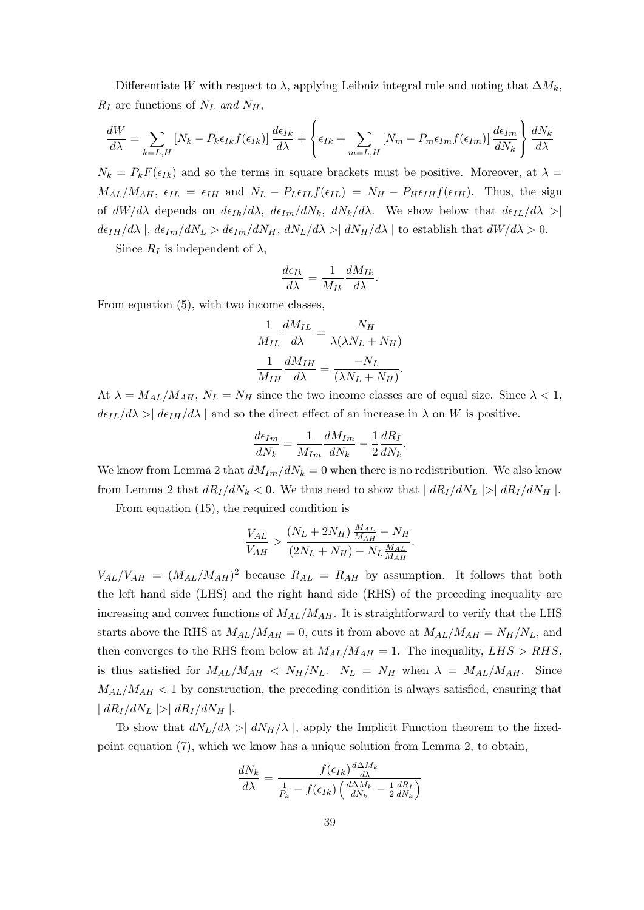Differentiate W with respect to  $\lambda$ , applying Leibniz integral rule and noting that  $\Delta M_k$ ,  $R_I$  are functions of  $N_L$  and  $N_H$ ,

$$
\frac{dW}{d\lambda} = \sum_{k=L,H} \left[ N_k - P_k \epsilon_{Ik} f(\epsilon_{Ik}) \right] \frac{d\epsilon_{Ik}}{d\lambda} + \left\{ \epsilon_{Ik} + \sum_{m=L,H} \left[ N_m - P_m \epsilon_{Im} f(\epsilon_{Im}) \right] \frac{d\epsilon_{Im}}{dN_k} \right\} \frac{dN_k}{d\lambda}
$$

 $N_k = P_k F(\epsilon_{Ik})$  and so the terms in square brackets must be positive. Moreover, at  $\lambda =$  $M_{AL}/M_{AH}$ ,  $\epsilon_{IL} = \epsilon_{IH}$  and  $N_L - P_L \epsilon_{IL} f(\epsilon_{IL}) = N_H - P_H \epsilon_{IH} f(\epsilon_{IH})$ . Thus, the sign of  $dW/d\lambda$  depends on  $d\epsilon_{Ik}/d\lambda$ ,  $d\epsilon_{Im}/dN_k$ ,  $dN_k/d\lambda$ . We show below that  $d\epsilon_{IL}/d\lambda$  >  $d\epsilon_{IH}/d\lambda$ ,  $d\epsilon_{Im}/dN_L > d\epsilon_{Im}/dN_H$ ,  $dN_L/d\lambda > |dN_H/d\lambda|$  to establish that  $dW/d\lambda > 0$ .

Since  $R_I$  is independent of  $\lambda$ ,

$$
\frac{d\epsilon_{Ik}}{d\lambda} = \frac{1}{M_{Ik}} \frac{dM_{Ik}}{d\lambda}.
$$

From equation (5), with two income classes,

$$
\frac{1}{M_{IL}} \frac{dM_{IL}}{d\lambda} = \frac{N_H}{\lambda(\lambda N_L + N_H)}
$$

$$
\frac{1}{M_{IH}} \frac{dM_{IH}}{d\lambda} = \frac{-N_L}{(\lambda N_L + N_H)}.
$$

At  $\lambda = M_{AL}/M_{AH}$ ,  $N_L = N_H$  since the two income classes are of equal size. Since  $\lambda < 1$ ,  $d\epsilon_{IL}/d\lambda > |d\epsilon_{IH}/d\lambda|$  and so the direct effect of an increase in  $\lambda$  on W is positive.

$$
\frac{d\epsilon_{Im}}{dN_k} = \frac{1}{M_{Im}} \frac{dM_{Im}}{dN_k} - \frac{1}{2} \frac{dR_I}{dN_k}.
$$

We know from Lemma 2 that  $dM_{Im}/dN_k = 0$  when there is no redistribution. We also know from Lemma 2 that  $dR_I/dN_k < 0$ . We thus need to show that  $|dR_I/dN_L| > |dR_I/dN_H|$ .

From equation (15), the required condition is

$$
\frac{V_{AL}}{V_{AH}} > \frac{(N_L + 2N_H) \frac{M_{AL}}{M_{AH}} - N_H}{(2N_L + N_H) - N_L \frac{M_{AL}}{M_{AH}}}.
$$

 $V_{AL}/V_{AH} = (M_{AL}/M_{AH})^2$  because  $R_{AL} = R_{AH}$  by assumption. It follows that both the left hand side (LHS) and the right hand side (RHS) of the preceding inequality are increasing and convex functions of  $M_{AL}/M_{AH}$ . It is straightforward to verify that the LHS starts above the RHS at  $M_{AL}/M_{AH} = 0$ , cuts it from above at  $M_{AL}/M_{AH} = N_H/N_L$ , and then converges to the RHS from below at  $M_{AL}/M_{AH} = 1$ . The inequality,  $LHS > RHS$ , is thus satisfied for  $M_{AL}/M_{AH}$  <  $N_H/N_L$ .  $N_L = N_H$  when  $\lambda = M_{AL}/M_{AH}$ . Since  $M_{AL}/M_{AH}$  < 1 by construction, the preceding condition is always satisfied, ensuring that  $| dR_I/dN_L | > | dR_I/dN_H |$ .

To show that  $dN_L/d\lambda > | dN_H/\lambda |$ , apply the Implicit Function theorem to the fixedpoint equation (7), which we know has a unique solution from Lemma 2, to obtain,

$$
\frac{dN_k}{d\lambda} = \frac{f(\epsilon_{Ik})\frac{d\Delta M_k}{d\lambda}}{\frac{1}{P_k} - f(\epsilon_{Ik})\left(\frac{d\Delta M_k}{dN_k} - \frac{1}{2}\frac{dR_I}{dN_k}\right)}
$$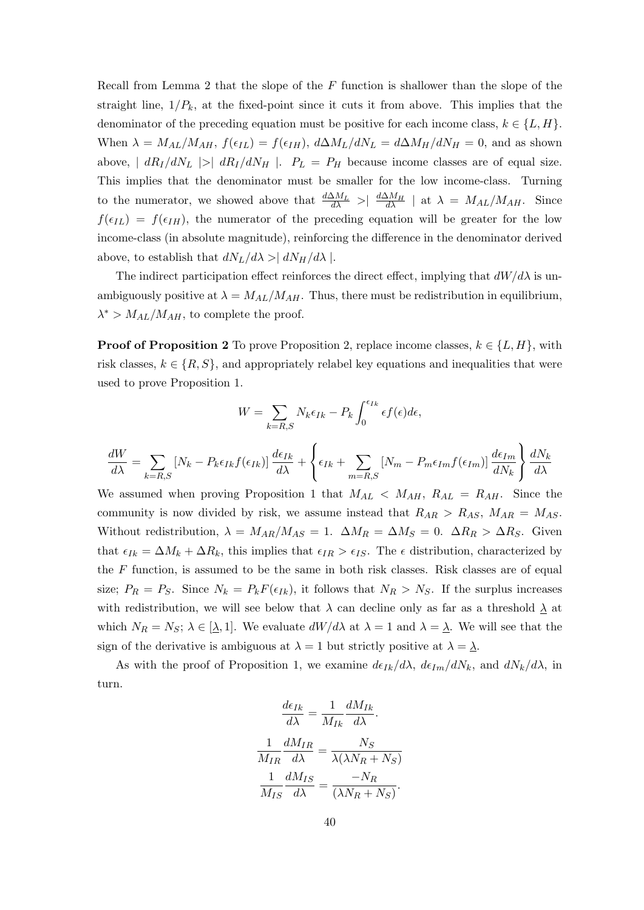Recall from Lemma 2 that the slope of the  $F$  function is shallower than the slope of the straight line,  $1/P_k$ , at the fixed-point since it cuts it from above. This implies that the denominator of the preceding equation must be positive for each income class,  $k \in \{L, H\}$ . When  $\lambda = M_{AL}/M_{AH}$ ,  $f(\epsilon_{IL}) = f(\epsilon_{IH})$ ,  $d\Delta M_{L}/dN_{L} = d\Delta M_{H}/dN_{H} = 0$ , and as shown above,  $|dR_I/dN_L| > |dR_I/dN_H|$ .  $P_L = P_H$  because income classes are of equal size. This implies that the denominator must be smaller for the low income-class. Turning to the numerator, we showed above that  $\frac{d\Delta M_L}{d\lambda} > \frac{d\Delta M_H}{d\lambda}$  at  $\lambda = M_{AL}/M_{AH}$ . Since  $f(\epsilon_{IL}) = f(\epsilon_{IH})$ , the numerator of the preceding equation will be greater for the low income-class (in absolute magnitude), reinforcing the difference in the denominator derived above, to establish that  $dN_L/d\lambda > | dN_H/d\lambda |$ .

The indirect participation effect reinforces the direct effect, implying that  $dW/d\lambda$  is unambiguously positive at  $\lambda = M_{AL}/M_{AH}$ . Thus, there must be redistribution in equilibrium,  $\lambda^* > M_{AL}/M_{AH}$ , to complete the proof.

**Proof of Proposition 2** To prove Proposition 2, replace income classes,  $k \in \{L, H\}$ , with risk classes,  $k \in \{R, S\}$ , and appropriately relabel key equations and inequalities that were used to prove Proposition 1.

$$
W = \sum_{k=R,S} N_k \epsilon_{Ik} - P_k \int_0^{\epsilon_{Ik}} \epsilon f(\epsilon) d\epsilon,
$$

$$
\frac{dW}{d\lambda} = \sum_{k=R,S} \left[ N_k - P_k \epsilon_{Ik} f(\epsilon_{Ik}) \right] \frac{d\epsilon_{Ik}}{d\lambda} + \left\{ \epsilon_{Ik} + \sum_{m=R,S} \left[ N_m - P_m \epsilon_{Im} f(\epsilon_{Im}) \right] \frac{d\epsilon_{Im}}{dN_k} \right\} \frac{dN_k}{d\lambda}
$$

We assumed when proving Proposition 1 that  $M_{AL} < M_{AH}$ ,  $R_{AL} = R_{AH}$ . Since the community is now divided by risk, we assume instead that  $R_{AR} > R_{AS}$ ,  $M_{AR} = M_{AS}$ . Without redistribution,  $\lambda = M_{AR}/M_{AS} = 1$ .  $\Delta M_R = \Delta M_S = 0$ .  $\Delta R_R > \Delta R_S$ . Given that  $\epsilon_{Ik} = \Delta M_k + \Delta R_k$ , this implies that  $\epsilon_{IR} > \epsilon_{IS}$ . The  $\epsilon$  distribution, characterized by the  $F$  function, is assumed to be the same in both risk classes. Risk classes are of equal size;  $P_R = P_S$ . Since  $N_k = P_k F(\epsilon_{Ik})$ , it follows that  $N_R > N_S$ . If the surplus increases with redistribution, we will see below that  $\lambda$  can decline only as far as a threshold  $\lambda$  at which  $N_R = N_S$ ;  $\lambda \in [\underline{\lambda}, 1]$ . We evaluate  $dW/d\lambda$  at  $\lambda = 1$  and  $\lambda = \underline{\lambda}$ . We will see that the sign of the derivative is ambiguous at  $\lambda = 1$  but strictly positive at  $\lambda = \lambda$ .

As with the proof of Proposition 1, we examine  $d\epsilon_{Ik}/d\lambda$ ,  $d\epsilon_{Im}/dN_k$ , and  $dN_k/d\lambda$ , in turn.

$$
\frac{d\epsilon_{Ik}}{d\lambda} = \frac{1}{M_{Ik}} \frac{dM_{Ik}}{d\lambda}.
$$

$$
\frac{1}{M_{IR}} \frac{dM_{IR}}{d\lambda} = \frac{N_S}{\lambda(\lambda N_R + N_S)}
$$

$$
\frac{1}{M_{IS}} \frac{dM_{IS}}{d\lambda} = \frac{-N_R}{(\lambda N_R + N_S)}.
$$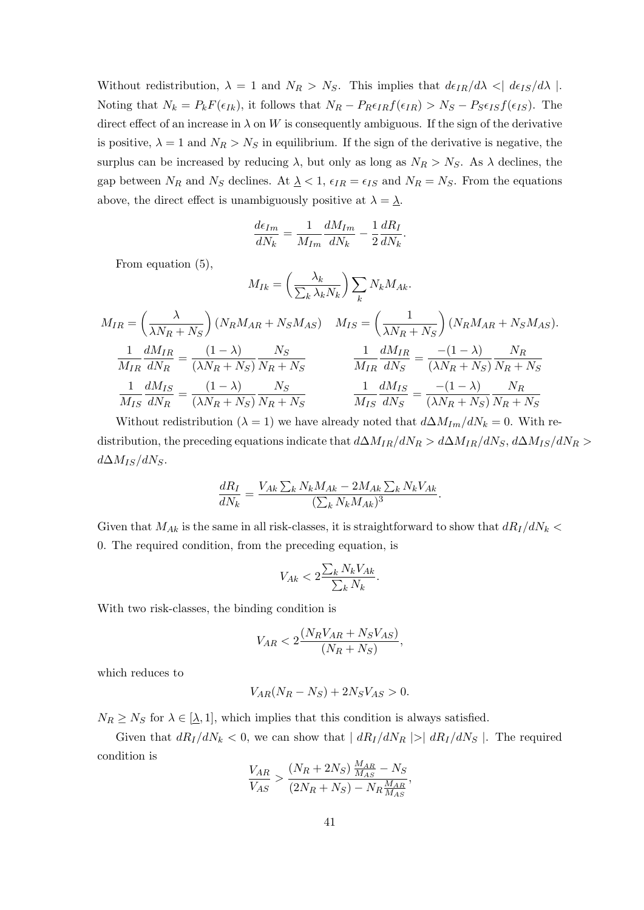Without redistribution,  $\lambda = 1$  and  $N_R > N_S$ . This implies that  $d\epsilon_{IR}/d\lambda < |d\epsilon_{IS}/d\lambda|$ . Noting that  $N_k = P_k F(\epsilon_{Ik}),$  it follows that  $N_R - P_R \epsilon_{IR} f(\epsilon_{IR}) > N_S - P_S \epsilon_{IS} f(\epsilon_{IS}).$  The direct effect of an increase in  $\lambda$  on W is consequently ambiguous. If the sign of the derivative is positive,  $\lambda = 1$  and  $N_R > N_S$  in equilibrium. If the sign of the derivative is negative, the surplus can be increased by reducing  $\lambda$ , but only as long as  $N_R > N_S$ . As  $\lambda$  declines, the gap between  $N_R$  and  $N_S$  declines. At  $\lambda < 1$ ,  $\epsilon_{IR} = \epsilon_{IS}$  and  $N_R = N_S$ . From the equations above, the direct effect is unambiguously positive at  $\lambda = \underline{\lambda}$ .

$$
\frac{d\epsilon_{Im}}{dN_k} = \frac{1}{M_{Im}} \frac{dM_{Im}}{dN_k} - \frac{1}{2} \frac{dR_I}{dN_k}.
$$

From equation (5),

$$
M_{IR} = \left(\frac{\lambda_k}{\sum_k \lambda_k N_k}\right) \sum_k N_k M_{Ak}.
$$
  
\n
$$
M_{IR} = \left(\frac{\lambda}{\lambda N_R + N_S}\right) (N_R M_{AR} + N_S M_{AS}) \quad M_{IS} = \left(\frac{1}{\lambda N_R + N_S}\right) (N_R M_{AR} + N_S M_{AS}).
$$
  
\n
$$
\frac{1}{M_{IR}} \frac{dM_{IR}}{dN_R} = \frac{(1 - \lambda)}{(\lambda N_R + N_S)} \frac{N_S}{N_R + N_S} \qquad \frac{1}{M_{IR}} \frac{dM_{IR}}{dN_S} = \frac{-(1 - \lambda)}{(\lambda N_R + N_S)} \frac{N_R}{N_R + N_S}
$$
  
\n
$$
\frac{1}{M_{IS}} \frac{dM_{IS}}{dN_R} = \frac{(1 - \lambda)}{(\lambda N_R + N_S)} \frac{N_S}{N_R + N_S} \qquad \frac{1}{M_{IS}} \frac{dM_{IS}}{dN_S} = \frac{-(1 - \lambda)}{(\lambda N_R + N_S)} \frac{N_R}{N_R + N_S}
$$

Without redistribution ( $\lambda = 1$ ) we have already noted that  $d\Delta M_{Im}/dN_k = 0$ . With redistribution, the preceding equations indicate that  $d\Delta M_{IR}/dN_R > d\Delta M_{IR}/dN_S$ ,  $d\Delta M_{IS}/dN_R >$  $d\Delta M_{IS}/dN_S$ .

$$
\frac{dR_I}{dN_k} = \frac{V_{Ak} \sum_k N_k M_{Ak} - 2M_{Ak} \sum_k N_k V_{Ak}}{(\sum_k N_k M_{Ak})^3}.
$$

Given that  $M_{Ak}$  is the same in all risk-classes, it is straightforward to show that  $dR_I/dN_k$  < 0. The required condition, from the preceding equation, is

$$
V_{Ak} < 2\frac{\sum_{k} N_{k} V_{Ak}}{\sum_{k} N_{k}}.
$$

With two risk-classes, the binding condition is

$$
V_{AR} < 2\frac{(N_R V_{AR} + N_S V_{AS})}{(N_R + N_S)},
$$

which reduces to

$$
V_{AR}(N_R - N_S) + 2N_S V_{AS} > 0.
$$

 $N_R \geq N_S$  for  $\lambda \in [\lambda, 1]$ , which implies that this condition is always satisfied.

Given that  $dR_I/dN_k < 0$ , we can show that  $| dR_I/dN_R | > | dR_I/dN_S |$ . The required condition is

$$
\frac{V_{AR}}{V_{AS}} > \frac{(N_R + 2N_S)\frac{M_{AR}}{M_{AS}} - N_S}{(2N_R + N_S) - N_R \frac{M_{AR}}{M_{AS}}},
$$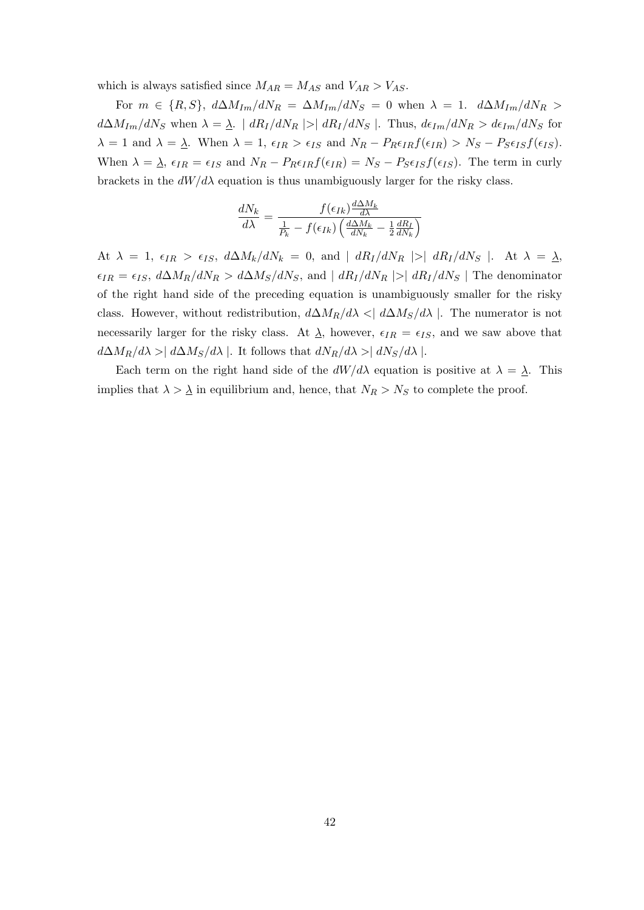which is always satisfied since  $M_{AR} = M_{AS}$  and  $V_{AR} > V_{AS}$ .

For  $m \in \{R, S\}$ ,  $d\Delta M_{Im}/dN_R = \Delta M_{Im}/dN_S = 0$  when  $\lambda = 1$ .  $d\Delta M_{Im}/dN_R >$  $d\Delta M_{Im}/dN_S$  when  $\lambda = \lambda$ .  $|dR_I/dN_R| > |dR_I/dN_S|$ . Thus,  $d\epsilon_{Im}/dN_R > d\epsilon_{Im}/dN_S$  for  $\lambda = 1$  and  $\lambda = \underline{\lambda}$ . When  $\lambda = 1$ ,  $\epsilon_{IR} > \epsilon_{IS}$  and  $N_R - P_R \epsilon_{IR} f(\epsilon_{IR}) > N_S - P_S \epsilon_{IS} f(\epsilon_{IS})$ . When  $\lambda = \lambda$ ,  $\epsilon_{IR} = \epsilon_{IS}$  and  $N_R - P_R \epsilon_{IR} f(\epsilon_{IR}) = N_S - P_S \epsilon_{IS} f(\epsilon_{IS})$ . The term in curly brackets in the  $dW/d\lambda$  equation is thus unambiguously larger for the risky class.

$$
\frac{dN_k}{d\lambda} = \frac{f(\epsilon_{Ik})\frac{d\Delta M_k}{d\lambda}}{\frac{1}{P_k} - f(\epsilon_{Ik})\left(\frac{d\Delta M_k}{dN_k} - \frac{1}{2}\frac{dR_L}{dN_k}\right)}
$$

At  $\lambda = 1$ ,  $\epsilon_{IR} > \epsilon_{IS}$ ,  $d\Delta M_k/dN_k = 0$ , and  $|dR_I/dN_R| > |dR_I/dN_S|$ . At  $\lambda = \lambda$ ,  $\epsilon_{IR} = \epsilon_{IS}$ ,  $d\Delta M_R/dN_R > d\Delta M_S/dN_S$ , and  $|dR_I/dN_R| > |dR_I/dN_S|$  The denominator of the right hand side of the preceding equation is unambiguously smaller for the risky class. However, without redistribution,  $d\Delta M_R/d\lambda < | d\Delta M_S/d\lambda |$ . The numerator is not necessarily larger for the risky class. At  $\lambda$ , however,  $\epsilon_{IR} = \epsilon_{IS}$ , and we saw above that  $d\Delta M_R/d\lambda > | d\Delta M_S/d\lambda |$ . It follows that  $dN_R/d\lambda > | dN_S/d\lambda |$ .

Each term on the right hand side of the  $dW/d\lambda$  equation is positive at  $\lambda = \lambda$ . This implies that  $\lambda > \underline{\lambda}$  in equilibrium and, hence, that  $N_R > N_S$  to complete the proof.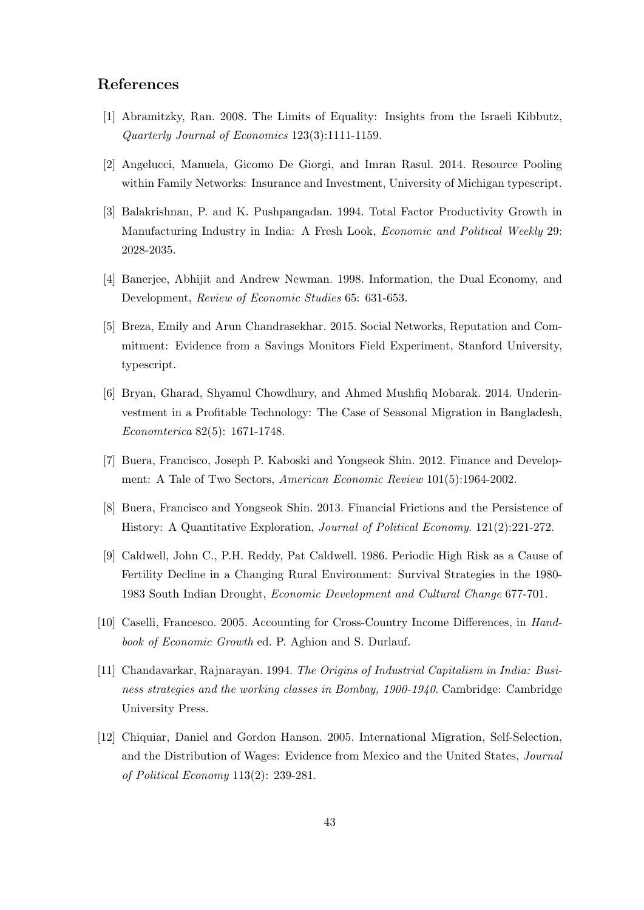### References

- [1] Abramitzky, Ran. 2008. The Limits of Equality: Insights from the Israeli Kibbutz, Quarterly Journal of Economics 123(3):1111-1159.
- [2] Angelucci, Manuela, Gicomo De Giorgi, and Imran Rasul. 2014. Resource Pooling within Family Networks: Insurance and Investment, University of Michigan typescript.
- [3] Balakrishnan, P. and K. Pushpangadan. 1994. Total Factor Productivity Growth in Manufacturing Industry in India: A Fresh Look, Economic and Political Weekly 29: 2028-2035.
- [4] Banerjee, Abhijit and Andrew Newman. 1998. Information, the Dual Economy, and Development, Review of Economic Studies 65: 631-653.
- [5] Breza, Emily and Arun Chandrasekhar. 2015. Social Networks, Reputation and Commitment: Evidence from a Savings Monitors Field Experiment, Stanford University, typescript.
- [6] Bryan, Gharad, Shyamul Chowdhury, and Ahmed Mushfiq Mobarak. 2014. Underinvestment in a Profitable Technology: The Case of Seasonal Migration in Bangladesh, Economterica 82(5): 1671-1748.
- [7] Buera, Francisco, Joseph P. Kaboski and Yongseok Shin. 2012. Finance and Development: A Tale of Two Sectors, American Economic Review 101(5):1964-2002.
- [8] Buera, Francisco and Yongseok Shin. 2013. Financial Frictions and the Persistence of History: A Quantitative Exploration, Journal of Political Economy. 121(2):221-272.
- [9] Caldwell, John C., P.H. Reddy, Pat Caldwell. 1986. Periodic High Risk as a Cause of Fertility Decline in a Changing Rural Environment: Survival Strategies in the 1980- 1983 South Indian Drought, Economic Development and Cultural Change 677-701.
- [10] Caselli, Francesco. 2005. Accounting for Cross-Country Income Differences, in Handbook of Economic Growth ed. P. Aghion and S. Durlauf.
- [11] Chandavarkar, Rajnarayan. 1994. The Origins of Industrial Capitalism in India: Business strategies and the working classes in Bombay, 1900-1940. Cambridge: Cambridge University Press.
- [12] Chiquiar, Daniel and Gordon Hanson. 2005. International Migration, Self-Selection, and the Distribution of Wages: Evidence from Mexico and the United States, Journal of Political Economy 113(2): 239-281.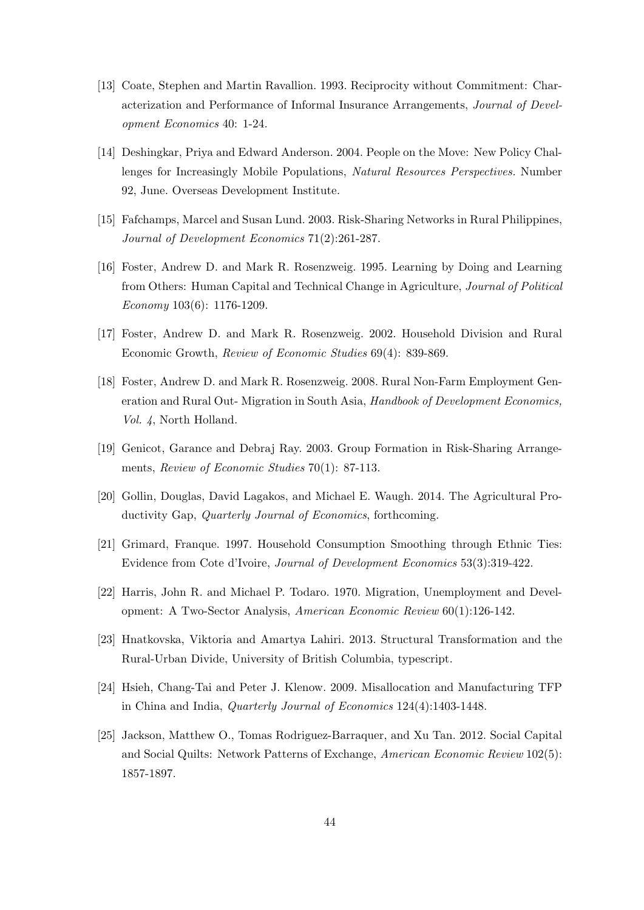- [13] Coate, Stephen and Martin Ravallion. 1993. Reciprocity without Commitment: Characterization and Performance of Informal Insurance Arrangements, Journal of Development Economics 40: 1-24.
- [14] Deshingkar, Priya and Edward Anderson. 2004. People on the Move: New Policy Challenges for Increasingly Mobile Populations, Natural Resources Perspectives. Number 92, June. Overseas Development Institute.
- [15] Fafchamps, Marcel and Susan Lund. 2003. Risk-Sharing Networks in Rural Philippines, Journal of Development Economics 71(2):261-287.
- [16] Foster, Andrew D. and Mark R. Rosenzweig. 1995. Learning by Doing and Learning from Others: Human Capital and Technical Change in Agriculture, Journal of Political Economy 103(6): 1176-1209.
- [17] Foster, Andrew D. and Mark R. Rosenzweig. 2002. Household Division and Rural Economic Growth, Review of Economic Studies 69(4): 839-869.
- [18] Foster, Andrew D. and Mark R. Rosenzweig. 2008. Rural Non-Farm Employment Generation and Rural Out- Migration in South Asia, Handbook of Development Economics, Vol. 4, North Holland.
- [19] Genicot, Garance and Debraj Ray. 2003. Group Formation in Risk-Sharing Arrangements, Review of Economic Studies 70(1): 87-113.
- [20] Gollin, Douglas, David Lagakos, and Michael E. Waugh. 2014. The Agricultural Productivity Gap, *Quarterly Journal of Economics*, forthcoming.
- [21] Grimard, Franque. 1997. Household Consumption Smoothing through Ethnic Ties: Evidence from Cote d'Ivoire, Journal of Development Economics 53(3):319-422.
- [22] Harris, John R. and Michael P. Todaro. 1970. Migration, Unemployment and Development: A Two-Sector Analysis, American Economic Review 60(1):126-142.
- [23] Hnatkovska, Viktoria and Amartya Lahiri. 2013. Structural Transformation and the Rural-Urban Divide, University of British Columbia, typescript.
- [24] Hsieh, Chang-Tai and Peter J. Klenow. 2009. Misallocation and Manufacturing TFP in China and India, Quarterly Journal of Economics 124(4):1403-1448.
- [25] Jackson, Matthew O., Tomas Rodriguez-Barraquer, and Xu Tan. 2012. Social Capital and Social Quilts: Network Patterns of Exchange, American Economic Review 102(5): 1857-1897.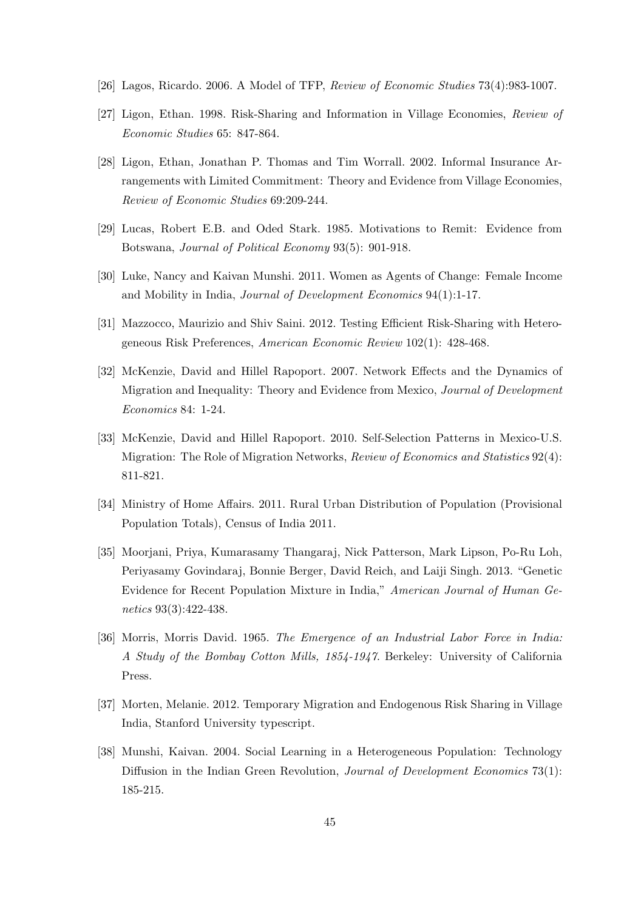- [26] Lagos, Ricardo. 2006. A Model of TFP, Review of Economic Studies 73(4):983-1007.
- [27] Ligon, Ethan. 1998. Risk-Sharing and Information in Village Economies, Review of Economic Studies 65: 847-864.
- [28] Ligon, Ethan, Jonathan P. Thomas and Tim Worrall. 2002. Informal Insurance Arrangements with Limited Commitment: Theory and Evidence from Village Economies, Review of Economic Studies 69:209-244.
- [29] Lucas, Robert E.B. and Oded Stark. 1985. Motivations to Remit: Evidence from Botswana, Journal of Political Economy 93(5): 901-918.
- [30] Luke, Nancy and Kaivan Munshi. 2011. Women as Agents of Change: Female Income and Mobility in India, Journal of Development Economics 94(1):1-17.
- [31] Mazzocco, Maurizio and Shiv Saini. 2012. Testing Efficient Risk-Sharing with Heterogeneous Risk Preferences, American Economic Review 102(1): 428-468.
- [32] McKenzie, David and Hillel Rapoport. 2007. Network Effects and the Dynamics of Migration and Inequality: Theory and Evidence from Mexico, Journal of Development Economics 84: 1-24.
- [33] McKenzie, David and Hillel Rapoport. 2010. Self-Selection Patterns in Mexico-U.S. Migration: The Role of Migration Networks, Review of Economics and Statistics 92(4): 811-821.
- [34] Ministry of Home Affairs. 2011. Rural Urban Distribution of Population (Provisional Population Totals), Census of India 2011.
- [35] Moorjani, Priya, Kumarasamy Thangaraj, Nick Patterson, Mark Lipson, Po-Ru Loh, Periyasamy Govindaraj, Bonnie Berger, David Reich, and Laiji Singh. 2013. "Genetic Evidence for Recent Population Mixture in India," American Journal of Human Genetics 93(3):422-438.
- [36] Morris, Morris David. 1965. The Emergence of an Industrial Labor Force in India: A Study of the Bombay Cotton Mills, 1854-1947. Berkeley: University of California Press.
- [37] Morten, Melanie. 2012. Temporary Migration and Endogenous Risk Sharing in Village India, Stanford University typescript.
- [38] Munshi, Kaivan. 2004. Social Learning in a Heterogeneous Population: Technology Diffusion in the Indian Green Revolution, *Journal of Development Economics* 73(1): 185-215.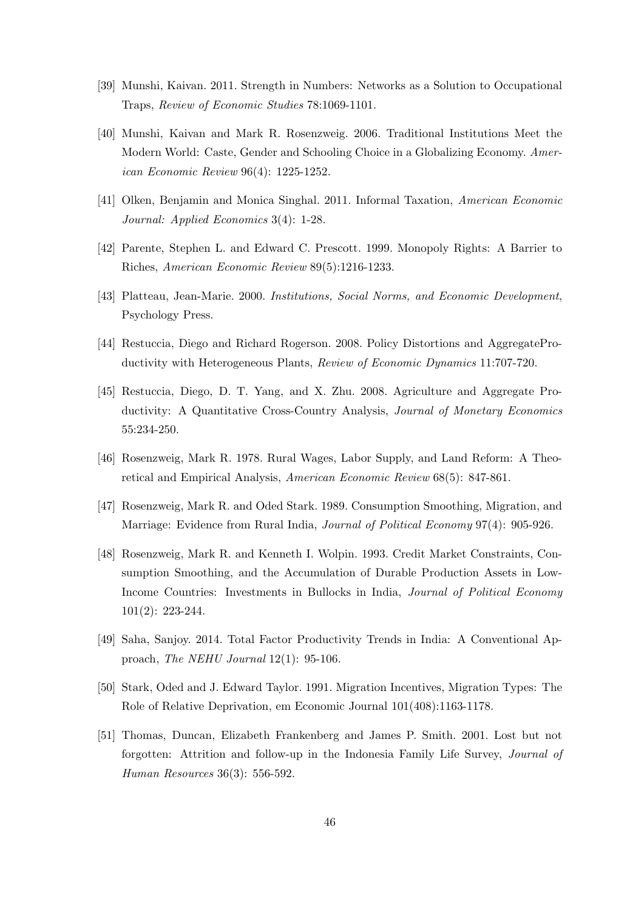- [39] Munshi, Kaivan. 2011. Strength in Numbers: Networks as a Solution to Occupational Traps, Review of Economic Studies 78:1069-1101.
- [40] Munshi, Kaivan and Mark R. Rosenzweig. 2006. Traditional Institutions Meet the Modern World: Caste, Gender and Schooling Choice in a Globalizing Economy. American Economic Review 96(4): 1225-1252.
- [41] Olken, Benjamin and Monica Singhal. 2011. Informal Taxation, American Economic Journal: Applied Economics 3(4): 1-28.
- [42] Parente, Stephen L. and Edward C. Prescott. 1999. Monopoly Rights: A Barrier to Riches, American Economic Review 89(5):1216-1233.
- [43] Platteau, Jean-Marie. 2000. Institutions, Social Norms, and Economic Development, Psychology Press.
- [44] Restuccia, Diego and Richard Rogerson. 2008. Policy Distortions and AggregateProductivity with Heterogeneous Plants, Review of Economic Dynamics 11:707-720.
- [45] Restuccia, Diego, D. T. Yang, and X. Zhu. 2008. Agriculture and Aggregate Productivity: A Quantitative Cross-Country Analysis, Journal of Monetary Economics 55:234-250.
- [46] Rosenzweig, Mark R. 1978. Rural Wages, Labor Supply, and Land Reform: A Theoretical and Empirical Analysis, American Economic Review 68(5): 847-861.
- [47] Rosenzweig, Mark R. and Oded Stark. 1989. Consumption Smoothing, Migration, and Marriage: Evidence from Rural India, Journal of Political Economy 97(4): 905-926.
- [48] Rosenzweig, Mark R. and Kenneth I. Wolpin. 1993. Credit Market Constraints, Consumption Smoothing, and the Accumulation of Durable Production Assets in Low-Income Countries: Investments in Bullocks in India, Journal of Political Economy 101(2): 223-244.
- [49] Saha, Sanjoy. 2014. Total Factor Productivity Trends in India: A Conventional Approach, The NEHU Journal 12(1): 95-106.
- [50] Stark, Oded and J. Edward Taylor. 1991. Migration Incentives, Migration Types: The Role of Relative Deprivation, em Economic Journal 101(408):1163-1178.
- [51] Thomas, Duncan, Elizabeth Frankenberg and James P. Smith. 2001. Lost but not forgotten: Attrition and follow-up in the Indonesia Family Life Survey, Journal of Human Resources 36(3): 556-592.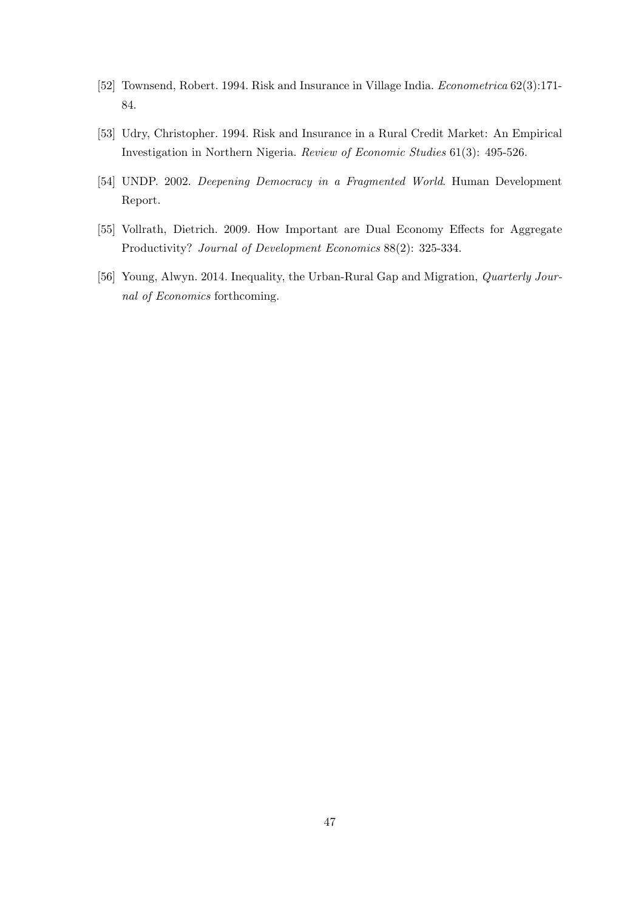- [52] Townsend, Robert. 1994. Risk and Insurance in Village India. Econometrica 62(3):171- 84.
- [53] Udry, Christopher. 1994. Risk and Insurance in a Rural Credit Market: An Empirical Investigation in Northern Nigeria. Review of Economic Studies 61(3): 495-526.
- [54] UNDP. 2002. Deepening Democracy in a Fragmented World. Human Development Report.
- [55] Vollrath, Dietrich. 2009. How Important are Dual Economy Effects for Aggregate Productivity? Journal of Development Economics 88(2): 325-334.
- [56] Young, Alwyn. 2014. Inequality, the Urban-Rural Gap and Migration, *Quarterly Jour*nal of Economics forthcoming.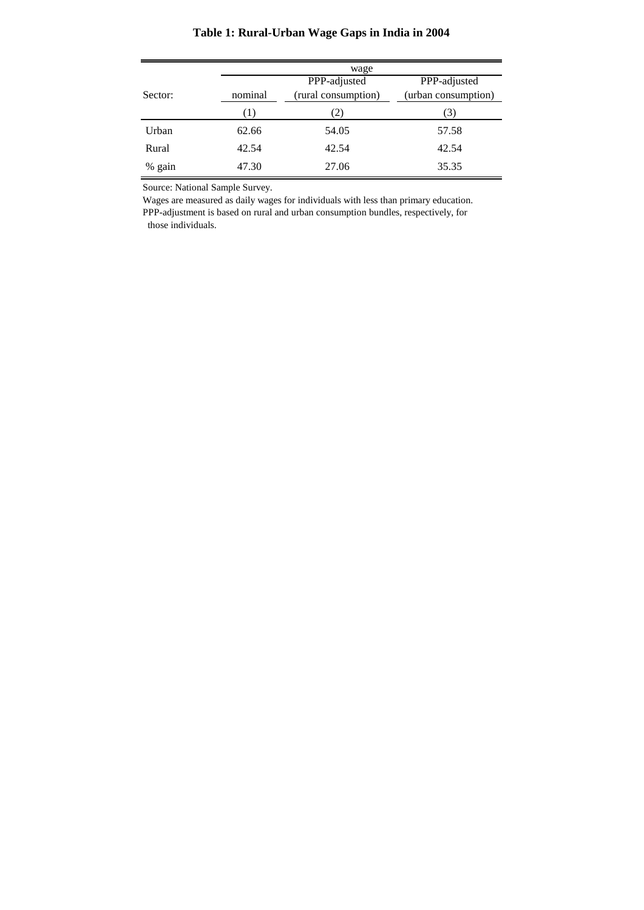# **Table 1: Rural-Urban Wage Gaps in India in 2004**

|          | wage    |                     |                     |  |  |  |  |
|----------|---------|---------------------|---------------------|--|--|--|--|
|          |         | PPP-adjusted        | PPP-adjusted        |  |  |  |  |
| Sector:  | nominal | (rural consumption) | (urban consumption) |  |  |  |  |
|          | Ð       | 2)                  | 3)                  |  |  |  |  |
| Urban    | 62.66   | 54.05               | 57.58               |  |  |  |  |
| Rural    | 42.54   | 42.54               | 42.54               |  |  |  |  |
| $%$ gain | 47.30   | 27.06               | 35.35               |  |  |  |  |

Source: National Sample Survey.

Wages are measured as daily wages for individuals with less than primary education. PPP-adjustment is based on rural and urban consumption bundles, respectively, for those individuals.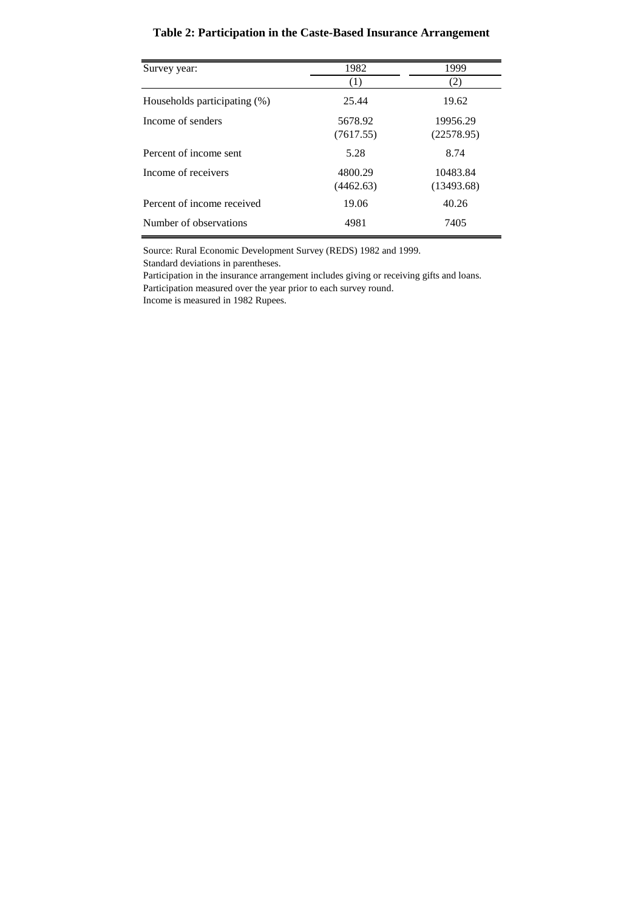# **Table 2: Participation in the Caste-Based Insurance Arrangement**

| Survey year:                 | 1982                 | 1999                   |
|------------------------------|----------------------|------------------------|
|                              | (1)                  | (2)                    |
| Households participating (%) | 25.44                | 19.62                  |
| Income of senders            | 5678.92<br>(7617.55) | 19956.29<br>(22578.95) |
| Percent of income sent       | 5.28                 | 8.74                   |
| Income of receivers          | 4800.29<br>(4462.63) | 10483.84<br>(13493.68) |
| Percent of income received   | 19.06                | 40.26                  |
| Number of observations       | 4981                 | 7405                   |

Source: Rural Economic Development Survey (REDS) 1982 and 1999.

Standard deviations in parentheses.

Participation in the insurance arrangement includes giving or receiving gifts and loans. Participation measured over the year prior to each survey round.

Income is measured in 1982 Rupees.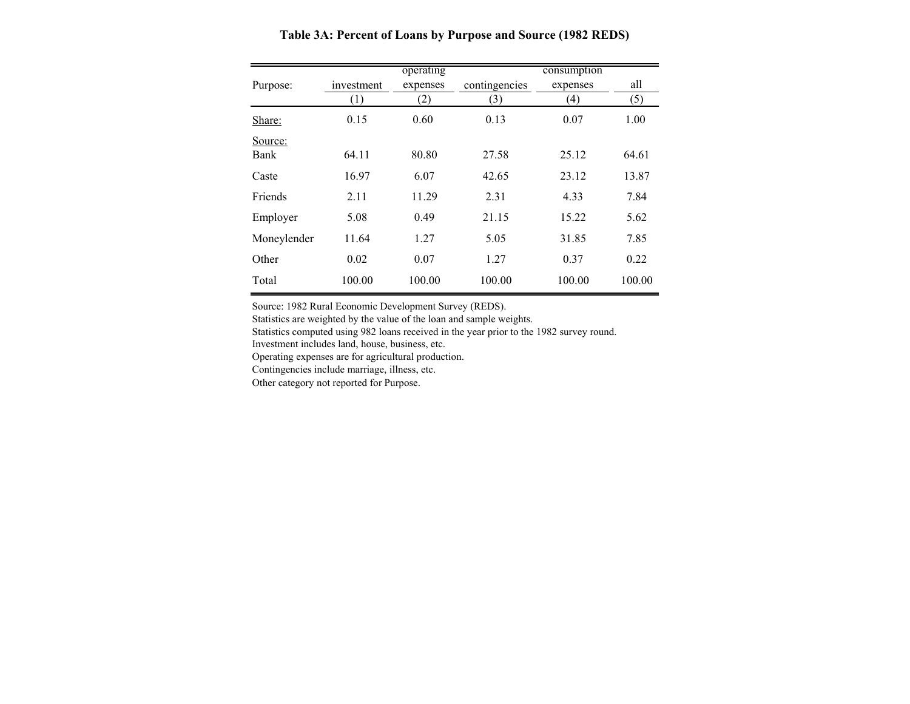|             |            | operating |               | consumption      |        |
|-------------|------------|-----------|---------------|------------------|--------|
| Purpose:    | investment | expenses  | contingencies | expenses         | all    |
|             | (1)        | (2)       | (3)           | $\left(4\right)$ | (5)    |
| Share:      | 0.15       | 0.60      | 0.13          | 0.07             | 1.00   |
| Source:     |            |           |               |                  |        |
| Bank        | 64.11      | 80.80     | 27.58         | 25.12            | 64.61  |
| Caste       | 16.97      | 6.07      | 42.65         | 23.12            | 13.87  |
| Friends     | 2.11       | 11.29     | 2.31          | 4.33             | 7.84   |
| Employer    | 5.08       | 0.49      | 21.15         | 15.22            | 5.62   |
| Moneylender | 11.64      | 1.27      | 5.05          | 31.85            | 7.85   |
| Other       | 0.02       | 0.07      | 1.27          | 0.37             | 0.22   |
| Total       | 100.00     | 100.00    | 100.00        | 100.00           | 100.00 |

**Table 3A: Percent of Loans by Purpose and Source (1982 REDS)**

Source: 1982 Rural Economic Development Survey (REDS).

Statistics are weighted by the value of the loan and sample weights.

Statistics computed using 982 loans received in the year prior to the 1982 survey round.

Investment includes land, house, business, etc.

Operating expenses are for agricultural production.

Contingencies include marriage, illness, etc.

Other category not reported for Purpose.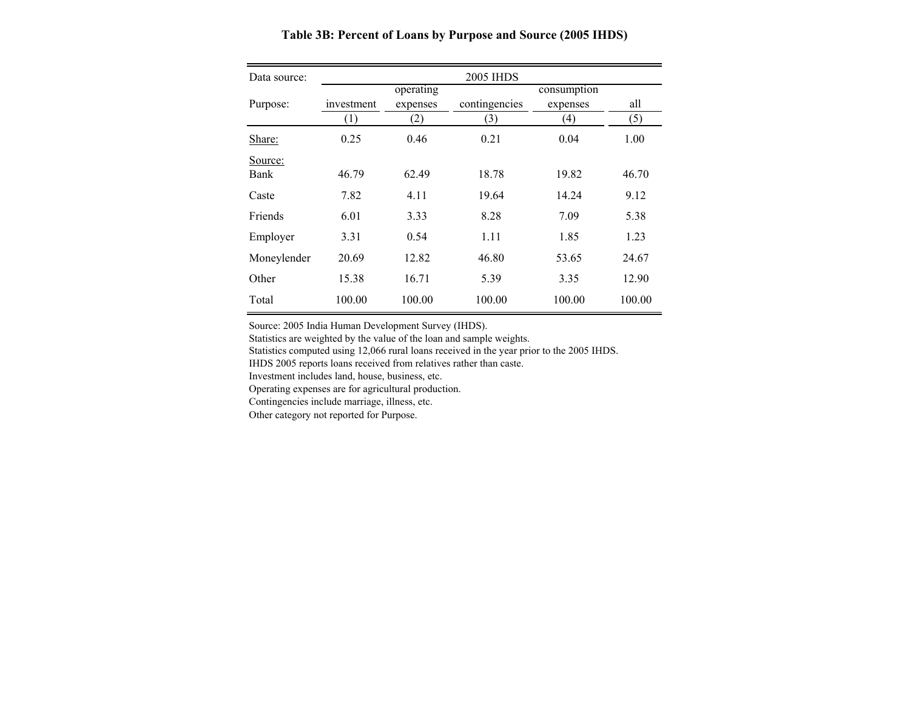Data source: Purpose: investment operating expenses contingencies consumption expenses all (1) (2) (3) (4) (5) Share: $0.25$   $0.46$   $0.21$   $0.04$   $1.00$ Source: Bank 46.79 62.49 18.78 19.82 46.70 Castee 7.82 4.11 19.64 14.24 9.12 Friends 6.01 3.33 8.28 7.09 5.38 Employer 3.31 0.54 1.11 1.85 1.23 Moneylender 20.69 12.82 46.80 53.65 24.67 Other 15.38 16.71 5.39 3.35 12.90 Total 100.00 100.00 100.00 100.00 100.00 2005 IHDS

**Table 3B: Percent of Loans by Purpose and Source (2005 IHDS)**

Source: 2005 India Human Development Survey (IHDS).

Statistics are weighted by the value of the loan and sample weights.

Statistics computed using 12,066 rural loans received in the year prior to the 2005 IHDS.

IHDS 2005 reports loans received from relatives rather than caste.

Investment includes land, house, business, etc.

Operating expenses are for agricultural production.

Contingencies include marriage, illness, etc.

Other category not reported for Purpose.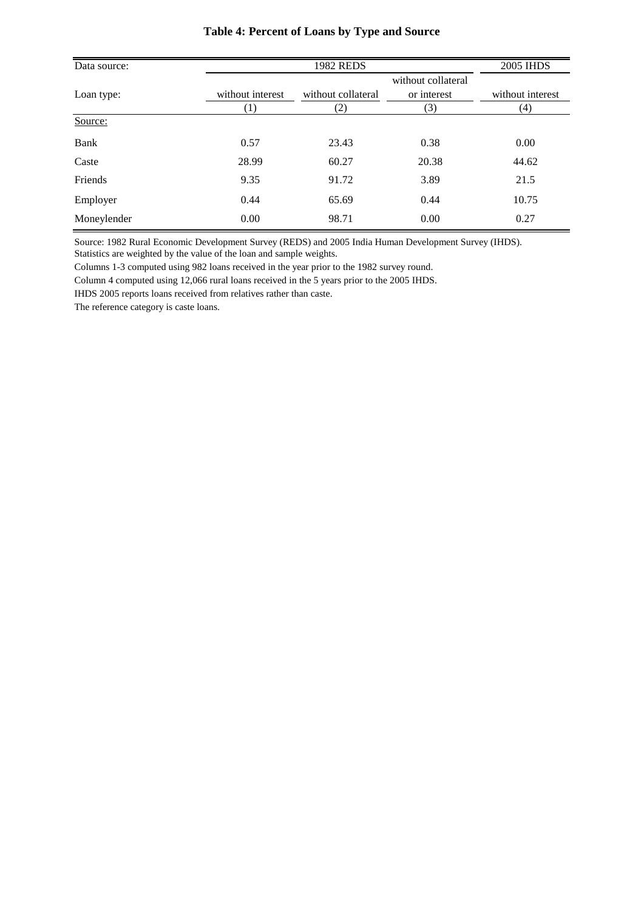| Data source: |                  | <b>1982 REDS</b>   |                    | 2005 IHDS        |
|--------------|------------------|--------------------|--------------------|------------------|
|              |                  |                    | without collateral |                  |
| Loan type:   | without interest | without collateral | or interest        | without interest |
|              | (1)              | $\left( 2\right)$  | 3)                 | (4)              |
| Source:      |                  |                    |                    |                  |
| Bank         | 0.57             | 23.43              | 0.38               | 0.00             |
| Caste        | 28.99            | 60.27              | 20.38              | 44.62            |
| Friends      | 9.35             | 91.72              | 3.89               | 21.5             |
| Employer     | 0.44             | 65.69              | 0.44               | 10.75            |
| Moneylender  | 0.00             | 98.71              | 0.00               | 0.27             |

### **Table 4: Percent of Loans by Type and Source**

Source: 1982 Rural Economic Development Survey (REDS) and 2005 India Human Development Survey (IHDS). Statistics are weighted by the value of the loan and sample weights.

Columns 1-3 computed using 982 loans received in the year prior to the 1982 survey round.

Column 4 computed using 12,066 rural loans received in the 5 years prior to the 2005 IHDS.

IHDS 2005 reports loans received from relatives rather than caste.

The reference category is caste loans.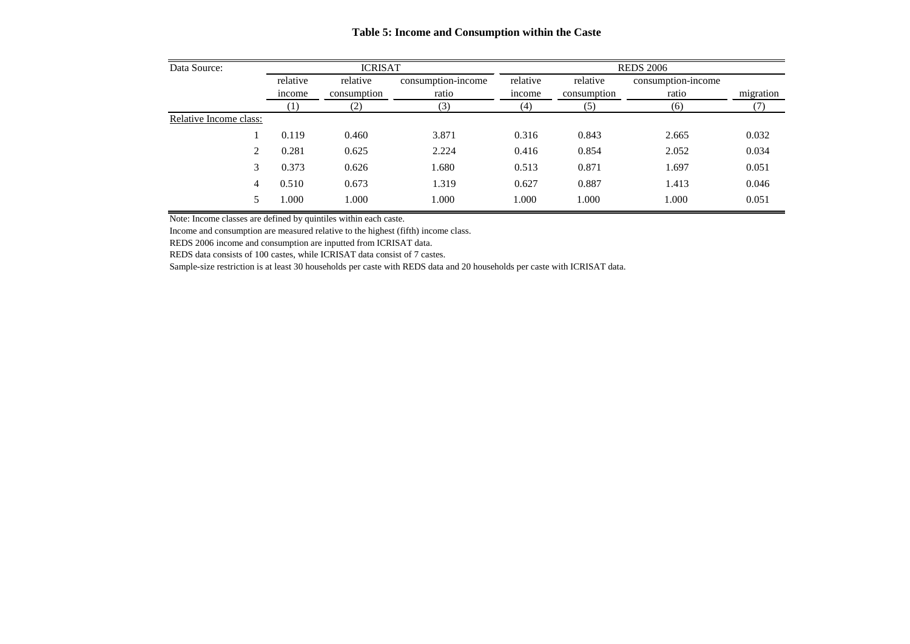| Data Source:           |          | <b>ICRISAT</b>    |                    |          | <b>REDS 2006</b> |                    |           |  |
|------------------------|----------|-------------------|--------------------|----------|------------------|--------------------|-----------|--|
|                        | relative | relative          | consumption-income | relative | relative         | consumption-income |           |  |
|                        | income   | consumption       | ratio              | income   | consumption      | ratio              | migration |  |
|                        |          | $\left( 2\right)$ | (3)                | (4)      | (5)              | (6)                |           |  |
| Relative Income class: |          |                   |                    |          |                  |                    |           |  |
|                        | 0.119    | 0.460             | 3.871              | 0.316    | 0.843            | 2.665              | 0.032     |  |
| 2                      | 0.281    | 0.625             | 2.224              | 0.416    | 0.854            | 2.052              | 0.034     |  |
| 3                      | 0.373    | 0.626             | 1.680              | 0.513    | 0.871            | 1.697              | 0.051     |  |
| 4                      | 0.510    | 0.673             | 1.319              | 0.627    | 0.887            | 1.413              | 0.046     |  |
|                        | 000.1    | 1.000             | 000.1              | 1.000    | 1.000            | 1.000              | 0.051     |  |

**Table 5: Income and Consumption within the Caste**

Note: Income classes are defined by quintiles within each caste.

Income and consumption are measured relative to the highest (fifth) income class.

REDS 2006 income and consumption are inputted from ICRISAT data.

REDS data consists of 100 castes, while ICRISAT data consist of 7 castes.

Sample-size restriction is at least 30 households per caste with REDS data and 20 households per caste with ICRISAT data.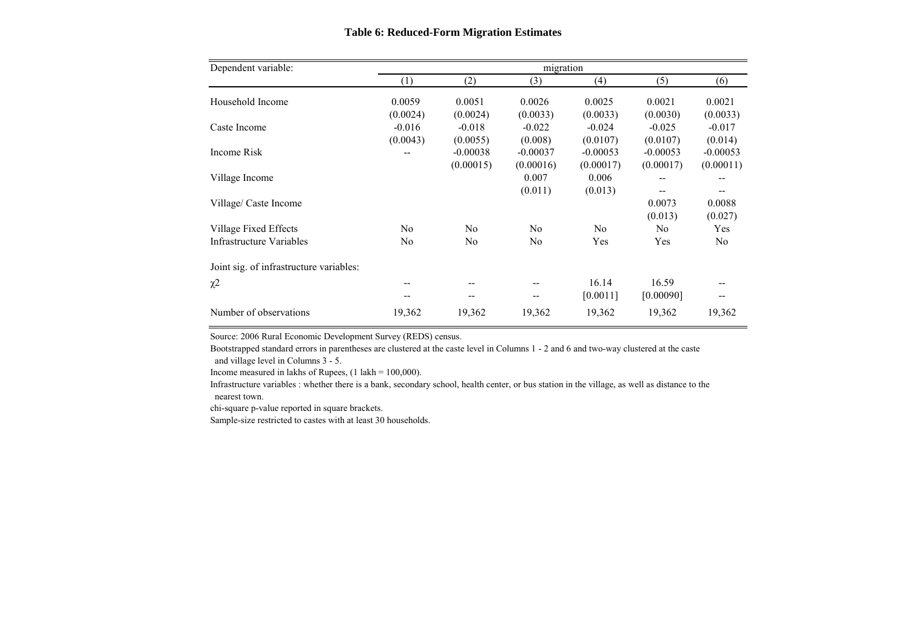| Dependent variable:                     |                |                | migration      |                |            |            |
|-----------------------------------------|----------------|----------------|----------------|----------------|------------|------------|
|                                         | (1)            | (2)            | (3)            | (4)            | (5)        | (6)        |
| Household Income                        | 0.0059         | 0.0051         | 0.0026         | 0.0025         | 0.0021     | 0.0021     |
|                                         | (0.0024)       | (0.0024)       | (0.0033)       | (0.0033)       | (0.0030)   | (0.0033)   |
| Caste Income                            | $-0.016$       | $-0.018$       | $-0.022$       | $-0.024$       | $-0.025$   | $-0.017$   |
|                                         | (0.0043)       | (0.0055)       | (0.008)        | (0.0107)       | (0.0107)   | (0.014)    |
| Income Risk                             |                | $-0.00038$     | $-0.00037$     | $-0.00053$     | $-0.00053$ | $-0.00053$ |
|                                         |                | (0.00015)      | (0.00016)      | (0.00017)      | (0.00017)  | (0.00011)  |
| Village Income                          |                |                | 0.007          | 0.006          | --         | --         |
|                                         |                |                | (0.011)        | (0.013)        |            | --         |
| Village/ Caste Income                   |                |                |                |                | 0.0073     | 0.0088     |
|                                         |                |                |                |                | (0.013)    | (0.027)    |
| Village Fixed Effects                   | N <sub>0</sub> | N <sub>0</sub> | N <sub>0</sub> | N <sub>0</sub> | No         | Yes        |
| Infrastructure Variables                | N <sub>0</sub> | No             | No             | Yes            | Yes        | No         |
| Joint sig. of infrastructure variables: |                |                |                |                |            |            |
| $\chi$ <sup>2</sup>                     |                |                |                | 16.14          | 16.59      |            |
|                                         |                |                |                | [0.0011]       | [0.00090]  |            |
| Number of observations                  | 19,362         | 19,362         | 19,362         | 19,362         | 19,362     | 19,362     |

#### **Table 6: Reduced-Form Migration Estimates**

Source: 2006 Rural Economic Development Survey (REDS) census.

Bootstrapped standard errors in parentheses are clustered at the caste level in Columns 1 - 2 and 6 and two-way clustered at the caste and village level in Columns 3 - 5.

Income measured in lakhs of Rupees,  $(1 \text{ lakh} = 100,000)$ .

Infrastructure variables : whether there is a bank, secondary school, health center, or bus station in the village, as well as distance to the nearest town.

chi-square p-value reported in square brackets.

Sample-size restricted to castes with at least 30 households.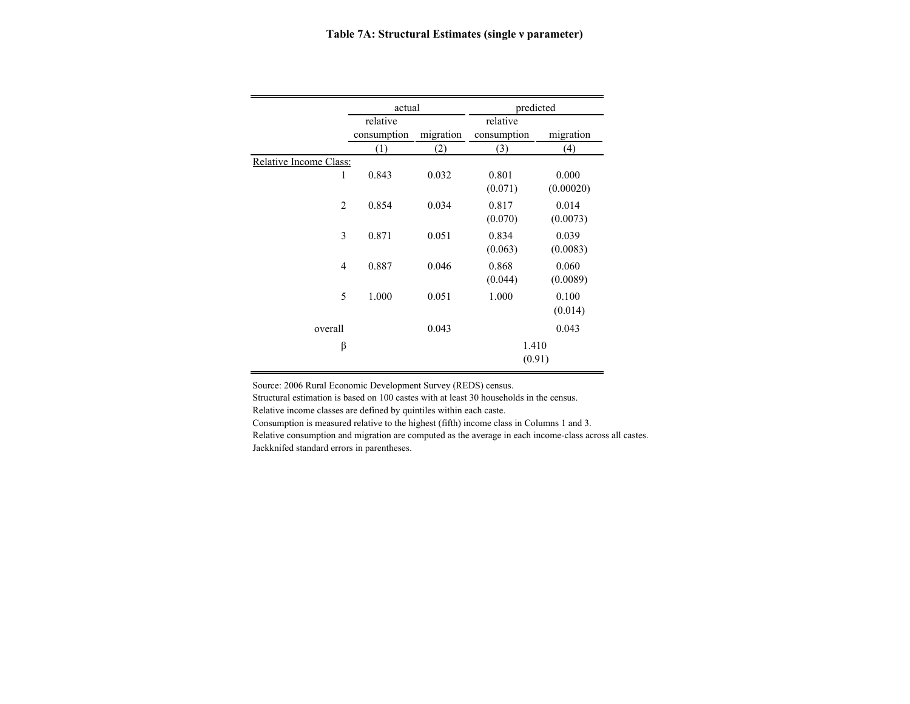|                        | actual      |           | predicted   |           |  |
|------------------------|-------------|-----------|-------------|-----------|--|
|                        | relative    |           | relative    |           |  |
|                        | consumption | migration | consumption | migration |  |
|                        | (1)         | (2)       | (3)         | (4)       |  |
| Relative Income Class: |             |           |             |           |  |
| 1                      | 0.843       | 0.032     | 0.801       | 0.000     |  |
|                        |             |           | (0.071)     | (0.00020) |  |
| $\overline{2}$         | 0.854       | 0.034     | 0.817       | 0.014     |  |
|                        |             |           | (0.070)     | (0.0073)  |  |
| 3                      | 0.871       | 0.051     | 0.834       | 0.039     |  |
|                        |             |           | (0.063)     | (0.0083)  |  |
| $\overline{4}$         | 0.887       | 0.046     | 0.868       | 0.060     |  |
|                        |             |           | (0.044)     | (0.0089)  |  |
| 5                      | 1.000       | 0.051     | 1.000       | 0.100     |  |
|                        |             |           |             | (0.014)   |  |
| overall                |             | 0.043     |             | 0.043     |  |
| β                      |             |           | 1.410       |           |  |
|                        |             |           | (0.91)      |           |  |

Source: 2006 Rural Economic Development Survey (REDS) census.

Structural estimation is based on 100 castes with at least 30 households in the census.

Relative income classes are defined by quintiles within each caste.

Consumption is measured relative to the highest (fifth) income class in Columns 1 and 3.

Relative consumption and migration are computed as the average in each income-class across all castes. Jackknifed standard errors in parentheses.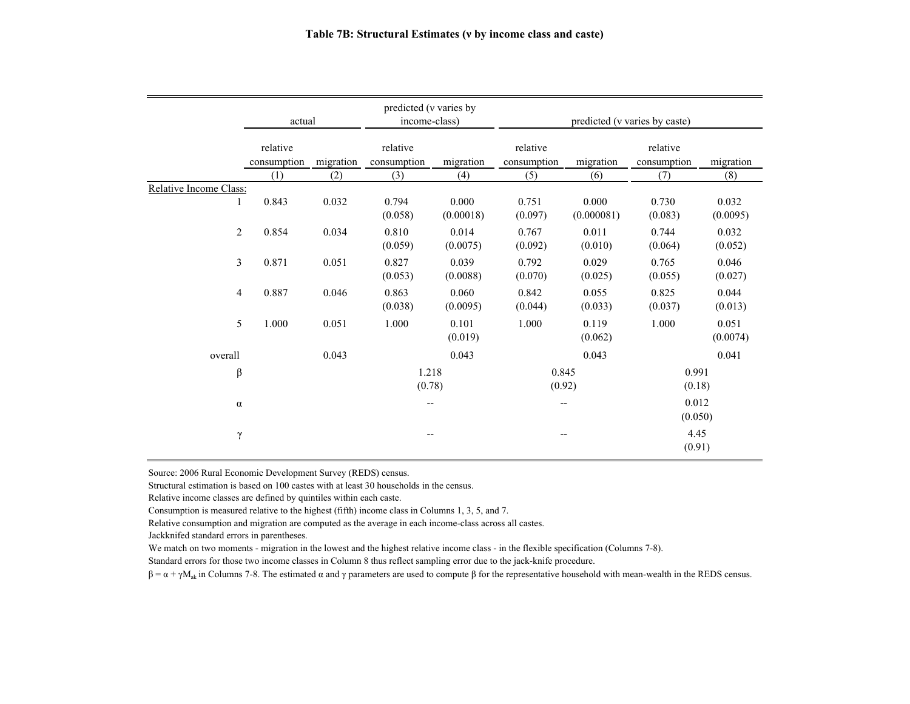|                        |                         |           | predicted (v varies by   |                    |                               |                     |                         |                   |
|------------------------|-------------------------|-----------|--------------------------|--------------------|-------------------------------|---------------------|-------------------------|-------------------|
|                        | actual                  |           | income-class)            |                    | predicted (v varies by caste) |                     |                         |                   |
|                        | relative<br>consumption | migration | relative<br>consumption  | migration          | relative<br>consumption       | migration           | relative<br>consumption | migration         |
|                        | (1)                     | (2)       | (3)                      | (4)                | (5)                           | (6)                 | (7)                     | (8)               |
| Relative Income Class: |                         |           |                          |                    |                               |                     |                         |                   |
| 1                      | 0.843                   | 0.032     | 0.794<br>(0.058)         | 0.000<br>(0.00018) | 0.751<br>(0.097)              | 0.000<br>(0.000081) | 0.730<br>(0.083)        | 0.032<br>(0.0095) |
| $\overline{2}$         | 0.854                   | 0.034     | 0.810<br>(0.059)         | 0.014<br>(0.0075)  | 0.767<br>(0.092)              | 0.011<br>(0.010)    | 0.744<br>(0.064)        | 0.032<br>(0.052)  |
| $\overline{3}$         | 0.871                   | 0.051     | 0.827<br>(0.053)         | 0.039<br>(0.0088)  | 0.792<br>(0.070)              | 0.029<br>(0.025)    | 0.765<br>(0.055)        | 0.046<br>(0.027)  |
| $\overline{4}$         | 0.887                   | 0.046     | 0.863<br>(0.038)         | 0.060<br>(0.0095)  | 0.842<br>(0.044)              | 0.055<br>(0.033)    | 0.825<br>(0.037)        | 0.044<br>(0.013)  |
| 5                      | 1.000                   | 0.051     | 1.000                    | 0.101<br>(0.019)   | 1.000                         | 0.119<br>(0.062)    | 1.000                   | 0.051<br>(0.0074) |
| overall                |                         | 0.043     |                          | 0.043              |                               | 0.043               |                         | 0.041             |
| β                      |                         |           | 1.218<br>(0.78)          |                    | 0.845<br>(0.92)               |                     | 0.991<br>(0.18)         |                   |
| $\alpha$               |                         |           | $\overline{\phantom{m}}$ |                    | --                            |                     | 0.012<br>(0.050)        |                   |
| $\gamma$               |                         |           | --                       |                    | --                            |                     | 4.45<br>(0.91)          |                   |

Source: 2006 Rural Economic Development Survey (REDS) census.

Structural estimation is based on 100 castes with at least 30 households in the census.

Relative income classes are defined by quintiles within each caste.

Consumption is measured relative to the highest (fifth) income class in Columns 1, 3, 5, and 7.

Relative consumption and migration are computed as the average in each income-class across all castes.

Jackknifed standard errors in parentheses.

We match on two moments - migration in the lowest and the highest relative income class - in the flexible specification (Columns 7-8).

Standard errors for those two income classes in Column 8 thus reflect sampling error due to the jack-knife procedure.

 $\beta = \alpha + \gamma M_{ak}$  in Columns 7-8. The estimated  $\alpha$  and  $\gamma$  parameters are used to compute  $\beta$  for the representative household with mean-wealth in the REDS census.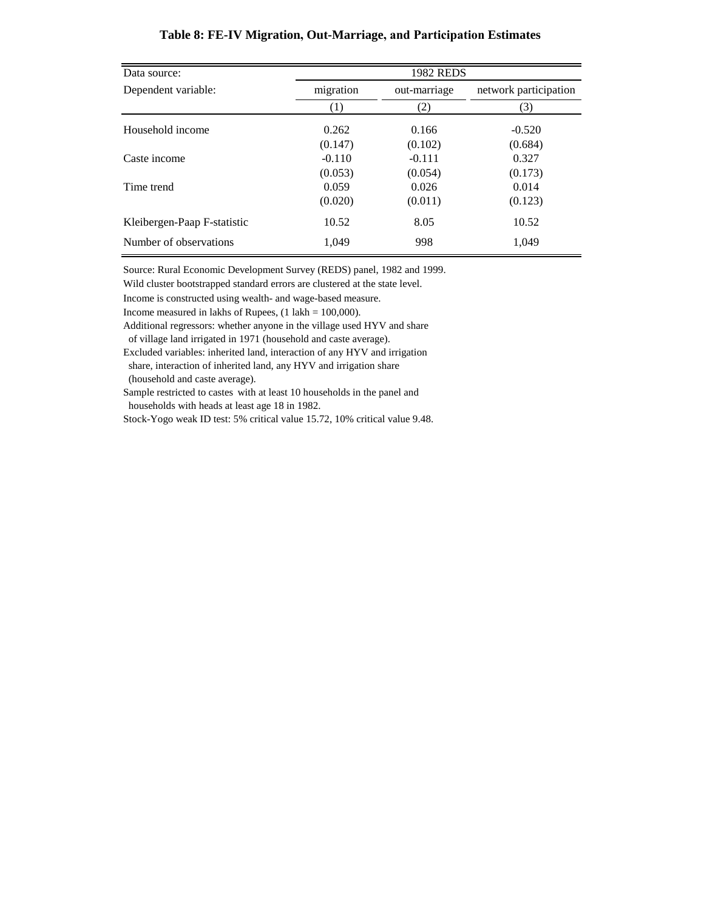| Data source:                |           | <b>1982 REDS</b> |                       |
|-----------------------------|-----------|------------------|-----------------------|
| Dependent variable:         | migration | out-marriage     | network participation |
|                             | $^{(1)}$  | (2)              | (3)                   |
| Household income            | 0.262     | 0.166            | $-0.520$              |
|                             | (0.147)   | (0.102)          | (0.684)               |
| Caste income                | $-0.110$  | $-0.111$         | 0.327                 |
|                             | (0.053)   | (0.054)          | (0.173)               |
| Time trend                  | 0.059     | 0.026            | 0.014                 |
|                             | (0.020)   | (0.011)          | (0.123)               |
| Kleibergen-Paap F-statistic | 10.52     | 8.05             | 10.52                 |
| Number of observations      | 1.049     | 998              | 1.049                 |

#### **Table 8: FE-IV Migration, Out-Marriage, and Participation Estimates**

Source: Rural Economic Development Survey (REDS) panel, 1982 and 1999.

Wild cluster bootstrapped standard errors are clustered at the state level.

Income is constructed using wealth- and wage-based measure.

Income measured in lakhs of Rupees,  $(1 \text{ lakh} = 100,000)$ .

Additional regressors: whether anyone in the village used HYV and share of village land irrigated in 1971 (household and caste average).

Excluded variables: inherited land, interaction of any HYV and irrigation share, interaction of inherited land, any HYV and irrigation share (household and caste average).

 households with heads at least age 18 in 1982. Sample restricted to castes with at least 10 households in the panel and

Stock-Yogo weak ID test: 5% critical value 15.72, 10% critical value 9.48.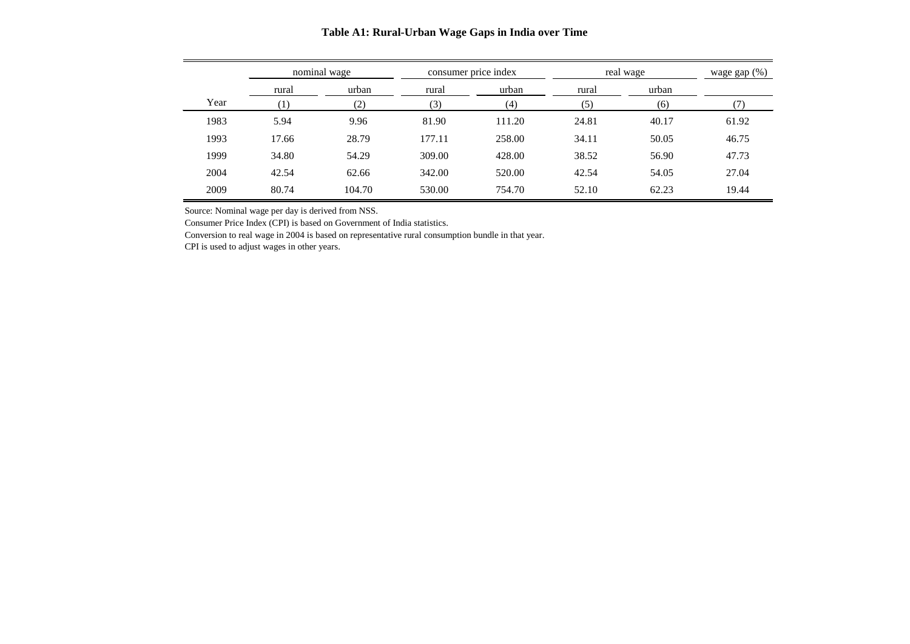|      |       | nominal wage |        | consumer price index |       | real wage |       |  |
|------|-------|--------------|--------|----------------------|-------|-----------|-------|--|
|      | rural | urban        | rural  | urban                | rural | urban     |       |  |
| Year |       | (2)          | (3)    | (4)                  | (5)   | (6)       |       |  |
| 1983 | 5.94  | 9.96         | 81.90  | 111.20               | 24.81 | 40.17     | 61.92 |  |
| 1993 | 17.66 | 28.79        | 177.11 | 258.00               | 34.11 | 50.05     | 46.75 |  |
| 1999 | 34.80 | 54.29        | 309.00 | 428.00               | 38.52 | 56.90     | 47.73 |  |
| 2004 | 42.54 | 62.66        | 342.00 | 520.00               | 42.54 | 54.05     | 27.04 |  |
| 2009 | 80.74 | 104.70       | 530.00 | 754.70               | 52.10 | 62.23     | 19.44 |  |

#### **Table A1: Rural-Urban Wage Gaps in India over Time**

Source: Nominal wage per day is derived from NSS.

Consumer Price Index (CPI) is based on Government of India statistics.

Conversion to real wage in 2004 is based on representative rural consumption bundle in that year.

CPI is used to adjust wages in other years.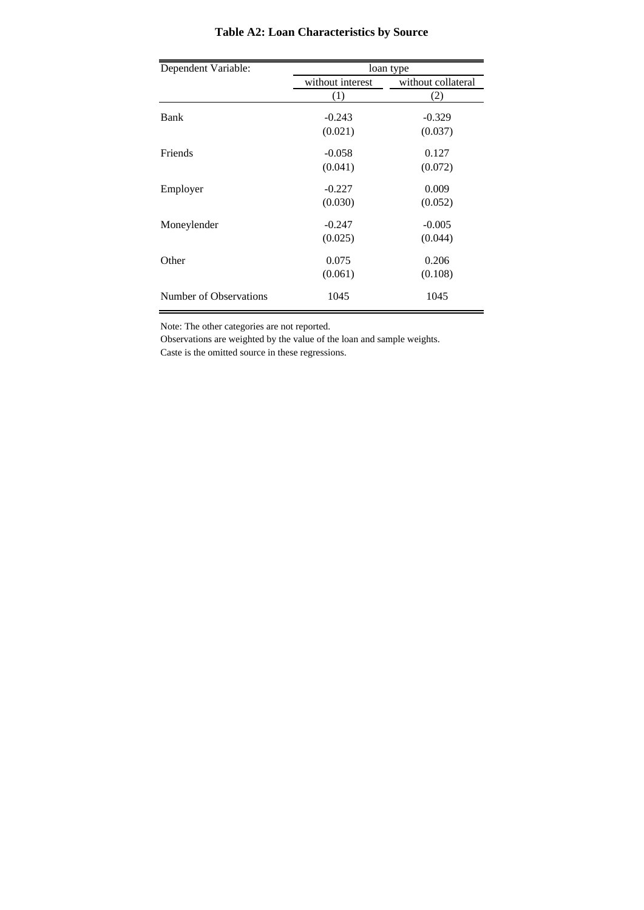| Dependent Variable:    | loan type        |                    |  |  |
|------------------------|------------------|--------------------|--|--|
|                        | without interest | without collateral |  |  |
|                        | (1)              | (2)                |  |  |
| Bank                   | $-0.243$         | $-0.329$           |  |  |
|                        | (0.021)          | (0.037)            |  |  |
| Friends                | $-0.058$         | 0.127              |  |  |
|                        | (0.041)          | (0.072)            |  |  |
| Employer               | $-0.227$         | 0.009              |  |  |
|                        | (0.030)          | (0.052)            |  |  |
| Moneylender            | $-0.247$         | $-0.005$           |  |  |
|                        | (0.025)          | (0.044)            |  |  |
| Other                  | 0.075            | 0.206              |  |  |
|                        | (0.061)          | (0.108)            |  |  |
| Number of Observations | 1045             | 1045               |  |  |

# **Table A2: Loan Characteristics by Source**

Note: The other categories are not reported.

Observations are weighted by the value of the loan and sample weights. Caste is the omitted source in these regressions.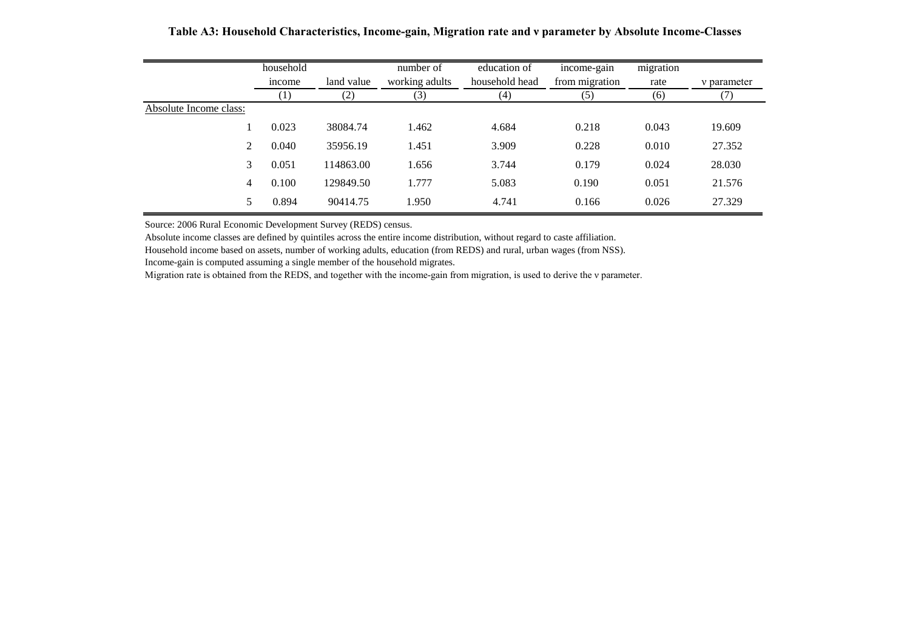|                        | household<br>income | land value | number of<br>working adults | education of<br>household head | income-gain<br>from migration | migration<br>rate | v parameter |
|------------------------|---------------------|------------|-----------------------------|--------------------------------|-------------------------------|-------------------|-------------|
|                        | $\left(1\right)$    | (2)        | (3)                         | (4)                            | (5)                           | (6)               |             |
| Absolute Income class: |                     |            |                             |                                |                               |                   |             |
|                        | 0.023               | 38084.74   | 1.462                       | 4.684                          | 0.218                         | 0.043             | 19.609      |
| $\mathcal{L}$          | 0.040               | 35956.19   | 1.451                       | 3.909                          | 0.228                         | 0.010             | 27.352      |
| 3                      | 0.051               | 114863.00  | 1.656                       | 3.744                          | 0.179                         | 0.024             | 28.030      |
| $\overline{4}$         | 0.100               | 129849.50  | 1.777                       | 5.083                          | 0.190                         | 0.051             | 21.576      |
| 5.                     | 0.894               | 90414.75   | 1.950                       | 4.741                          | 0.166                         | 0.026             | 27.329      |

**Table A3: Household Characteristics, Income-gain, Migration rate and ν parameter by Absolute Income-Classes**

Source: 2006 Rural Economic Development Survey (REDS) census.

Absolute income classes are defined by quintiles across the entire income distribution, without regard to caste affiliation.

Household income based on assets, number of working adults, education (from REDS) and rural, urban wages (from NSS).

Income-gain is computed assuming a single member of the household migrates.

Migration rate is obtained from the REDS, and together with the income-gain from migration, is used to derive the v parameter.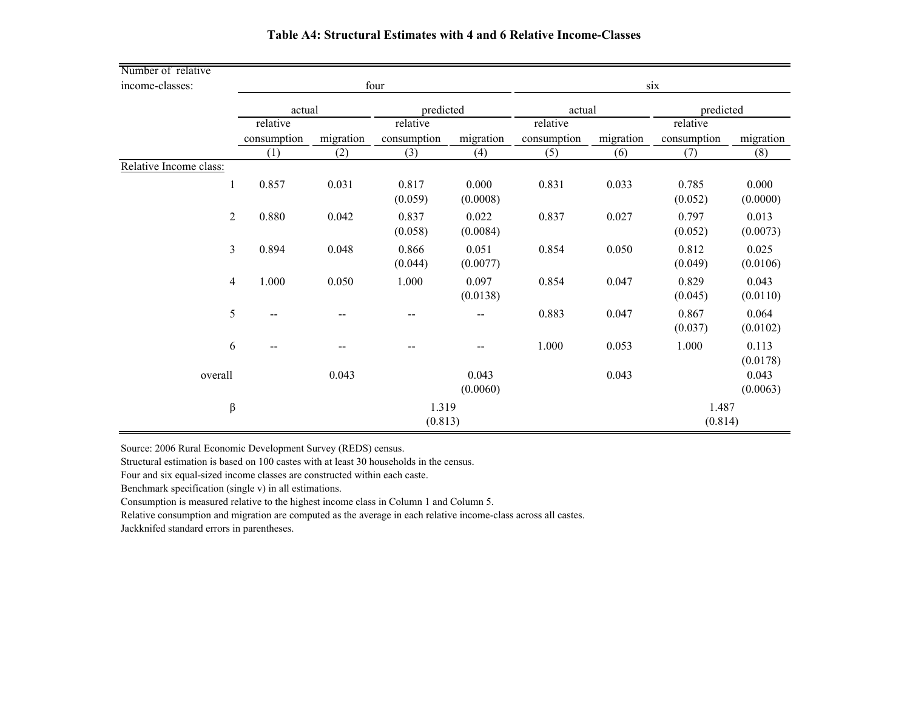| Number of relative     |                |             |           |                          |                   |             |           |                  |                   |
|------------------------|----------------|-------------|-----------|--------------------------|-------------------|-------------|-----------|------------------|-------------------|
| income-classes:        |                | four        |           |                          |                   | six         |           |                  |                   |
|                        |                | actual      |           | predicted                |                   | actual      |           | predicted        |                   |
|                        |                | relative    |           | relative                 |                   | relative    |           | relative         |                   |
|                        |                | consumption | migration | consumption              | migration         | consumption | migration | consumption      | migration         |
|                        |                | (1)         | (2)       | (3)                      | (4)               | (5)         | (6)       | (7)              | (8)               |
| Relative Income class: |                |             |           |                          |                   |             |           |                  |                   |
|                        | $\mathbf{1}$   | 0.857       | 0.031     | 0.817<br>(0.059)         | 0.000<br>(0.0008) | 0.831       | 0.033     | 0.785<br>(0.052) | 0.000<br>(0.0000) |
|                        | $\overline{2}$ | 0.880       | 0.042     | 0.837<br>(0.058)         | 0.022<br>(0.0084) | 0.837       | 0.027     | 0.797<br>(0.052) | 0.013<br>(0.0073) |
|                        | $\mathfrak{Z}$ | 0.894       | 0.048     | 0.866<br>(0.044)         | 0.051<br>(0.0077) | 0.854       | 0.050     | 0.812<br>(0.049) | 0.025<br>(0.0106) |
|                        | $\overline{4}$ | 1.000       | 0.050     | 1.000                    | 0.097<br>(0.0138) | 0.854       | 0.047     | 0.829<br>(0.045) | 0.043<br>(0.0110) |
|                        | 5              |             |           | $\overline{\phantom{m}}$ | --                | 0.883       | 0.047     | 0.867<br>(0.037) | 0.064<br>(0.0102) |
|                        | 6              |             |           |                          |                   | 1.000       | 0.053     | 1.000            | 0.113<br>(0.0178) |
| overall                |                |             | 0.043     |                          | 0.043<br>(0.0060) |             | 0.043     |                  | 0.043<br>(0.0063) |
|                        | β              | 1.319       |           |                          |                   |             | 1.487     |                  |                   |
|                        |                | (0.813)     |           |                          |                   |             |           | (0.814)          |                   |

#### **Table A4: Structural Estimates with 4 and 6 Relative Income-Classes**

Source: 2006 Rural Economic Development Survey (REDS) census.

Structural estimation is based on 100 castes with at least 30 households in the census.

Four and six equal-sized income classes are constructed within each caste.

Benchmark specification (single v) in all estimations.

Consumption is measured relative to the highest income class in Column 1 and Column 5.

Relative consumption and migration are computed as the average in each relative income-class across all castes.

Jackknifed standard errors in parentheses.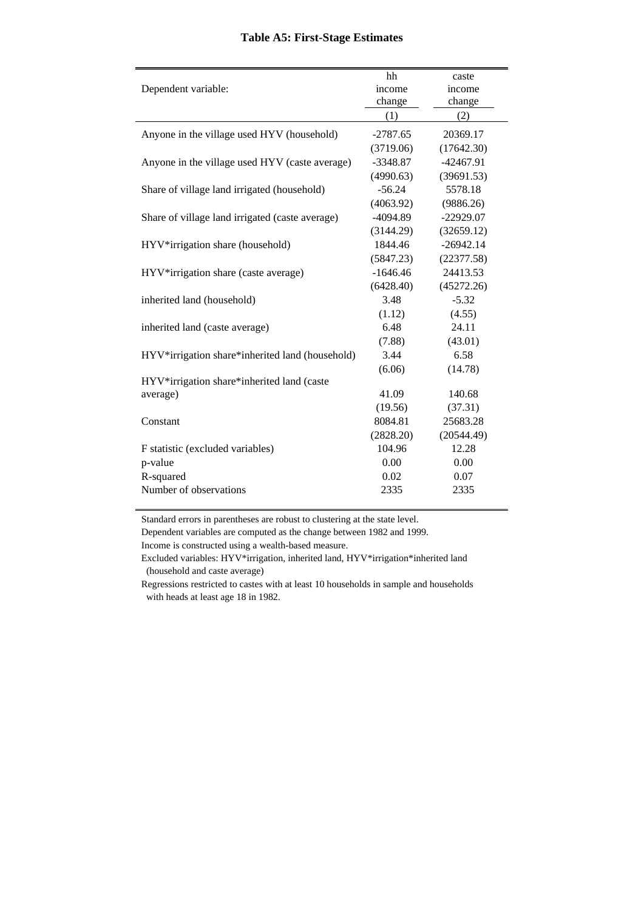#### **Table A5: First-Stage Estimates**

|                                                 | hh         | caste       |
|-------------------------------------------------|------------|-------------|
| Dependent variable:                             | income     | income      |
|                                                 | change     | change      |
|                                                 | (1)        | (2)         |
| Anyone in the village used HYV (household)      | $-2787.65$ | 20369.17    |
|                                                 | (3719.06)  | (17642.30)  |
| Anyone in the village used HYV (caste average)  | $-3348.87$ | $-42467.91$ |
|                                                 | (4990.63)  | (39691.53)  |
| Share of village land irrigated (household)     | $-56.24$   | 5578.18     |
|                                                 | (4063.92)  | (9886.26)   |
| Share of village land irrigated (caste average) | $-4094.89$ | $-22929.07$ |
|                                                 | (3144.29)  | (32659.12)  |
| HYV*irrigation share (household)                | 1844.46    | $-26942.14$ |
|                                                 | (5847.23)  | (22377.58)  |
| HYV*irrigation share (caste average)            | $-1646.46$ | 24413.53    |
|                                                 | (6428.40)  | (45272.26)  |
| inherited land (household)                      | 3.48       | $-5.32$     |
|                                                 | (1.12)     | (4.55)      |
| inherited land (caste average)                  | 6.48       | 24.11       |
|                                                 | (7.88)     | (43.01)     |
| HYV*irrigation share*inherited land (household) | 3.44       | 6.58        |
|                                                 | (6.06)     | (14.78)     |
| HYV*irrigation share*inherited land (caste      |            |             |
| average)                                        | 41.09      | 140.68      |
|                                                 | (19.56)    | (37.31)     |
| Constant                                        | 8084.81    | 25683.28    |
|                                                 | (2828.20)  | (20544.49)  |
| F statistic (excluded variables)                | 104.96     | 12.28       |
| p-value                                         | 0.00       | 0.00        |
| R-squared                                       | 0.02       | 0.07        |
| Number of observations                          | 2335       | 2335        |
|                                                 |            |             |

Standard errors in parentheses are robust to clustering at the state level.

Dependent variables are computed as the change between 1982 and 1999.

Income is constructed using a wealth-based measure.

Excluded variables: HYV\*irrigation, inherited land, HYV\*irrigation\*inherited land (household and caste average)

Regressions restricted to castes with at least 10 households in sample and households with heads at least age 18 in 1982.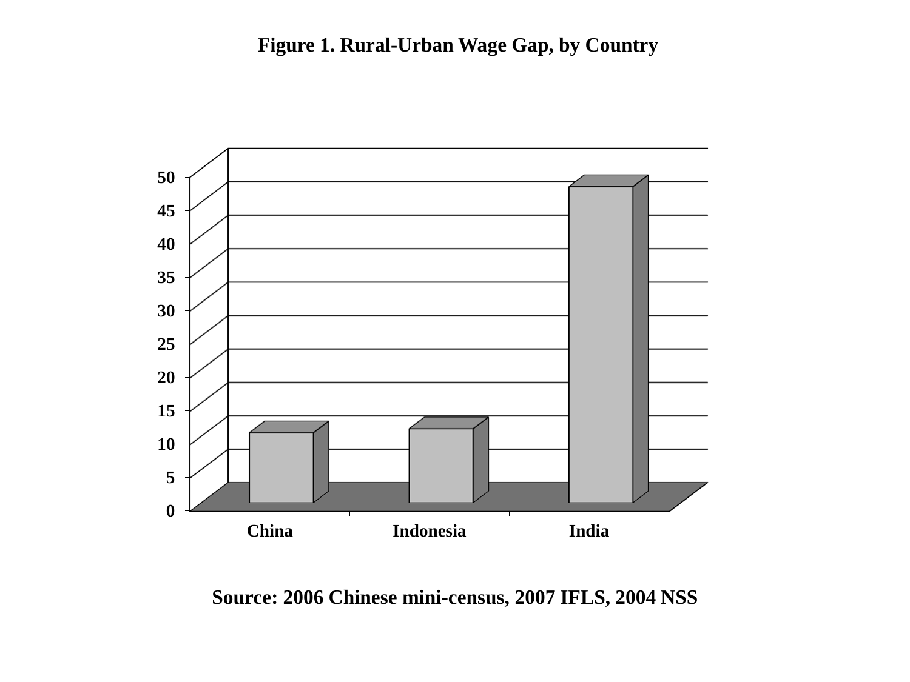

**Source: 2006 Chinese mini-census, 2007 IFLS, 2004 NSS**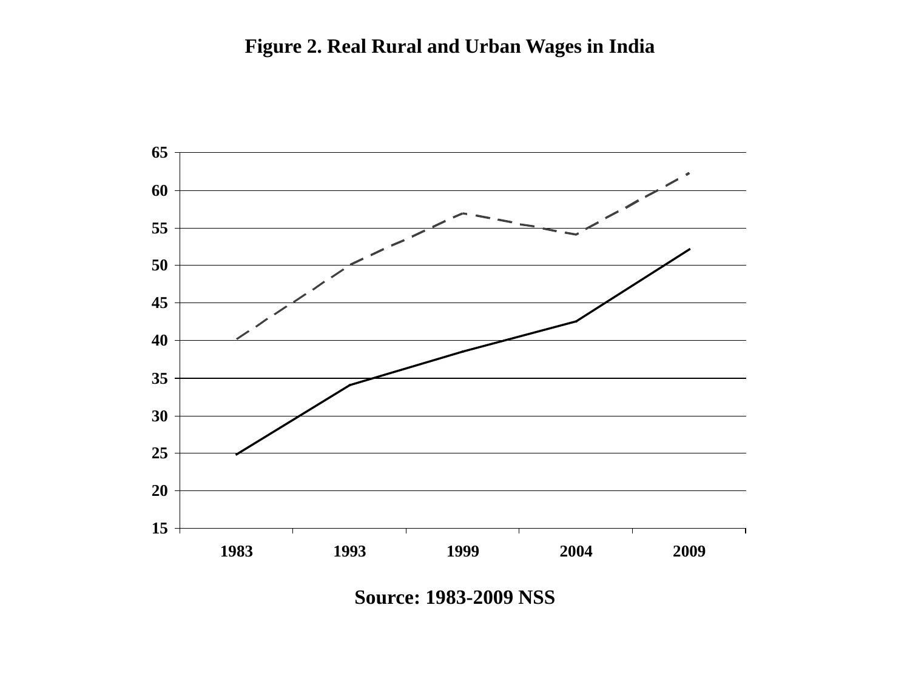

**Source: 1983-2009 NSS**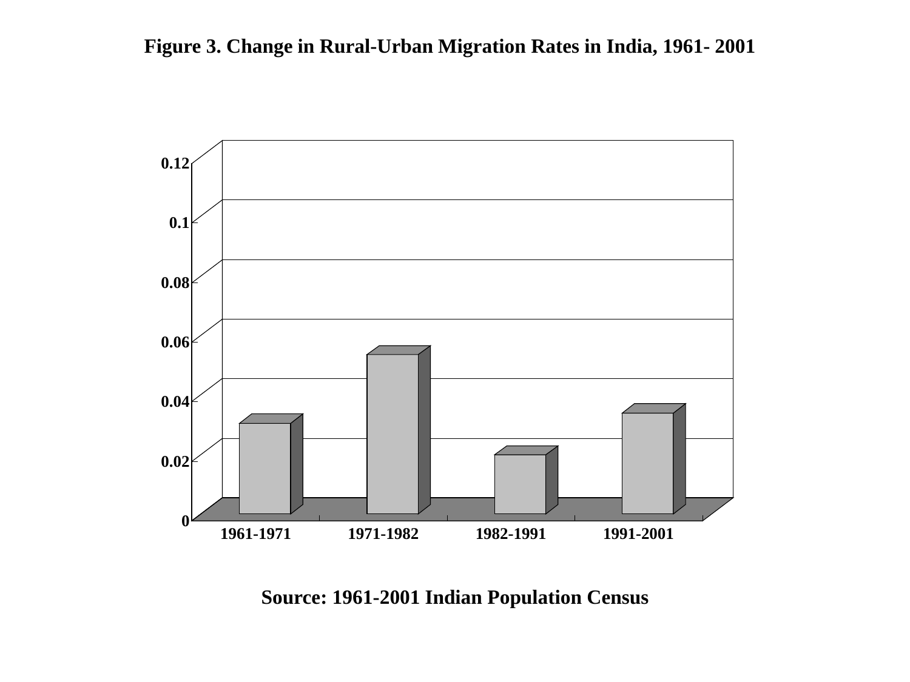

**Source: 1961-2001 Indian Population Census**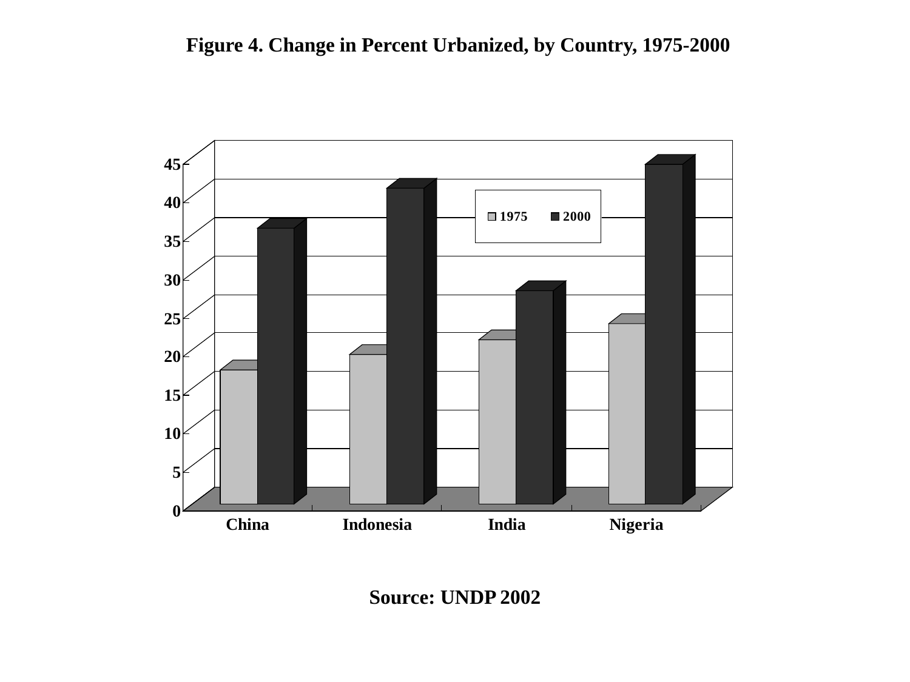

**Source: UNDP 2002**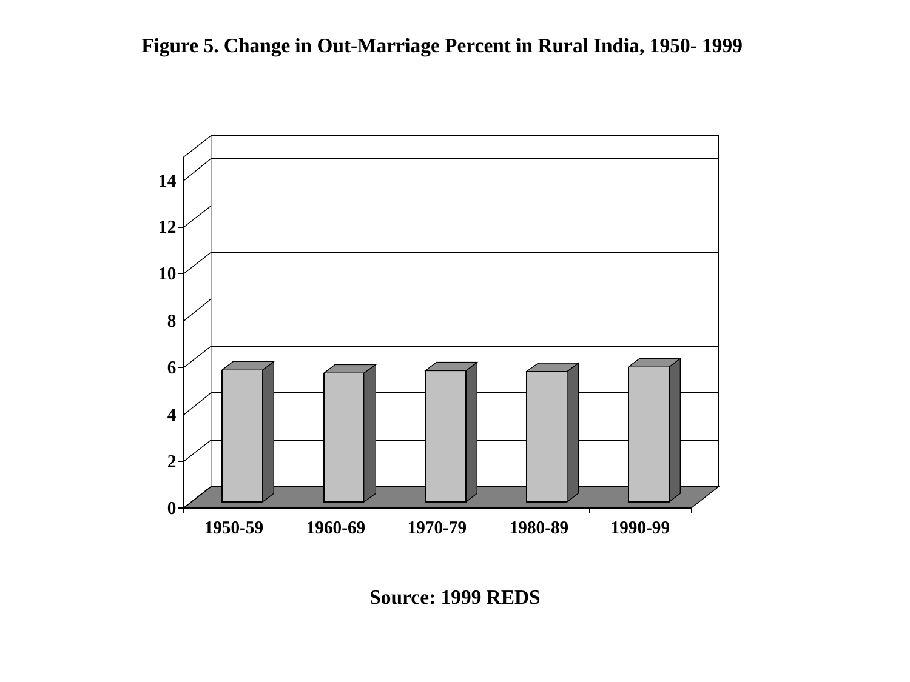

**Source: 1999 REDS**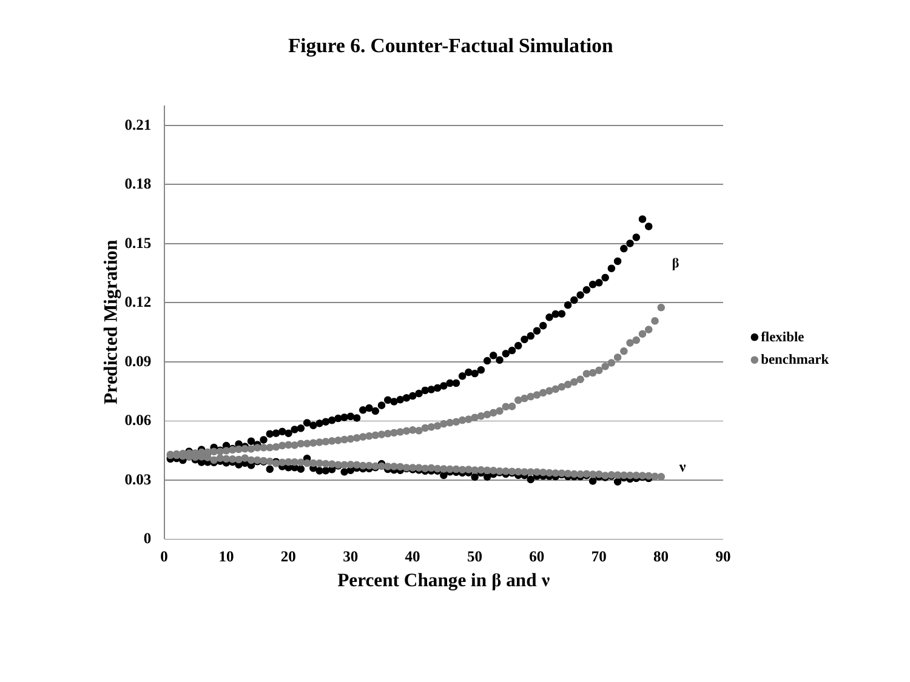**Figure 6. Counter-Factual Simulation**

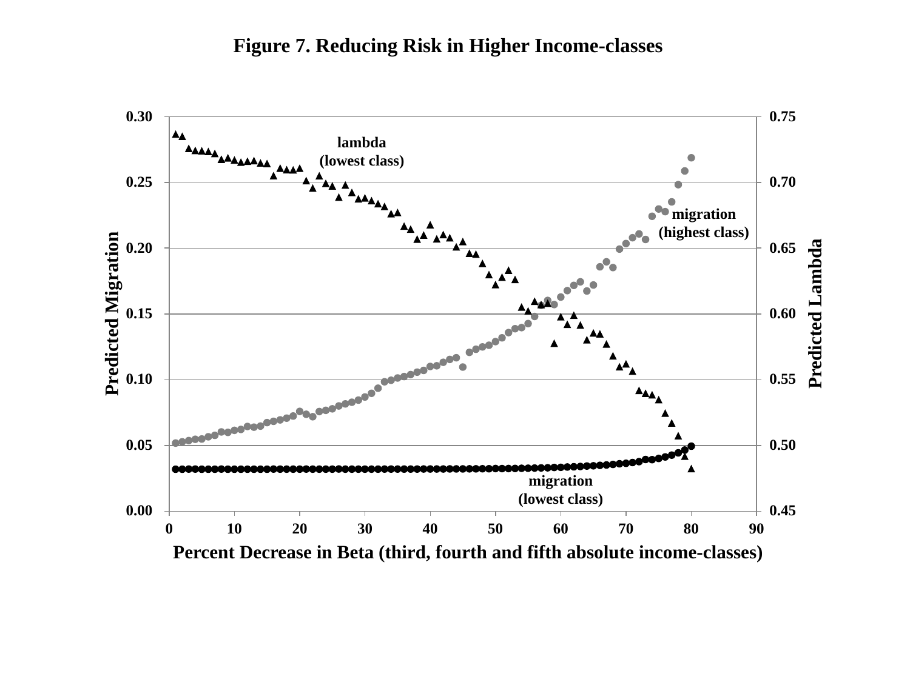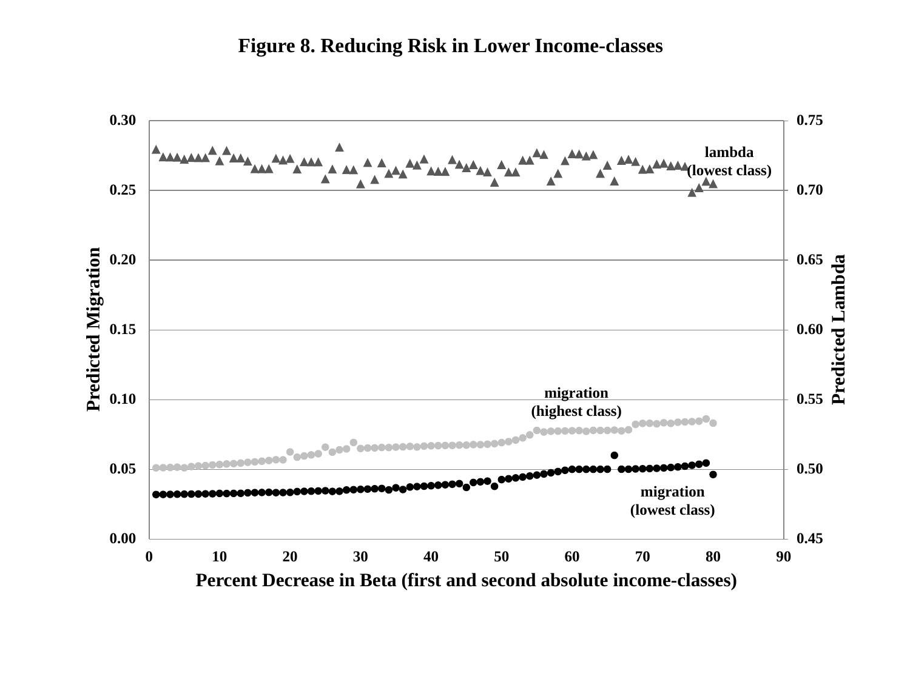